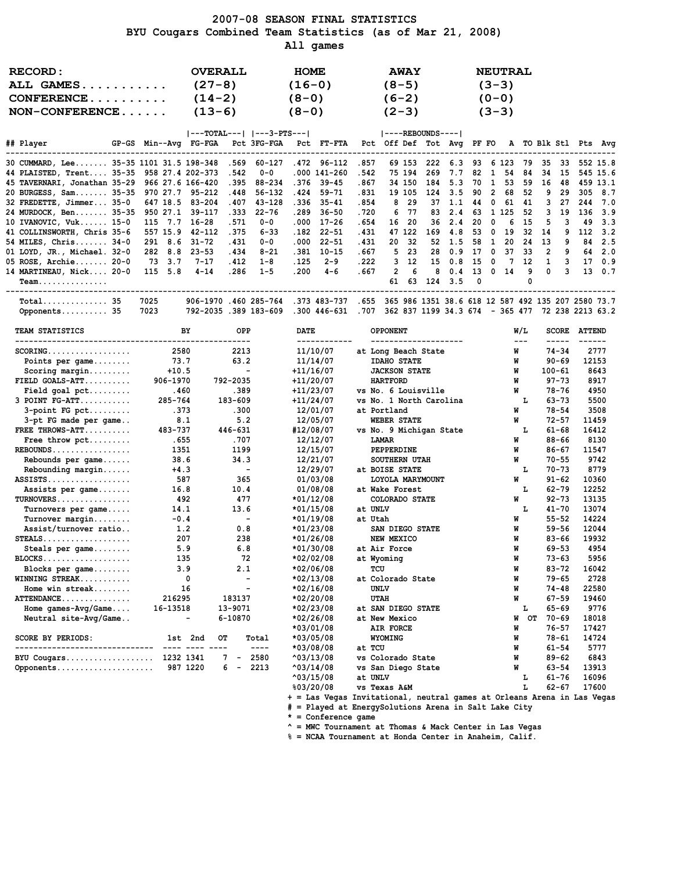#### 2007-08 SEASON FINAL STATISTICS BYU Cougars Combined Team Statistics (as of Mar 21, 2008) All games

| RECORD:<br>ALL GAMES<br>$CONFERENCE$<br>$NON-CONFERENCE$                                                    |  | <b>OVERALL</b><br>$(27-8)$<br>$(14-2)$<br>$(13-6)$ |       |          | <b>HOME</b><br>$(16-0)$<br>$(8-0)$<br>$(8-0)$ |              |       | $(8-5)$<br>$(6-2)$<br>$(2-3)$ | <b>AWAY</b> |     |                                    |      | <b>NEUTRAL</b><br>$(3-3)$<br>$(0 - 0)$<br>$(3-3)$ |       |                |     |          |         |
|-------------------------------------------------------------------------------------------------------------|--|----------------------------------------------------|-------|----------|-----------------------------------------------|--------------|-------|-------------------------------|-------------|-----|------------------------------------|------|---------------------------------------------------|-------|----------------|-----|----------|---------|
|                                                                                                             |  |                                                    |       |          |                                               |              |       |                               |             |     |                                    |      |                                                   |       |                |     |          |         |
| ## Player       GP-GS Min--Avg FG-FGA Pct 3FG-FGA Pct FT-FTA Pct Off Def Tot Avg PF FO A TO Blk Stl Pts Avg |  |                                                    |       |          |                                               |              |       |                               |             |     |                                    |      |                                                   |       |                |     |          |         |
| 30 CUMMARD, Lee 35-35 1101 31.5 198-348 .569 60-127                                                         |  |                                                    |       |          |                                               | .472 96-112  | .857  |                               | 69 153      |     | 222 6.3 93 6 123 79 35 33 552 15.8 |      |                                                   |       |                |     |          |         |
| 44 PLAISTED, Trent 35-35 958 27.4 202-373 .542                                                              |  |                                                    |       | $0 - 0$  |                                               | .000 141-260 | .542  |                               | 75 194      |     | 269 7.7                            |      | 82 1 54                                           |       | 84 34          | 15  | 545 15.6 |         |
| 45 TAVERNARI, Jonathan 35-29 966 27.6 166-420 .395 88-234                                                   |  |                                                    |       |          |                                               | $.376$ 39-45 | .867  |                               | 34 150      |     | 184 5.3                            | 70 1 | 53                                                | 59    | 16             | 48  | 459 13.1 |         |
| 20 BURGESS, Sam 35-35 970 27.7 95-212                                                                       |  |                                                    | .448  | 56-132   |                                               | .424 59-71   | .831  |                               | 19 105      |     | 124 3.5 90 2                       |      |                                                   | 68 52 | 9.             | 29  |          | 305 8.7 |
| 32 FREDETTE, Jimmer 35-0 647 18.5 83-204                                                                    |  |                                                    | .407  | 43-128   |                                               | .336 35-41   | .854  |                               | 8 29        |     | 37 1.1 44 0 61 41                  |      |                                                   |       | 3              | 27  | 244      | 7.0     |
| 24 MURDOCK, Ben 35-35 950 27.1 39-117                                                                       |  |                                                    | . 333 | 22-76    |                                               | .289 36-50   | .720  |                               | 6 77        |     | 83 2.4 63 1 125 52                 |      |                                                   |       | 3              | 19  | 136 3.9  |         |
| 10 IVANOVIC, Vuk 15-0 115 7.7 16-28                                                                         |  |                                                    | .571  | 0-0      | .000                                          | 17-26        | .654  |                               | 16 20       |     | $36 \quad 2.4$                     | 20 0 |                                                   | 6 15  | -5             | 3   | 49       | 3.3     |
| 41 COLLINSWORTH, Chris 35-6 557 15.9 42-112                                                                 |  |                                                    | . 375 | $6 - 33$ | .182                                          | $22 - 51$    | .431  |                               | 47 122      | 169 | 4.8                                |      | 53 0 19 32 14                                     |       |                | -9  | 112      | 3.2     |
| 54 MILES, Chris 34-0 291 8.6 31-72                                                                          |  |                                                    | . 431 | $0 - 0$  | .000                                          | 22-51        | . 431 |                               | 20 32       |     | 52 1.5 58 1                        |      | 20                                                |       | 24 13          | 9   |          | 84 2.5  |
| 01 LOYD, JR., Michael. 32-0 282 8.8 23-53                                                                   |  |                                                    | .434  | $8 - 21$ | .381                                          | $10 - 15$    | . 667 |                               | $5\quad23$  |     | 28 0.9                             | 17 0 | 37 33                                             |       | $\overline{2}$ | 9   | 64       | 2.0     |
| 05 ROSE, Archie 20-0 73 3.7                                                                                 |  | $7 - 17$                                           | .412  | 1-8      | .125                                          | $2 - 9$      | .222  |                               | $3\quad 12$ |     | 15 0.8 15 0                        |      | 7 12                                              |       |                | 1 3 | 17       | 0.9     |
| 14 MARTINEAU, Nick 20-0 115 5.8                                                                             |  | $4 - 14$                                           | .286  | $1 - 5$  | .200                                          | 4-6          | . 667 |                               | $2 \quad 6$ |     | 8 0.4 13 0 14 9                    |      |                                                   |       | $^{\circ}$     | 3   |          | 13 0.7  |

 Team............... 61 63 124 3.5 0 0 ------------------------------------------------------------------------------------------------------------------------------------ Total.............. 35 7025 906-1970 .460 285-764 .373 483-737 .655 365 986 1351 38.6 618 12 587 492 135 207 2580 73.7 Opponents.......... 35 7023 792-2035 .389 183-609 .300 446-631 .707 362 837 1199 34.3 674 - 365 477 72 238 2213 63.2

| TEAM STATISTICS<br>------------------- | BY             | <b>OPP</b>               | <b>DATE</b>           | <b>OPPONENT</b><br>------------ | W/L<br>$\qquad \qquad - -$ | <b>SCORE</b> | <b>ATTEND</b> |
|----------------------------------------|----------------|--------------------------|-----------------------|---------------------------------|----------------------------|--------------|---------------|
| $SCORING.$                             | 2580           | 2213                     | 11/10/07              | at Long Beach State             | W                          | $74 - 34$    | 2777          |
| Points per $\texttt{qame} \dots \dots$ | 73.7           | 63.2                     | 11/14/07              | <b>IDAHO STATE</b>              | W                          | $90 - 69$    | 12153         |
| Scoring margin                         | $+10.5$        | $\sim$                   | $+11/16/07$           | <b>JACKSON STATE</b>            | W                          | $100 - 61$   | 8643          |
| $FIELD$ GOALS-ATT                      | 906-1970       | 792-2035                 | $+11/20/07$           | <b>HARTFORD</b>                 | W                          | $97 - 73$    | 8917          |
| Field goal $pet$                       | .460           | .389                     | $+11/23/07$           | vs No. 6 Louisville             | W                          | $78 - 76$    | 4950          |
| $3$ POINT $FG-ATT$                     | 285-764        | 183-609                  | $+11/24/07$           | vs No. 1 North Carolina         | т.                         | $63 - 73$    | 5500          |
| $3$ -point FG pct                      | .373           | .300                     | 12/01/07              | at Portland                     | W                          | $78 - 54$    | 3508          |
| 3-pt FG made per game                  | 8.1            | 5.2                      | 12/05/07              | <b>WEBER STATE</b>              | W                          | $72 - 57$    | 11459         |
| FREE THROWS-ATT                        | 483-737        | 446-631                  | #12/08/07             | vs No. 9 Michigan State         | L                          | $61 - 68$    | 16412         |
| Free throw pct                         | .655           | .707                     | 12/12/07              | <b>LAMAR</b>                    | W                          | $88 - 66$    | 8130          |
| $REBOUNDS$                             | 1351           | 1199                     | 12/15/07              | PEPPERDINE                      | W                          | $86 - 67$    | 11547         |
| Rebounds per game                      | 38.6           | 34.3                     | 12/21/07              | <b>SOUTHERN UTAH</b>            | W                          | $70 - 55$    | 9742          |
| Rebounding margin                      | $+4.3$         | $\sim$ $-$               | 12/29/07              | at BOISE STATE                  | L                          | $70 - 73$    | 8779          |
| $ASSISTS$                              | 587            | 365                      | 01/03/08              | LOYOLA MARYMOUNT                | W                          | $91 - 62$    | 10360         |
| Assists per game                       | 16.8           | 10.4                     | 01/08/08              | at Wake Forest                  | т.                         | $62 - 79$    | 12252         |
| $TURNOVERS$                            | 492            | 477                      | $*01/12/08$           | COLORADO STATE                  | W                          | $92 - 73$    | 13135         |
| Turnovers per game                     | 14.1           | 13.6                     | $*01/15/08$           | at UNLV                         | L                          | $41 - 70$    | 13074         |
| Turnover margin                        | $-0.4$         | $\sim$                   | $*01/19/08$           | at Utah                         | W                          | $55 - 52$    | 14224         |
| Assist/turnover ratio                  | 1.2            | 0.8                      | $*01/23/08$           | SAN DIEGO STATE                 | W                          | $59 - 56$    | 12044         |
| $STEALS$                               | 207            | 238                      | $*01/26/08$           | NEW MEXICO                      | W                          | $83 - 66$    | 19932         |
| Steals per game                        | 5.9            | 6.8                      | $*01/30/08$           | at Air Force                    | W                          | $69 - 53$    | 4954          |
| $BLOCKS$                               | 135            | 72                       | *02/02/08             | at Wyoming                      | W                          | $73 - 63$    | 5956          |
| Blocks per game                        | 3.9            | 2.1                      | $*02/06/08$           | TCU                             | W                          | $83 - 72$    | 16042         |
| WINNING STREAK                         | 0              | $\sim$                   | $*02/13/08$           | at Colorado State               | W                          | $79 - 65$    | 2728          |
| Home win streak                        | 16             | $\overline{\phantom{a}}$ | $*02/16/08$           | UNLV                            | W                          | 74-48        | 22580         |
| ATTENDANCE                             | 216295         | 183137                   | *02/20/08             | <b>UTAH</b>                     | W                          | $67 - 59$    | 19460         |
| Home $qames-Pvq/Game$                  | 16-13518       | 13-9071                  | $*02/23/08$           | at SAN DIEGO STATE              | L                          | $65 - 69$    | 9776          |
| Neutral site-Avg/Game                  | $\blacksquare$ | 6-10870                  | $*02/26/08$           | at New Mexico                   | OT<br>W                    | $70 - 69$    | 18018         |
|                                        |                |                          | $*03/01/08$           | AIR FORCE                       | W                          | $76 - 57$    | 17427         |
| <b>SCORE BY PERIODS:</b>               | 1st 2nd        | OТ<br>Total              | *03/05/08             | WYOMING                         | W                          | $78 - 61$    | 14724         |
| -------------------------------        | ---- ---- ---- | $\frac{1}{2}$            | $*03/08/08$           | at TCU                          | W                          | $61 - 54$    | 5777          |
| BYU Cougars 1232 1341                  |                | $7 -$<br>2580            | $^{\text{403}/13/08}$ | vs Colorado State               | W                          | $89 - 62$    | 6843          |
| Opponents 987 1220                     |                | $6 -$<br>2213            | $^{\text{403}/14/08}$ | vs San Diego State              | W                          | $63 - 54$    | 13913         |
|                                        |                |                          | $^{\text{403}/15/08}$ | at UNLV                         | L                          | $61 - 76$    | 16096         |
|                                        |                |                          | %03/20/08             | <b>vs Texas A&amp;M</b>         | L                          | $62 - 67$    | 17600         |

+ = Las Vegas Invitational, neutral games at Orleans Arena in Las Vegas

# = Played at EnergySolutions Arena in Salt Lake City

\* = Conference game

 $^{\wedge}$  = MWC Tournament at Thomas & Mack Center in Las Vegas

% = NCAA Tournament at Honda Center in Anaheim, Calif.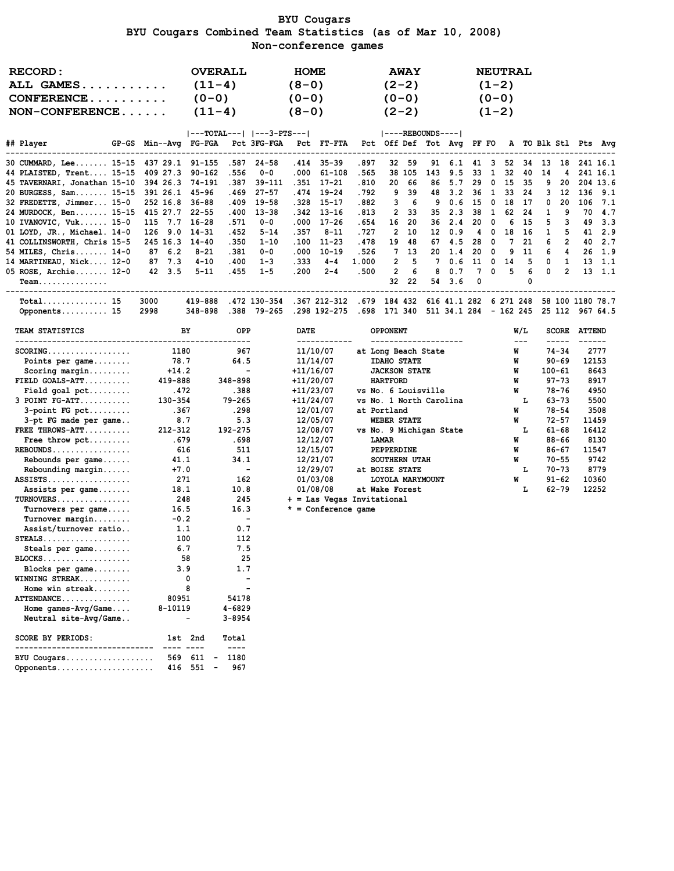### BYU Cougars BYU Cougars Combined Team Statistics (as of Mar 10, 2008) Non-conference games

| RECORD:<br>ALL GAMES<br>$CONFERENCE \ldots \ldots \ldots$<br>$NON-CONFERENCE$                                                                                                                                                                                                                                                                                                                                                                                                                                                                                                           |                                                                                                                                                                                                                | <b>OVERALL</b><br>$(11-4)$<br>$(0 - 0)$<br>$(11-4)$                                                                                                                                                  |                                                                                                                                                                                                               | <b>HOME</b><br>$(8-0)$<br>$(0 - 0)$<br>$(8-0)$                       |                                                                                                                                                                                                                                                   |                                                                                       | $(2-2)$<br>$(0 - 0)$<br>$(2-2)$                                                                                                                                                                                                                                                                 | <b>AWAY</b>                                                         |                                                               |                                                                           |                                                                 | $(1-2)$<br>$(0-0)$<br>$(1-2)$                              | <b>NEUTRAL</b>                                              |                                                                     |                                                 |                                                                                                                                                            |                                                |                                                                                                                            |
|-----------------------------------------------------------------------------------------------------------------------------------------------------------------------------------------------------------------------------------------------------------------------------------------------------------------------------------------------------------------------------------------------------------------------------------------------------------------------------------------------------------------------------------------------------------------------------------------|----------------------------------------------------------------------------------------------------------------------------------------------------------------------------------------------------------------|------------------------------------------------------------------------------------------------------------------------------------------------------------------------------------------------------|---------------------------------------------------------------------------------------------------------------------------------------------------------------------------------------------------------------|----------------------------------------------------------------------|---------------------------------------------------------------------------------------------------------------------------------------------------------------------------------------------------------------------------------------------------|---------------------------------------------------------------------------------------|-------------------------------------------------------------------------------------------------------------------------------------------------------------------------------------------------------------------------------------------------------------------------------------------------|---------------------------------------------------------------------|---------------------------------------------------------------|---------------------------------------------------------------------------|-----------------------------------------------------------------|------------------------------------------------------------|-------------------------------------------------------------|---------------------------------------------------------------------|-------------------------------------------------|------------------------------------------------------------------------------------------------------------------------------------------------------------|------------------------------------------------|----------------------------------------------------------------------------------------------------------------------------|
| ## Player                                                                                                                                                                                                                                                                                                                                                                                                                                                                                                                                                                               | GP-GS Min--Avg FG-FGA                                                                                                                                                                                          | $ ---TOTAL--- $ $ ---3-PTS--- $                                                                                                                                                                      | Pct 3FG-FGA                                                                                                                                                                                                   |                                                                      | Pct FT-FTA                                                                                                                                                                                                                                        |                                                                                       | ----REBOUNDS---- <br>Pct Off Def Tot Avg PF FO                                                                                                                                                                                                                                                  |                                                                     |                                                               |                                                                           |                                                                 |                                                            |                                                             |                                                                     |                                                 |                                                                                                                                                            |                                                | A TO Blk Stl Pts Avg                                                                                                       |
| 30 CUMMARD, Lee 15-15<br>44 PLAISTED, Trent 15-15<br>45 TAVERNARI, Jonathan 15-10<br>20 BURGESS, Sam 15-15<br>32 FREDETTE, Jimmer 15-0<br>24 MURDOCK, Ben 15-15<br>10 IVANOVIC, Vuk 15-0<br>01 LOYD, JR., Michael. 14-0<br>41 COLLINSWORTH, Chris 15-5<br>54 MILES, Chris 14-0<br>14 MARTINEAU, Nick 12-0                                                                                                                                                                                                                                                                               | 437 29.1 91-155<br>409 27.3<br>394 26.3<br>391 26.1<br>252 16.8<br>415 27.7<br>115 7.7<br>126 9.0<br>245 16.3<br>87<br>6.2<br>87 7.3                                                                           | .556<br>90-162<br>74-191<br>.387<br>45-96<br>. 469<br>$36 - 88$<br>.409<br>$22 - 55$<br>.400<br>$16 - 28$<br>.571<br>$14 - 31$<br>. 452<br>.350<br>$14 - 40$<br>$8 - 21$<br>.381<br>$4 - 10$<br>.400 | .587<br>$24 - 58$<br>$0 - 0$<br>39-111<br>$27 - 57$<br>$19 - 58$<br>$13 - 38$<br>0-0<br>5-14<br>$1 - 10$<br>0-0<br>$1 - 3$                                                                                    | .414<br>.000<br>.351<br>.328<br>.000<br>.357<br>.100<br>.000<br>.333 | $35 - 39$<br>$61 - 108$<br>17-21<br>.474 19-24<br>$15 - 17$<br>.342 13-16<br>$17 - 26$<br>$8 - 11$<br>$11 - 23$<br>$10 - 19$<br>$4 - 4$                                                                                                           | .897<br>.565<br>.810<br>.792<br>.882<br>.813<br>.654<br>.727<br>.478<br>.526<br>1.000 | 20<br>9<br>3<br>2<br>16<br>2<br>19<br>7<br>2                                                                                                                                                                                                                                                    | 32 59<br>38 105<br>66<br>39<br>6<br>33<br>20<br>10<br>48<br>13<br>5 | 91<br>143<br>86<br>48<br>9<br>35<br>36<br>12<br>67<br>20<br>7 | 6.1<br>9.5<br>5.7<br>3.2<br>0.6<br>2.3<br>2.4<br>0.9<br>4.5<br>1.4<br>0.6 | 41 3<br>33<br>29<br>36<br>15<br>38<br>20<br>4<br>28<br>20<br>11 | 1<br>0<br>$\mathbf{1}$<br>0<br>-1<br>0<br>0<br>0<br>0<br>0 | 52<br>32<br>15<br>33<br>18<br>62<br>6<br>18<br>7<br>9<br>14 | 34 13<br>40<br>-35<br>24<br>-17<br>24<br>-15<br>16<br>21<br>11<br>5 | 14<br>9<br>3<br>0<br>1<br>5<br>1<br>6<br>6<br>0 | 18<br>4<br>20<br>12<br>20<br>9<br>3<br>5<br>2<br>4<br>1                                                                                                    | 136<br>106<br>70<br>49<br>41<br>40<br>26<br>13 | 241 16.1<br>241 16.1<br>204 13.6<br>9.1<br>7.1<br>4.7<br>3.3<br>2.9<br>2.7<br>1.9<br>-1.1                                  |
| 05 ROSE, Archie 12-0<br>Team.                                                                                                                                                                                                                                                                                                                                                                                                                                                                                                                                                           | 42 3.5                                                                                                                                                                                                         | . 455<br>$5 - 11$                                                                                                                                                                                    | $1 - 5$                                                                                                                                                                                                       | .200                                                                 | $2 - 4$                                                                                                                                                                                                                                           | .500                                                                                  | 2<br>32                                                                                                                                                                                                                                                                                         | 6<br>22                                                             | 8<br>54                                                       | 0.7<br>3.6                                                                | 7<br>0                                                          | 0                                                          | 5                                                           | 6<br>0                                                              | 0                                               | $\overline{2}$                                                                                                                                             | 13                                             | 1.1                                                                                                                        |
| _____________________________<br>Total 15<br>Opponents 15                                                                                                                                                                                                                                                                                                                                                                                                                                                                                                                               | --------------------<br>3000<br>2998                                                                                                                                                                           | 419-888<br>348-898                                                                                                                                                                                   | .472 130-354<br>.388 79-265                                                                                                                                                                                   |                                                                      | .367 212-312<br>.298 192-275                                                                                                                                                                                                                      |                                                                                       | .679 184 432<br>.698 171 340                                                                                                                                                                                                                                                                    |                                                                     |                                                               | 616 41.1 282 6 271 248<br>511 34.1 284 - 162 245                          |                                                                 |                                                            |                                                             |                                                                     |                                                 |                                                                                                                                                            |                                                | 58 100 1180 78.7<br>25 112 967 64.5                                                                                        |
| TEAM STATISTICS                                                                                                                                                                                                                                                                                                                                                                                                                                                                                                                                                                         | BY                                                                                                                                                                                                             |                                                                                                                                                                                                      | <b>OPP</b>                                                                                                                                                                                                    | <b>DATE</b>                                                          | ------------                                                                                                                                                                                                                                      |                                                                                       | OPPONENT<br>---------------------                                                                                                                                                                                                                                                               |                                                                     |                                                               |                                                                           |                                                                 |                                                            |                                                             | W/L<br>$\sim$ $\sim$ $\sim$                                         |                                                 | <b>SCORE</b><br>-----                                                                                                                                      | <b>ATTEND</b><br>-------                       |                                                                                                                            |
| $SCORING.$<br>Points per game<br>Scoring $margin \ldots \ldots$<br>$FIELD GOALS-ATT$<br>Field goal $pet$<br>$3$ POINT $FG-ATT$<br>$3$ -point FG pct<br>3-pt FG made per game<br>FREE THROWS-ATT<br>Free throw pct<br>$REBOUNDS$<br>Rebounds per game<br>$Rebounding margin$<br>$ASSISTS$<br>Assists per game<br>TURNOVERS<br>Turnovers per game<br>$Turnover$ margin<br>Assist/turnover ratio<br>$STEALS$<br>Steals per $\texttt{game} \dots \dots$<br>$BLOCKS$<br>Blocks per game<br>WINNING STREAK<br>Home win streak<br>ATTENDANCE<br>Home $qames-Pvq/Game$<br>Neutral site-Avg/Game | 1180<br>78.7<br>$+14.2$<br>419-888<br>.472<br>130-354<br>.367<br>8.7<br>212-312<br>.679<br>616<br>41.1<br>$+7.0$<br>271<br>18.1<br>248<br>16.5<br>$-0.2$<br>1.1<br>100<br>6.7<br>58<br>3.9<br>80951<br>8-10119 | 348-898<br>79-265<br>192-275<br>0<br>8<br>54178<br>$4 - 6829$<br>$3 - 8954$<br>-                                                                                                                     | 967<br>64.5<br>$\overline{\phantom{a}}$<br>.388<br>.298<br>5.3<br>.698<br>511<br>34.1<br>$\overline{\phantom{a}}$<br>162<br>10.8<br>245<br>16.3<br>$\overline{\phantom{a}}$<br>0.7<br>112<br>7.5<br>25<br>1.7 |                                                                      | 11/10/07<br>11/14/07<br>$+11/16/07$<br>$+11/20/07$<br>+11/23/07<br>$+11/24/07$<br>12/01/07<br>12/05/07<br>12/08/07<br>12/12/07<br>12/15/07<br>12/21/07<br>12/29/07<br>01/03/08<br>01/08/08<br>+ = Las Vegas Invitational<br>$* =$ Conference game |                                                                                       | at Long Beach State<br><b>IDAHO STATE</b><br><b>JACKSON STATE</b><br><b>HARTFORD</b><br>vs No. 6 Louisville<br>vs No. 1 North Carolina<br>at Portland<br>WEBER STATE<br>vs No. 9 Michigan State<br>LAMAR<br>PEPPERDINE<br>SOUTHERN UTAH<br>at BOISE STATE<br>LOYOLA MARYMOUNT<br>at Wake Forest |                                                                     |                                                               |                                                                           |                                                                 |                                                            | W<br>W<br>W<br>W<br>W<br>W<br>W<br>W<br>W<br>W<br>W         | L<br>L<br>L<br>L                                                    | $100 - 61$                                      | 74-34<br>$90 - 69$<br>$97 - 73$<br>78-76<br>$63 - 73$<br>78-54<br>$72 - 57$<br>61-68<br>88-66<br>86-67<br>$70 - 55$<br>$70 - 73$<br>$91 - 62$<br>$62 - 79$ |                                                | 2777<br>12153<br>8643<br>8917<br>4950<br>5500<br>3508<br>11459<br>16412<br>8130<br>11547<br>9742<br>8779<br>10360<br>12252 |
| <b>SCORE BY PERIODS:</b>                                                                                                                                                                                                                                                                                                                                                                                                                                                                                                                                                                | 1st 2nd                                                                                                                                                                                                        | Total                                                                                                                                                                                                |                                                                                                                                                                                                               |                                                                      |                                                                                                                                                                                                                                                   |                                                                                       |                                                                                                                                                                                                                                                                                                 |                                                                     |                                                               |                                                                           |                                                                 |                                                            |                                                             |                                                                     |                                                 |                                                                                                                                                            |                                                |                                                                                                                            |

| BYU Cougars 569 611 - 1180 |  |  |
|----------------------------|--|--|
| Opponents 416 551 - 967    |  |  |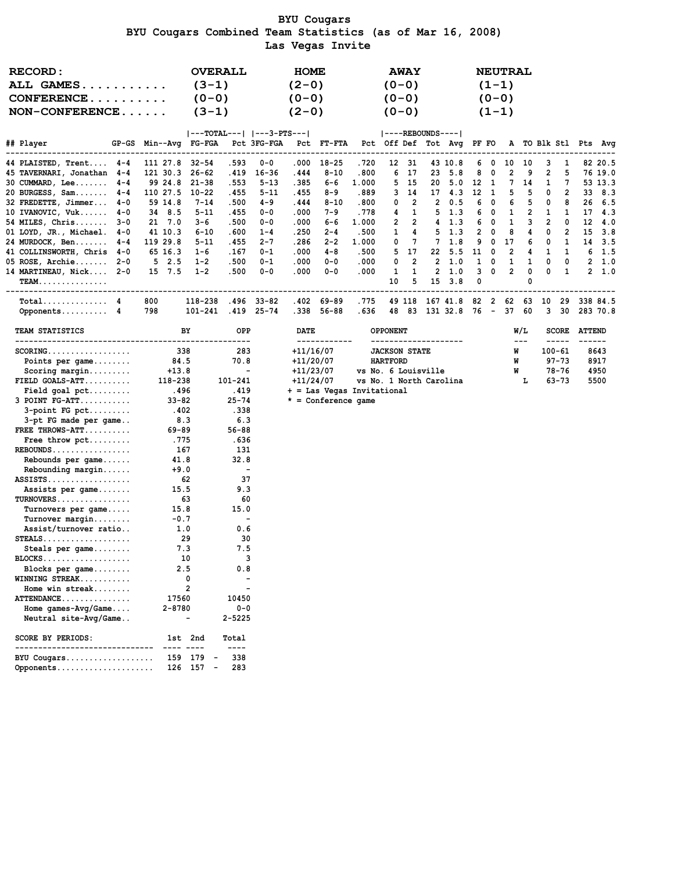#### BYU Cougars BYU Cougars Combined Team Statistics (as of Mar 16, 2008) Las Vegas Invite

| <b>RECORD:</b><br>ALL GAMES               |     |               | $(3-1)$                                                                                     | <b>OVERALL</b>            |          | <b>HOME</b><br>$(2-0)$ |                                 |                           |                      | <b>AWAY</b><br>$(0 - 0)$ |                                                                 |        |              | <b>NEUTRAL</b><br>$(1-1)$ |                |                          |                     |                     |                |
|-------------------------------------------|-----|---------------|---------------------------------------------------------------------------------------------|---------------------------|----------|------------------------|---------------------------------|---------------------------|----------------------|--------------------------|-----------------------------------------------------------------|--------|--------------|---------------------------|----------------|--------------------------|---------------------|---------------------|----------------|
| $CONFERENCE$                              |     |               | $(0 - 0)$                                                                                   |                           |          | $(0 - 0)$              |                                 |                           |                      | $(0 - 0)$                |                                                                 |        |              | $(0 - 0)$                 |                |                          |                     |                     |                |
| $NON-CONFERENCE$                          |     |               | $(3-1)$                                                                                     |                           |          | $(2-0)$                |                                 |                           |                      | $(0-0)$                  |                                                                 |        |              | $(1-1)$                   |                |                          |                     |                     |                |
|                                           |     |               |                                                                                             |                           |          |                        |                                 |                           |                      |                          |                                                                 |        |              |                           |                |                          |                     |                     |                |
|                                           |     |               |                                                                                             | ---TOTAL---   ---3-PTS--- |          |                        |                                 |                           | $ ----REBOUNDS--- $  |                          |                                                                 |        |              |                           |                |                          |                     |                     |                |
| ## Player                                 |     |               | GP-GS Min--Avq FG-FGA Pct 3FG-FGA Pct FT-FTA Pct Off Def Tot Avq PF FO A TO Blk Stl Pts Avq |                           |          |                        |                                 |                           |                      |                          |                                                                 |        |              |                           |                |                          |                     |                     |                |
| 44 PLAISTED, Trent 4-4 111 27.8 32-54     |     |               |                                                                                             | .593                      | $0 - 0$  |                        | $.000$ 18-25                    | .720                      |                      | 12 31                    | 43 10.8                                                         |        | 60           |                           | 10 10          | 3                        | -1                  |                     | 82 20.5        |
| 45 TAVERNARI, Jonathan 4-4 121 30.3 26-62 |     |               |                                                                                             | .419                      | 16-36    | .444                   | $8 - 10$                        | .800                      | 6                    | - 17                     | 23, 5.8                                                         |        | 8 0          | $\overline{2}$            | 9              | $\overline{2}$           | 5                   |                     | 76 19.0        |
| $30$ CUMMARD, Lee $4-4$                   |     |               | 99 24.8 21-38                                                                               | .553                      | $5 - 13$ | .385                   | 6-6                             | 1.000                     |                      | 5 15                     | 20 5.0 12 1                                                     |        |              |                           | 7 14           | $\mathbf{1}$             | $\overline{7}$      |                     | 53 13.3        |
| 20 BURGESS, Sam $4-4$                     |     |               | 110 27.5 10-22                                                                              | . 455                     | $5 - 11$ | .455                   | 8-9                             | .889                      |                      | $3 \quad 14$             | 17 4.3                                                          | 12 1   |              | 5                         | 5              | $\overline{\phantom{0}}$ | $\overline{2}$      |                     | 33 8.3         |
| 32 FREDETTE, Jimmer 4-0                   |     | 59 14.8       | $7 - 14$                                                                                    | .500                      | 4-9      | .444                   | $8 - 10$                        | .800                      | 0                    | $\overline{2}$           | 2 0.5                                                           |        | 6 0          | 6                         | 5              | $\overline{\phantom{0}}$ | 8                   |                     | 26, 6.5        |
| 10 IVANOVIC, $Vuk$ $4-0$                  |     | 34 8.5        | $5 - 11$                                                                                    | . 455                     | $0 - 0$  | .000                   | 7-9                             | . 778                     | 4                    | 1                        | 5 1.3                                                           |        | 60           | $\mathbf{1}$              | $\overline{2}$ | $\mathbf{1}$             | $\mathbf{1}$        |                     | 17, 4.3        |
| $54$ MILES, Chris $3-0$                   |     | 21 7.0        | 3-6                                                                                         | .500                      | $0 - 0$  | .000.                  | 6-6                             | 1.000                     | $\overline{2}$       | $\overline{2}$           | $4 \quad 1.3$                                                   |        | 6 0          | $\mathbf{1}$              | 3              | $\overline{2}$           | 0                   |                     | $12 \quad 4.0$ |
| 01 LOYD, JR., Michael. 4-0                |     | 41 10.3       | $6 - 10$                                                                                    | .600                      | $1 - 4$  | .250                   | $2 - 4$                         | .500                      |                      | $1 \quad$<br>4           | $5 \t1.3$                                                       |        | $2 \quad 0$  | 8                         | 4              | $^{\circ}$               | $\overline{2}$      |                     | 15 3.8         |
| 24 MURDOCK, Ben 4-4                       |     | 119 29.8      | $5 - 11$                                                                                    | . 455                     | $2 - 7$  | .286                   | $2 - 2$                         | 1.000                     | 0                    | 7                        | $7 \quad 1.8$                                                   |        | 90           | 17                        | 6              | $\overline{\mathbf{0}}$  | 1                   |                     | 14 3.5         |
| 41 COLLINSWORTH, Chris 4-0                |     | 65 16.3       | $1 - 6$                                                                                     | . 167                     | 0-1      | .000                   | 4-8                             | .500                      |                      | 5 17                     | 22 5.5 11 0                                                     |        |              | $\overline{2}$            |                | 4 1                      | $\overline{1}$      |                     | $6 \quad 1.5$  |
| $05$ ROSE, Archie $2-0$                   |     | 52.5          | $1 - 2$                                                                                     | .500                      | $0 - 1$  | .000                   | $0 - 0$                         | .000                      | 0                    | $\overline{2}$           | 2, 1.0                                                          |        | $1 \quad 0$  | $\mathbf{1}$              | $\mathbf{1}$   | 0                        | $\mathbf{0}$        |                     | 2, 1.0         |
| 14 MARTINEAU, Nick 2-0<br><b>TEAM.</b>    |     | 15 7.5        | $1 - 2$                                                                                     | .500                      | $0 - 0$  | .000                   | $0 - 0$                         | .000                      | $\mathbf{1}$<br>10   | $\blacksquare$<br>5      | 2, 1.0<br>$15 \quad 3.8$                                        | 3<br>0 | $\mathbf{0}$ | $\overline{2}$            | 0<br>0         | 0                        | 1                   |                     | 2, 1.0         |
| $Total$ 4                                 |     |               |                                                                                             |                           |          |                        |                                 |                           |                      |                          |                                                                 |        |              |                           |                |                          |                     |                     |                |
| Opponents $4$ 798                         | 800 |               | 118-238.496 33-82<br>101-241 .419 25-74                                                     |                           |          |                        | .402 69-89<br>.338 56-88        | . 775<br>.636             |                      | 49 118                   | 167 41.8 82 2 62 63 10 29 338 84.5<br>48 83 131 32.8 76 - 37 60 |        |              |                           |                |                          |                     |                     | 3 30 283 70.8  |
|                                           |     |               |                                                                                             |                           |          |                        |                                 |                           |                      |                          |                                                                 |        |              |                           |                |                          |                     |                     |                |
| TEAM STATISTICS                           |     |               | BY                                                                                          | <b>OPP</b>                |          | <b>DATE</b>            |                                 |                           | <b>OPPONENT</b>      |                          |                                                                 |        |              |                           | W/L            |                          |                     | <b>SCORE ATTEND</b> |                |
| $SCORING.$                                |     | 338           |                                                                                             | 283                       |          |                        | $+11/16/07$                     |                           | <b>JACKSON STATE</b> |                          | --------------------                                            |        |              | W                         | $\frac{1}{2}$  |                          | -----<br>$100 - 61$ |                     | 8643           |
| Points per game                           |     | 84.5          |                                                                                             | 70.8                      |          |                        | +11/20/07                       |                           | <b>HARTFORD</b>      |                          |                                                                 |        |              | W                         |                |                          | 97-73               |                     | 8917           |
| Scoring margin                            |     | $+13.8$       |                                                                                             | $\sim$ $-$                |          |                        | $+11/23/07$ vs No. 6 Louisville |                           |                      |                          |                                                                 |        |              |                           | W              |                          | 78-76               |                     | 4950           |
| $FIELD$ GOALS-ATT                         |     | 118-238       |                                                                                             | 101-241                   |          |                        | +11/24/07                       | vs No. 1 North Carolina L |                      |                          |                                                                 |        |              |                           |                |                          | $63 - 73$           |                     | 5500           |
|                                           |     | .496          |                                                                                             | .419                      |          |                        | + = Las Vegas Invitational      |                           |                      |                          |                                                                 |        |              |                           |                |                          |                     |                     |                |
| $3$ POINT $FG-ATT$                        |     | $33 - 82$     |                                                                                             | $25 - 74$                 |          |                        | $* =$ Conference game           |                           |                      |                          |                                                                 |        |              |                           |                |                          |                     |                     |                |
| $3$ -point FG pct                         |     | .402          |                                                                                             | .338                      |          |                        |                                 |                           |                      |                          |                                                                 |        |              |                           |                |                          |                     |                     |                |
| 3-pt FG made per game                     |     | 8.3           |                                                                                             | 6.3                       |          |                        |                                 |                           |                      |                          |                                                                 |        |              |                           |                |                          |                     |                     |                |
| FREE THROWS-ATT                           |     | 69-89         |                                                                                             | $56 - 88$                 |          |                        |                                 |                           |                      |                          |                                                                 |        |              |                           |                |                          |                     |                     |                |
| Free throw pct                            |     | . 775         |                                                                                             | .636                      |          |                        |                                 |                           |                      |                          |                                                                 |        |              |                           |                |                          |                     |                     |                |
| $REBOUNDS$                                |     | 167           |                                                                                             | - 131                     |          |                        |                                 |                           |                      |                          |                                                                 |        |              |                           |                |                          |                     |                     |                |
| Rebounds per game                         |     | 41.8          |                                                                                             | 32.8                      |          |                        |                                 |                           |                      |                          |                                                                 |        |              |                           |                |                          |                     |                     |                |
| Rebounding margin                         |     | $+9.0$        |                                                                                             | $\overline{\phantom{a}}$  |          |                        |                                 |                           |                      |                          |                                                                 |        |              |                           |                |                          |                     |                     |                |
| RQQTQmQ                                   |     | $\sim$ $\sim$ |                                                                                             | 27                        |          |                        |                                 |                           |                      |                          |                                                                 |        |              |                           |                |                          |                     |                     |                |

Rebounds per game...... 41.8 32.8<br>Rebounding margin...... +9.0 -<br>SSISTS.................. 62 37

ASSISTS.................. 62 37

 STEALS................... 29 30 Steals per game........ 7.3 7.5 BLOCKS................... 10 3 Blocks per game........ 2.5 0.8 WINNING STREAK........... 0 - Home win streak........ 2 - ATTENDANCE............... 17560 10450 Home games-Avg/Game.... 2-8780 0-0 Neutral site-Avg/Game.. - 2-5225 SCORE BY PERIODS: 1st 2nd Total ------------------------------ ---- ---- ---- BYU Cougars................... 159 179 - 338 Opponents..................... 126 157 - 283

Turnover margin........ -0.7 -<br>Assist/turnover ratio.. 1.0 0.6<br>TEALS..................... 29 30

Assists per game.......  $TURNOVERS$ ............... Turnovers per game.....

Assist/turnover ratio..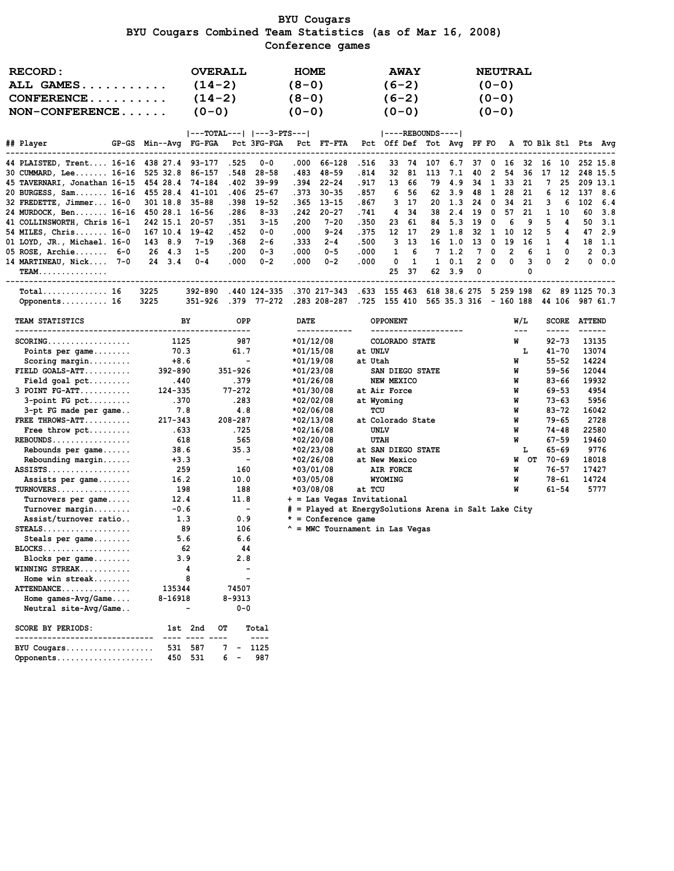### BYU Cougars BYU Cougars Combined Team Statistics (as of Mar 16, 2008) Conference games

| <b>RECORD:</b><br>ALL GAMES<br>$CONFERENCE$<br>$NON-CONFERENCE$ |                            | $(14-2)$<br>$(14-2)$<br>$(0 - 0)$ | <b>OVERALL</b>                |                                                | <b>HOME</b><br>$(8-0)$<br>$(8-0)$<br>$(0 - 0)$ |                                                                               |                                     |                                                | <b>AWAY</b><br>$(6-2)$<br>$(6-2)$<br>$(0 - 0)$ |                     |            |          |              | <b>NEUTRAL</b><br>$(0-0)$<br>$(0 - 0)$<br>$(0 - 0)$ |         |          |                        |                 |                |
|-----------------------------------------------------------------|----------------------------|-----------------------------------|-------------------------------|------------------------------------------------|------------------------------------------------|-------------------------------------------------------------------------------|-------------------------------------|------------------------------------------------|------------------------------------------------|---------------------|------------|----------|--------------|-----------------------------------------------------|---------|----------|------------------------|-----------------|----------------|
| ## Player                                                       | GP-GS Min--Avg FG-FGA      |                                   |                               | $ ---TOTAL--- $ $ ---3-PTS--- $<br>Pct 3FG-FGA |                                                | Pct FT-FTA                                                                    |                                     | Pct Off Def Tot Avg PF FO A TO Blk Stl Pts Avg |                                                | $ ----REBOUNDS--- $ |            |          |              |                                                     |         |          |                        |                 |                |
| 44 PLAISTED, Trent 16-16 438 27.4 93-177                        |                            |                                   | .525                          | ------------<br>$0 - 0$                        | ------<br>.000                                 | -------------<br>66-128                                                       | .516                                | 33                                             | -74                                            | 107                 | 6.7        | 37       | 0            | 16                                                  |         | 32 16 10 |                        |                 | 252 15.8       |
| 30 CUMMARD, Lee 16-16                                           | 525 32.8                   | 86-157                            | .548                          | $28 - 58$                                      | .483                                           | $48 - 59$                                                                     | . 814                               | 32                                             | 81                                             | 113                 | 7.1        | 40       | 2            | 54                                                  | 36      | 17       | 12                     |                 | 248 15.5       |
| 45 TAVERNARI, Jonathan 16-15                                    | 454 28.4 74-184            |                                   | .402                          | $39 - 99$                                      |                                                | .394 22-24                                                                    | . 917                               | 13                                             | 66                                             | 79                  | 4.9        | 34       | $\mathbf{1}$ | 33                                                  | 21      | 7        | 25                     |                 | 209 13.1       |
| 20 BURGESS, Sam 16-16                                           | 455 28.4                   | $41 - 101$                        | .406                          | $25 - 67$                                      | .373                                           | $30 - 35$                                                                     | . 857                               | 6                                              | -56                                            | 62                  | 3.9        | 48       | $\mathbf{1}$ | 28                                                  | 21      | 6        | 12                     | - 137           | 8.6            |
| 32 FREDETTE, Jimmer 16-0                                        | 301 18.8                   | $35 - 88$                         | .398                          | 19-52                                          | .365                                           | 13-15                                                                         | . 867                               | 3                                              | -17                                            | 20                  | 1.3        | 24       | 0            | 34                                                  | 21      | з        | 6                      | 102             | 6.4            |
| 24 MURDOCK, Ben 16-16<br>41 COLLINSWORTH, Chris 16-1            | 450 28.1 16-56<br>242 15.1 | $20 - 57$                         | .286<br>. 351                 | $8 - 33$<br>$3 - 15$                           | .242<br>.200                                   | $20 - 27$<br>$7 - 20$                                                         | . 741<br>. 350                      | 4<br>23                                        | 34<br>61                                       | 38<br>84            | 2.4<br>5.3 | 19<br>19 | 0<br>0       | 57<br>6                                             | 21<br>9 | 1<br>5   | 10<br>4                | 60<br>50        | 3.8<br>3.1     |
| 54 MILES, Chris $16-0$                                          | 167 10.4 19-42             |                                   | . 452                         | $0 - 0$                                        | .000                                           | $9 - 24$                                                                      | . 375                               | 12                                             | - 17                                           | 29                  | 1.8        | 32       | - 1          | 10                                                  | 12      | 5        | 4                      | 47              | 2.9            |
| 01 LOYD, JR., Michael. 16-0                                     | 143 8.9                    | $7 - 19$                          | .368                          | $2 - 6$                                        | .333                                           | $2 - 4$                                                                       | .500                                | 3                                              | 13                                             |                     | 16 1.0     | 13       | $\mathbf 0$  | 19                                                  | 16      | 1        | 4                      | 18              | - 1.1          |
| 05 ROSE, Archie 6-0                                             | 26 4.3                     | $1 - 5$                           | .200                          | $0 - 3$                                        | .000                                           | $0 - 5$                                                                       | .000                                | 1                                              | 6                                              | 7                   | 1.2        | 7        | 0            | 2                                                   | 6       | 1        | 0                      | 2               | 0.3            |
| 14 MARTINEAU, Nick 7-0                                          | 24, 3.4                    | $0 - 4$                           | .000                          | $0 - 2$                                        | .000                                           | $0 - 2$                                                                       | .000                                | 0                                              | 1                                              | $\mathbf{1}$        | 0.1        | 2        | 0            | 0                                                   | 3       | 0        | $\overline{2}$         | 0               | 0.0            |
| <b>TEAM.</b>                                                    |                            |                                   |                               |                                                |                                                |                                                                               |                                     | 25                                             | 37                                             | 62                  | 3.9        | 0        |              |                                                     | 0       |          |                        |                 |                |
| Total 16<br>Opponents 16                                        | 3225<br>3225               | 392-890<br>351-926                |                               | .379 77-272                                    |                                                | .440 124-335 .370 217-343 .633 155 463 618 38.6 275 5 259 198<br>.283 208-287 | .725 155 410 565 35.3 316 - 160 188 |                                                |                                                |                     |            |          |              |                                                     |         |          | 44 106                 | 62 89 1125 70.3 | 987 61.7       |
| TEAM STATISTICS                                                 |                            | BY                                | OPP                           |                                                | DATE                                           |                                                                               |                                     | <b>OPPONENT</b>                                |                                                |                     |            |          |              |                                                     | W/L     |          | <b>SCORE</b>           | <b>ATTEND</b>   |                |
|                                                                 |                            |                                   | --------                      |                                                |                                                | ------------                                                                  |                                     | --------------------                           |                                                |                     |            |          |              |                                                     | $---$   |          | -----                  | ------          |                |
| $SCORING.$                                                      | 1125                       |                                   | 987                           |                                                |                                                | $*01/12/08$                                                                   |                                     | COLORADO STATE                                 |                                                |                     |            |          |              |                                                     | W       |          | $92 - 73$              |                 | 13135          |
| Points per game                                                 | 70.3                       |                                   | 61.7                          | $\blacksquare$                                 |                                                | $*01/15/08$                                                                   | at UNLV                             |                                                |                                                |                     |            |          |              |                                                     | L       |          | $41 - 70$              |                 | 13074          |
| $Scoring margin$<br>$FIELD GOALS-ATT$                           | $+8.6$<br>392-890          |                                   | 351-926                       |                                                |                                                | $*01/19/08$<br>$*01/23/08$                                                    | at Utah                             | SAN DIEGO STATE                                |                                                |                     |            |          |              |                                                     | W<br>W  |          | $55 - 52$<br>$59 - 56$ |                 | 14224<br>12044 |
|                                                                 | .440                       |                                   | .379                          |                                                |                                                | $*01/26/08$                                                                   |                                     | NEW MEXICO                                     |                                                |                     |            |          |              |                                                     | W       |          | $83 - 66$              |                 | 19932          |
| $3$ POINT $FG-ATT$                                              | 124-335                    |                                   | $77 - 272$                    |                                                |                                                | *01/30/08                                                                     |                                     | at Air Force                                   |                                                |                     |            |          |              |                                                     | W       |          | 69-53                  |                 | 4954           |
| $3$ -point FG pct                                               | .370                       |                                   | .283                          |                                                |                                                | *02/02/08                                                                     |                                     | at Wyoming                                     |                                                |                     |            |          |              |                                                     | W       |          | 73-63                  |                 | 5956           |
| 3-pt FG made per game                                           | 7.8                        |                                   | 4.8                           |                                                |                                                | *02/06/08                                                                     | TCU                                 |                                                |                                                |                     |            |          |              |                                                     | W       |          | 83-72                  |                 | 16042          |
| FREE THROWS-ATT                                                 | $217 - 343$                |                                   | 208-287                       |                                                |                                                | *02/13/08                                                                     |                                     | at Colorado State                              |                                                |                     |            |          |              |                                                     | W       |          | 79-65                  |                 | 2728           |
| Free throw $\not\vdots$                                         | . 633                      |                                   | . 725                         |                                                |                                                | $*02/16/08$                                                                   |                                     | UNLV                                           |                                                |                     |            |          |              |                                                     | W       |          | 74-48                  |                 | 22580          |
| $REBOUNDS$                                                      | 618                        |                                   | 565                           |                                                |                                                | *02/20/08                                                                     |                                     | <b>UTAH</b>                                    |                                                |                     |            |          |              |                                                     | W       |          | $67 - 59$              |                 | 19460          |
| Rebounds per $game \ldots$                                      | 38.6                       |                                   | 35.3                          |                                                |                                                | *02/23/08                                                                     |                                     | at SAN DIEGO STATE                             |                                                |                     |            |          |              |                                                     | г       |          | $65 - 69$              |                 | 9776           |
| $Rebounding margin$                                             | $+3.3$                     |                                   |                               | $\blacksquare$                                 |                                                | *02/26/08                                                                     |                                     | at New Mexico                                  |                                                |                     |            |          |              |                                                     | W       | ОТ 70-69 |                        |                 | 18018          |
| $ASSISTS$                                                       | 259<br>16.2                |                                   | 160<br>10.0                   |                                                |                                                | *03/01/08<br>*03/05/08                                                        |                                     | AIR FORCE<br><b>WYOMING</b>                    |                                                |                     |            |          |              | W                                                   | W       |          | 76-57<br>78-61         |                 | 17427<br>14724 |
| Assists per game<br>$TURNOVERS$                                 | 198                        |                                   | 188                           |                                                |                                                | *03/08/08                                                                     | at TCU                              |                                                |                                                |                     |            |          |              |                                                     | W       |          | $61 - 54$              |                 | 5777           |
| Turnovers per game                                              | 12.4                       |                                   | 11.8                          |                                                |                                                | + = Las Vegas Invitational                                                    |                                     |                                                |                                                |                     |            |          |              |                                                     |         |          |                        |                 |                |
| $Turnover$ margin                                               | $-0.6$                     |                                   |                               | $\overline{\phantom{a}}$                       |                                                | # = Played at EnergySolutions Arena in Salt Lake City                         |                                     |                                                |                                                |                     |            |          |              |                                                     |         |          |                        |                 |                |
| Assist/turnover ratio                                           | 1.3                        |                                   | 0.9                           |                                                |                                                | $*$ = Conference game                                                         |                                     |                                                |                                                |                     |            |          |              |                                                     |         |          |                        |                 |                |
| $STEALS$                                                        |                            | 89                                | 106                           |                                                |                                                | ^ = MWC Tournament in Las Vegas                                               |                                     |                                                |                                                |                     |            |          |              |                                                     |         |          |                        |                 |                |
| Steals per $\texttt{game} \dots \dots$                          | 5.6                        |                                   | 6.6                           |                                                |                                                |                                                                               |                                     |                                                |                                                |                     |            |          |              |                                                     |         |          |                        |                 |                |
| $BLOCKS$                                                        |                            | 62                                | 44                            |                                                |                                                |                                                                               |                                     |                                                |                                                |                     |            |          |              |                                                     |         |          |                        |                 |                |
| Blocks per game                                                 | 3.9                        |                                   | 2.8                           |                                                |                                                |                                                                               |                                     |                                                |                                                |                     |            |          |              |                                                     |         |          |                        |                 |                |
| WINNING STREAK<br>Home win streak                               |                            | 4<br>8                            |                               |                                                |                                                |                                                                               |                                     |                                                |                                                |                     |            |          |              |                                                     |         |          |                        |                 |                |
| ATTENDANCE                                                      | 135344                     |                                   | 74507                         |                                                |                                                |                                                                               |                                     |                                                |                                                |                     |            |          |              |                                                     |         |          |                        |                 |                |
| Home games-Avg/Game                                             | 8-16918                    |                                   | $8 - 9313$                    |                                                |                                                |                                                                               |                                     |                                                |                                                |                     |            |          |              |                                                     |         |          |                        |                 |                |
| Neutral site-Avg/Game                                           |                            |                                   | $0 - 0$                       |                                                |                                                |                                                                               |                                     |                                                |                                                |                     |            |          |              |                                                     |         |          |                        |                 |                |
| <b>SCORE BY PERIODS:</b>                                        |                            | 1st 2nd                           | OТ                            | Total                                          |                                                |                                                                               |                                     |                                                |                                                |                     |            |          |              |                                                     |         |          |                        |                 |                |
| --------------------------<br>BYU Cougars                       | 531                        | 587                               | 7                             | ----<br>1125                                   |                                                |                                                                               |                                     |                                                |                                                |                     |            |          |              |                                                     |         |          |                        |                 |                |
| Opponents                                                       |                            | 450 531                           | 6<br>$\overline{\phantom{a}}$ | 987                                            |                                                |                                                                               |                                     |                                                |                                                |                     |            |          |              |                                                     |         |          |                        |                 |                |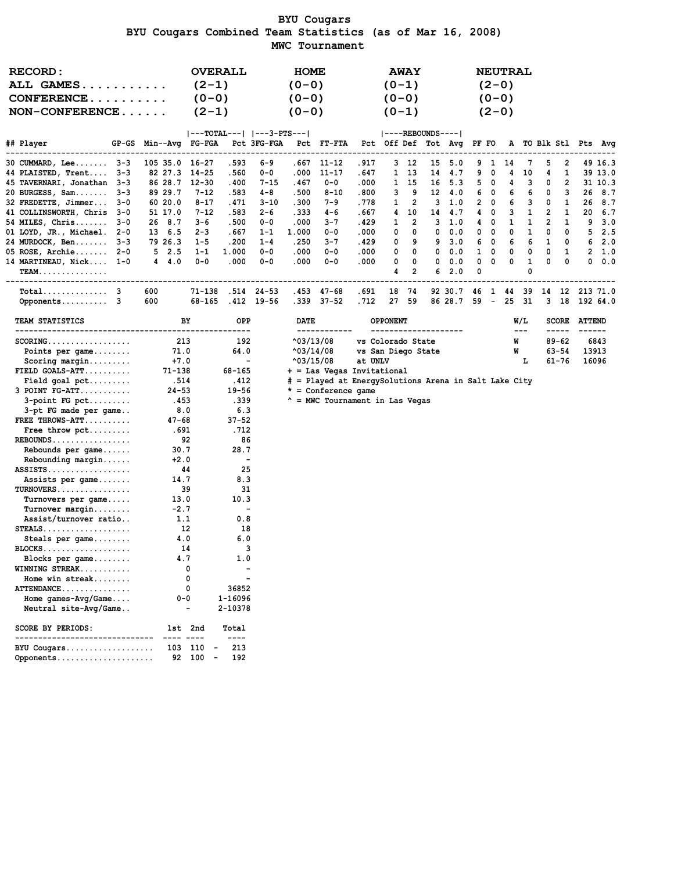### BYU Cougars BYU Cougars Combined Team Statistics (as of Mar 16, 2008) MWC Tournament

| <b>RECORD:</b><br>ALL GAMES<br>CONFERENCE<br>$NON-CONFERENCE$ |                                                                                             | <b>OVERALL</b><br>$(2-1)$<br>$(0 - 0)$<br>$(2-1)$ |                          |                          | <b>HOME</b><br>$(0 - 0)$<br>$(0 - 0)$<br>$(0-0)$ |                                                       |               | $(0-1)$<br>$(0 - 0)$<br>$(0-1)$ | <b>AWAY</b>         |    |                    |              | $(2-0)$<br>$(0 - 0)$<br>$(2-0)$ | <b>NEUTRAL</b> |               |                |                          |                     |                            |
|---------------------------------------------------------------|---------------------------------------------------------------------------------------------|---------------------------------------------------|--------------------------|--------------------------|--------------------------------------------------|-------------------------------------------------------|---------------|---------------------------------|---------------------|----|--------------------|--------------|---------------------------------|----------------|---------------|----------------|--------------------------|---------------------|----------------------------|
| ## Player                                                     | GP-GS Min--Avg FG-FGA Pct 3FG-FGA Pct FT-FTA Pct Off Def Tot Avg PF FO A TO Blk Stl Pts Avg | $ ---TOTAL--- $ $ ---3-PTS--- $                   |                          |                          |                                                  |                                                       |               | $ ----REBOUNDS--- $             |                     |    |                    |              |                                 |                |               |                |                          |                     |                            |
| -------------------------------<br>30 CUMMARD, Lee 3-3        | 105 35.0 16-27                                                                              |                                                   | .593                     | 6-9                      | ---------------                                  | .667 11-12                                            | . 917         |                                 | 3 12                | 15 | 5.0                | 9            | $\mathbf{1}$                    | 14             | 7             | 5              | 2                        |                     | 49 16.3                    |
| 44 PLAISTED, Trent 3-3                                        | 82 27.3 14-25                                                                               |                                                   | .560                     | $0 - 0$                  | .000                                             | 11-17                                                 | . 647         |                                 | 1 13                |    | 14 4.7             | 9            | 0                               | 4              | 10            | 4              | 1                        |                     | 39 13.0                    |
| 45 TAVERNARI, Jonathan 3-3                                    | 86 28.7 12-30                                                                               |                                                   | .400                     | 7-15                     | .467                                             | $0 - 0$                                               | .000          |                                 | 1 15                | 16 | 5.3                |              | 50                              | 4              | 3             | 0              | $\overline{2}$           |                     | 31 10.3                    |
| 20 BURGESS, Sam 3-3                                           | 89 29.7                                                                                     | $7 - 12$                                          | .583                     | 4-8                      | .500                                             | $8 - 10$                                              | .800          | 3                               | 9                   |    | 12 4.0             |              | 6 0                             | 6              | 6             | 0              | 3                        |                     | 26 8.7                     |
| 32 FREDETTE, Jimmer 3-0                                       | 60 20.0                                                                                     | $8 - 17$                                          | .471                     | 3-10                     | .300                                             | 7-9                                                   | .778          | 1                               | 2                   | 3  | 1.0                |              | $2 \quad 0$                     | 6              | 3             | 0              | 1                        |                     | 26 8.7                     |
| 41 COLLINSWORTH, Chris 3-0                                    | 51 17.0                                                                                     | $7 - 12$                                          | .583                     | 2-6                      | .333                                             | 4-6                                                   | . 667         | 4                               | 10                  | 14 | 4.7                |              | 40                              | 3              | 1             | $\overline{2}$ | -1                       | 20                  | 6.7                        |
| 54 MILES, Chris 3-0                                           | 26 8.7                                                                                      | $3 - 6$                                           | .500                     | $0 - 0$                  | .000                                             | $3 - 7$                                               | .429          | 1                               | $\overline{2}$      | 3  | 1.0                |              | 40                              | 1              | 1             | $\overline{2}$ | 1                        | 9                   | 3.0                        |
| 01 LOYD, JR., Michael. 2-0                                    | 13 6.5                                                                                      | $2 - 3$                                           | .667                     | $1 - 1$                  | 1.000                                            | $0 - 0$                                               | .000          | 0                               | 0                   | 0  | 0.0                |              | $0\quad 0$                      | 0              | 1             | 0              | 0                        |                     | 52.5                       |
| 24 MURDOCK, Ben 3-3                                           | 79 26.3                                                                                     | $1 - 5$                                           | .200                     | $1 - 4$                  | .250                                             | $3 - 7$                                               | .429          | 0                               | 9                   | 9  | 3.0                |              | 6 0                             | 6              | 6             | 1              | $\overline{\phantom{0}}$ |                     | 62.0                       |
| $05$ ROSE, Archie 2-0                                         | $5 \t2.5$                                                                                   | $1 - 1$                                           | 1.000                    | $0 - 0$                  | .000                                             | $0 - 0$                                               | .000          | 0                               | 0                   | 0  | 0.0                |              | $1 \quad 0$                     | 0              | 0             | 0              | -1                       |                     | 2, 1.0                     |
| 14 MARTINEAU, Nick 1-0<br>$TEAM.$                             | $4 \quad 4.0$                                                                               | $0 - 0$                                           | .000                     | 0-0                      | .000                                             | $0 - 0$                                               | .000          | 0<br>4                          | 0<br>$\overline{2}$ | 0  | 0.0<br>62.0        | 0<br>0       | 0                               | 0              | 1<br>0        | 0              | 0                        |                     | 0.0.0                      |
|                                                               |                                                                                             |                                                   |                          |                          |                                                  |                                                       |               |                                 |                     |    |                    |              |                                 |                |               |                |                          |                     |                            |
| Opponents 3                                                   | 600<br>600                                                                                  | 71-138<br>68-165                                  |                          | .514 24-53<br>.412 19-56 |                                                  | .453 47-68<br>.339 37-52                              | . 691<br>.712 |                                 | 18 74<br>27 59      |    | 92 30.7<br>86 28.7 | 46 1<br>59 – |                                 | 25             | 44 39<br>- 31 |                | $3 \quad 18$             |                     | 14 12 213 71.0<br>192 64.0 |
| <b>TEAM STATISTICS</b>                                        | BY                                                                                          |                                                   | OPP                      |                          | <b>DATE</b>                                      |                                                       |               | <b>OPPONENT</b>                 |                     |    |                    |              |                                 |                | W/L           |                |                          | <b>SCORE ATTEND</b> |                            |
|                                                               |                                                                                             |                                                   | ----------               |                          |                                                  | ------------                                          |               | --------------------            |                     |    |                    |              |                                 |                | $\frac{1}{2}$ |                | $- - - - - -$            |                     |                            |
| $SCORING.$                                                    | 213                                                                                         |                                                   | 192                      |                          | $^{\text{403}/13/08}$                            |                                                       |               | vs Colorado State               |                     |    |                    |              |                                 | W              |               |                | 89-62                    |                     | 6843                       |
| Points per $\texttt{game} \dots \dots$                        | 71.0                                                                                        |                                                   | 64.0                     |                          | $^{\land}03/14/08$                               |                                                       |               | vs San Diego State              |                     |    |                    |              |                                 | W              |               |                | $63 - 54$                | 13913               |                            |
| $Scoring margin$                                              | $+7.0$                                                                                      |                                                   | $\blacksquare$           |                          | $^{\wedge}03/15/08$                              |                                                       | at UNLV       |                                 |                     |    |                    |              |                                 |                | L             |                | 61-76                    | 16096               |                            |
| FIELD GOALS-ATT                                               | 71-138                                                                                      |                                                   | 68-165                   |                          |                                                  | + = Las Vegas Invitational                            |               |                                 |                     |    |                    |              |                                 |                |               |                |                          |                     |                            |
|                                                               | .514                                                                                        |                                                   | .412                     |                          |                                                  | # = Played at EnergySolutions Arena in Salt Lake City |               |                                 |                     |    |                    |              |                                 |                |               |                |                          |                     |                            |
| $3$ POINT $FG-ATT$                                            | $24 - 53$                                                                                   |                                                   | $19 - 56$                |                          |                                                  | $*$ = Conference game                                 |               |                                 |                     |    |                    |              |                                 |                |               |                |                          |                     |                            |
| $3$ -point FG pct                                             | .453                                                                                        |                                                   | .339                     |                          |                                                  | " = MWC Tournament in Las Vegas                       |               |                                 |                     |    |                    |              |                                 |                |               |                |                          |                     |                            |
| 3-pt FG made per game                                         | 8.0                                                                                         |                                                   | 6.3                      |                          |                                                  |                                                       |               |                                 |                     |    |                    |              |                                 |                |               |                |                          |                     |                            |
| FREE THROWS-ATT                                               | 47-68                                                                                       |                                                   | $37 - 52$                |                          |                                                  |                                                       |               |                                 |                     |    |                    |              |                                 |                |               |                |                          |                     |                            |
| Free throw $\n  pet \ldots \ldots$                            | . 691                                                                                       |                                                   | . 712                    |                          |                                                  |                                                       |               |                                 |                     |    |                    |              |                                 |                |               |                |                          |                     |                            |
| $REBOUNDS$                                                    | 92                                                                                          |                                                   | 86                       |                          |                                                  |                                                       |               |                                 |                     |    |                    |              |                                 |                |               |                |                          |                     |                            |
| Rebounds per game                                             | 30.7                                                                                        |                                                   | 28.7                     |                          |                                                  |                                                       |               |                                 |                     |    |                    |              |                                 |                |               |                |                          |                     |                            |
| $Rebounding margin$                                           | $+2.0$                                                                                      |                                                   | $\overline{\phantom{a}}$ |                          |                                                  |                                                       |               |                                 |                     |    |                    |              |                                 |                |               |                |                          |                     |                            |
| $ASSISTS$                                                     | 44                                                                                          |                                                   | 25                       |                          |                                                  |                                                       |               |                                 |                     |    |                    |              |                                 |                |               |                |                          |                     |                            |
| Assists per game                                              | 14.7                                                                                        |                                                   | 8.3                      |                          |                                                  |                                                       |               |                                 |                     |    |                    |              |                                 |                |               |                |                          |                     |                            |
| TURNOVERS                                                     | 39                                                                                          |                                                   | 31                       |                          |                                                  |                                                       |               |                                 |                     |    |                    |              |                                 |                |               |                |                          |                     |                            |
| Turnovers per game                                            | 13.0                                                                                        |                                                   | 10.3                     |                          |                                                  |                                                       |               |                                 |                     |    |                    |              |                                 |                |               |                |                          |                     |                            |
| $Turnover$ margin                                             | $-2.7$                                                                                      |                                                   | $\blacksquare$           |                          |                                                  |                                                       |               |                                 |                     |    |                    |              |                                 |                |               |                |                          |                     |                            |
| Assist/turnover ratio                                         | 1.1                                                                                         |                                                   | 0.8                      |                          |                                                  |                                                       |               |                                 |                     |    |                    |              |                                 |                |               |                |                          |                     |                            |
| $STEALS$                                                      | - 12                                                                                        |                                                   | 18                       |                          |                                                  |                                                       |               |                                 |                     |    |                    |              |                                 |                |               |                |                          |                     |                            |
| Steals per game                                               | 4.0                                                                                         |                                                   | 6.0<br>3                 |                          |                                                  |                                                       |               |                                 |                     |    |                    |              |                                 |                |               |                |                          |                     |                            |
| $\texttt{BLOCKS} \ldots \ldots \ldots \ldots \ldots \ldots$   | 14<br>4.7                                                                                   |                                                   |                          |                          |                                                  |                                                       |               |                                 |                     |    |                    |              |                                 |                |               |                |                          |                     |                            |
| Blocks per game                                               |                                                                                             | 0                                                 | 1.0                      |                          |                                                  |                                                       |               |                                 |                     |    |                    |              |                                 |                |               |                |                          |                     |                            |
| WINNING STREAK<br>Home win streak                             |                                                                                             | $\mathbf 0$                                       |                          |                          |                                                  |                                                       |               |                                 |                     |    |                    |              |                                 |                |               |                |                          |                     |                            |
| ATTENDANCE                                                    |                                                                                             | 0                                                 | 36852                    |                          |                                                  |                                                       |               |                                 |                     |    |                    |              |                                 |                |               |                |                          |                     |                            |
| Home $qames-Wq/Game$                                          | $0 - 0$                                                                                     |                                                   | 1-16096                  |                          |                                                  |                                                       |               |                                 |                     |    |                    |              |                                 |                |               |                |                          |                     |                            |
| Neutral site-Avg/Game                                         |                                                                                             |                                                   | 2-10378                  |                          |                                                  |                                                       |               |                                 |                     |    |                    |              |                                 |                |               |                |                          |                     |                            |
| <b>SCORE BY PERIODS:</b><br>____________________________      | 1st 2nd                                                                                     | $- - - -$                                         | Total<br>----            |                          |                                                  |                                                       |               |                                 |                     |    |                    |              |                                 |                |               |                |                          |                     |                            |
| BYU Cougars                                                   | 103                                                                                         | 110                                               | 213                      |                          |                                                  |                                                       |               |                                 |                     |    |                    |              |                                 |                |               |                |                          |                     |                            |
| Opponents                                                     |                                                                                             | 92 100<br>$\overline{\phantom{a}}$                | 192                      |                          |                                                  |                                                       |               |                                 |                     |    |                    |              |                                 |                |               |                |                          |                     |                            |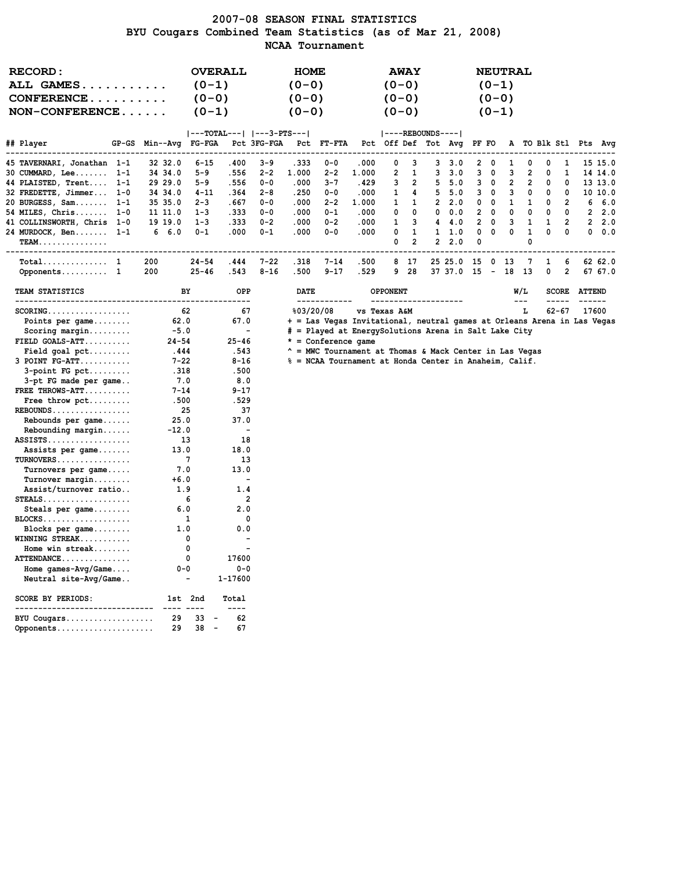### 2007-08 SEASON FINAL STATISTICS BYU Cougars Combined Team Statistics (as of Mar 21, 2008) NCAA Tournament

| <b>RECORD:</b>                                   |                 |                                | <b>OVERALL</b>           |                           | <b>HOME</b> |                                                                         |       |                         | <b>AWAY</b>    |                     |            |                |              | <b>NEUTRAL</b>          |                         |   |                |                      |         |
|--------------------------------------------------|-----------------|--------------------------------|--------------------------|---------------------------|-------------|-------------------------------------------------------------------------|-------|-------------------------|----------------|---------------------|------------|----------------|--------------|-------------------------|-------------------------|---|----------------|----------------------|---------|
| <b>ALL GAMES</b>                                 |                 | $(0-1)$                        |                          |                           | $(0 - 0)$   |                                                                         |       | $(0 - 0)$               |                |                     |            |                | $(0-1)$      |                         |                         |   |                |                      |         |
| $CONFERENCE \ldots \ldots \ldots$                |                 | $(0 - 0)$                      |                          |                           | $(0 - 0)$   |                                                                         |       | $(0 - 0)$               |                |                     |            |                | $(0 - 0)$    |                         |                         |   |                |                      |         |
|                                                  |                 |                                |                          |                           |             |                                                                         |       |                         |                |                     |            |                |              |                         |                         |   |                |                      |         |
| $NON-CONFERENCE$                                 |                 | $(0-1)$                        |                          |                           | $(0 - 0)$   |                                                                         |       | $(0 - 0)$               |                |                     |            |                | $(0-1)$      |                         |                         |   |                |                      |         |
|                                                  |                 |                                |                          | ---TOTAL---   ---3-PTS--- |             |                                                                         |       |                         |                | $ ----REBOUNDS--- $ |            |                |              |                         |                         |   |                |                      |         |
| ## Player<br>$GP-GS$                             | Min--Avg FG-FGA |                                |                          | Pct 3FG-FGA               |             | Pct FT-FTA                                                              |       | Pct Off Def Tot Avg     |                |                     |            | PF FO          |              |                         |                         |   |                | A TO Blk Stl Pts Avg |         |
| 45 TAVERNARI, Jonathan 1-1                       | 32 32.0         | $6 - 15$                       | .400                     | $3 - 9$                   | . 333       | $0 - 0$                                                                 | .000  | 0                       | 3              | 3                   | 3.0        | 2              | O            | 1                       | O                       | n | 1              |                      | 15 15.0 |
| 30 CUMMARD, Lee 1-1                              | 34 34.0         | 5-9                            | .556                     | $2 - 2$                   | 1.000       | $2 - 2$                                                                 | 1.000 | $\overline{\mathbf{c}}$ | 1              | 3                   | 3.0        | 3              | 0            | 3                       | $\overline{\mathbf{2}}$ | 0 | 1              |                      | 14 14.0 |
| 44 PLAISTED, Trent 1-1                           | 29 29.0         | 5-9                            | .556                     | $0 - 0$                   | .000        | $3 - 7$                                                                 | .429  | 3                       | $\overline{2}$ | 5                   | 5.0        | 3              | 0            | $\overline{\mathbf{2}}$ | $\overline{2}$          | 0 | 0              |                      | 13 13.0 |
| 32 FREDETTE, Jimmer 1-0                          | 34 34.0         | $4 - 11$                       | .364                     | $2 - 8$                   | .250        | $0 - 0$                                                                 | .000  | 1                       | 4              | 5                   | 5.0        | 3              | 0            | 3                       | 0                       | 0 | 0              |                      | 10 10.0 |
| 20 BURGESS, Sam<br>$1 - 1$                       | 35 35.0         | $2 - 3$                        | .667                     | $0 - 0$                   | .000        | $2 - 2$                                                                 | 1.000 | 1                       | 1              | $\mathbf{2}$        | 2.0        | 0              | 0            | $\mathbf{1}$            | 1                       | 0 | 2              | 6                    | 6.0     |
| 54 MILES, Chris 1-0                              | 11 11.0         | $1 - 3$                        | .333                     | $0 - 0$                   | .000        | $0 - 1$                                                                 | .000  | 0                       | $\Omega$       | $^{\circ}$          | 0.0        | 2              | $\mathbf{0}$ | 0                       | 0                       | 0 | $^{\circ}$     |                      | 2, 2.0  |
| 41 COLLINSWORTH, Chris 1-0                       | 19 19.0         | $1 - 3$                        | .333                     | $0 - 2$                   | .000        | $0 - 2$                                                                 | .000  | 1                       | 3              | 4                   | 4.0        | $\overline{2}$ | 0            | 3                       | 1                       | 1 | $\overline{2}$ |                      | 2, 2.0  |
| 24 MURDOCK, Ben<br>$1 - 1$                       | 6<br>6.0        | 0-1                            | .000                     | $0 - 1$                   | .000        | $0 - 0$                                                                 | .000  | 0                       | 1              | 1                   | 1.0        | 0              | 0            | 0                       | 1                       | 0 | 0              | 0                    | 0.0     |
| <b>TEAM.</b>                                     |                 |                                |                          |                           |             |                                                                         |       | 0                       | $\overline{2}$ | $\mathbf{2}$        | 2.0        | 0              |              |                         | 0                       |   |                |                      |         |
| -------------------                              |                 |                                |                          |                           |             |                                                                         |       |                         |                |                     |            |                |              |                         |                         |   |                |                      |         |
| $\texttt{Total} \dots \dots \dots \dots \quad 1$ | 200             | $24 - 54$                      | .444                     | $7 - 22$                  | .318        | $7 - 14$                                                                | .500  | 8                       | 17             |                     | 25 25.0    | 15             | 0            | 13                      | 7                       | 1 | 6              |                      | 62 62.0 |
| Opponents 1                                      | 200             | $25 - 46$                      | .543                     | $8 - 16$                  | .500        | $9 - 17$                                                                | .529  | 9                       | 28             |                     | 37 37.0 15 |                | $-18$        |                         | - 13                    | 0 | 2              |                      | 67 67.0 |
| TEAM STATISTICS<br>-------------------------     |                 | ВY                             | OPP                      |                           | <b>DATE</b> |                                                                         |       | <b>OPPONENT</b>         |                |                     |            |                |              |                         | W/L<br>$---$            |   | <b>SCORE</b>   | <b>ATTEND</b>        |         |
| $SCORING$                                        |                 | 62                             | 67                       |                           | %03/20/08   |                                                                         |       | <b>vs Texas A&amp;M</b> |                |                     |            |                |              |                         | L                       |   | $62 - 67$      | 17600                |         |
| Points per game                                  | 62.0            |                                | 67.0                     |                           |             | + = Las Vegas Invitational, neutral games at Orleans Arena in Las Vegas |       |                         |                |                     |            |                |              |                         |                         |   |                |                      |         |
| Scoring margin                                   | $-5.0$          |                                | $\overline{\phantom{a}}$ |                           |             | # = Played at EnergySolutions Arena in Salt Lake City                   |       |                         |                |                     |            |                |              |                         |                         |   |                |                      |         |
| $FIELD GOALS-ATT$                                | $24 - 54$       |                                | $25 - 46$                |                           |             | $* =$ Conference game                                                   |       |                         |                |                     |            |                |              |                         |                         |   |                |                      |         |
| Field goal <i>pet</i>                            | .444            |                                | .543                     |                           |             | $^{\wedge}$ = MWC Tournament at Thomas & Mack Center in Las Vegas       |       |                         |                |                     |            |                |              |                         |                         |   |                |                      |         |
| $3$ POINT $FG-ATT$                               | $7 - 22$        |                                | $8 - 16$                 |                           |             | % = NCAA Tournament at Honda Center in Anaheim, Calif.                  |       |                         |                |                     |            |                |              |                         |                         |   |                |                      |         |
| $3$ -point FG pct                                | .318            |                                | .500                     |                           |             |                                                                         |       |                         |                |                     |            |                |              |                         |                         |   |                |                      |         |
| 3-pt FG made per game                            | 7.0             |                                | 8.0                      |                           |             |                                                                         |       |                         |                |                     |            |                |              |                         |                         |   |                |                      |         |
| FREE THROWS-ATT                                  | $7 - 14$        |                                | $9 - 17$                 |                           |             |                                                                         |       |                         |                |                     |            |                |              |                         |                         |   |                |                      |         |
| Free throw pct                                   | .500            |                                | .529                     |                           |             |                                                                         |       |                         |                |                     |            |                |              |                         |                         |   |                |                      |         |
| $REBOUNDS$                                       |                 | 25                             | 37                       |                           |             |                                                                         |       |                         |                |                     |            |                |              |                         |                         |   |                |                      |         |
| Rebounds per game                                | 25.0            |                                | 37.0                     |                           |             |                                                                         |       |                         |                |                     |            |                |              |                         |                         |   |                |                      |         |
| Rebounding margin                                | $-12.0$         |                                | $\overline{\phantom{a}}$ |                           |             |                                                                         |       |                         |                |                     |            |                |              |                         |                         |   |                |                      |         |
| $ASSISTS$                                        |                 | 13                             | 18                       |                           |             |                                                                         |       |                         |                |                     |            |                |              |                         |                         |   |                |                      |         |
| Assists per game                                 | 13.0            |                                | 18.0                     |                           |             |                                                                         |       |                         |                |                     |            |                |              |                         |                         |   |                |                      |         |
| TURNOVERS                                        |                 | 7                              | 13                       |                           |             |                                                                         |       |                         |                |                     |            |                |              |                         |                         |   |                |                      |         |
| Turnovers per game                               | 7.0             |                                | 13.0                     |                           |             |                                                                         |       |                         |                |                     |            |                |              |                         |                         |   |                |                      |         |
| Turnover margin                                  | $+6.0$          |                                | $\overline{\phantom{a}}$ |                           |             |                                                                         |       |                         |                |                     |            |                |              |                         |                         |   |                |                      |         |
| Assist/turnover ratio                            | 1.9             |                                | 1.4                      |                           |             |                                                                         |       |                         |                |                     |            |                |              |                         |                         |   |                |                      |         |
| $STEALS$                                         |                 | 6                              | 2                        |                           |             |                                                                         |       |                         |                |                     |            |                |              |                         |                         |   |                |                      |         |
| Steals per game                                  | 6.0             |                                | 2.0                      |                           |             |                                                                         |       |                         |                |                     |            |                |              |                         |                         |   |                |                      |         |
| $BLOCKS$                                         |                 | 1                              | 0                        |                           |             |                                                                         |       |                         |                |                     |            |                |              |                         |                         |   |                |                      |         |
| Blocks per game                                  | 1.0             |                                | 0.0                      |                           |             |                                                                         |       |                         |                |                     |            |                |              |                         |                         |   |                |                      |         |
| WINNING STREAK                                   |                 | 0                              |                          |                           |             |                                                                         |       |                         |                |                     |            |                |              |                         |                         |   |                |                      |         |
| Home win streak                                  |                 | 0                              |                          |                           |             |                                                                         |       |                         |                |                     |            |                |              |                         |                         |   |                |                      |         |
| $ATTENDANCE$                                     |                 | $\mathbf 0$                    | 17600                    |                           |             |                                                                         |       |                         |                |                     |            |                |              |                         |                         |   |                |                      |         |
| Home games- $Avg/Game$                           | $0 - 0$         |                                | $0 - 0$                  |                           |             |                                                                         |       |                         |                |                     |            |                |              |                         |                         |   |                |                      |         |
| Neutral site-Avg/Game                            |                 | $\blacksquare$                 | 1-17600                  |                           |             |                                                                         |       |                         |                |                     |            |                |              |                         |                         |   |                |                      |         |
| SCORE BY PERIODS:<br>--------------------------  |                 | 1st 2nd                        | Total<br>----            |                           |             |                                                                         |       |                         |                |                     |            |                |              |                         |                         |   |                |                      |         |
| BYU Cougars                                      | 29              | 33                             | 62                       |                           |             |                                                                         |       |                         |                |                     |            |                |              |                         |                         |   |                |                      |         |
| Opponents                                        | 29              | 38<br>$\overline{\phantom{a}}$ | 67                       |                           |             |                                                                         |       |                         |                |                     |            |                |              |                         |                         |   |                |                      |         |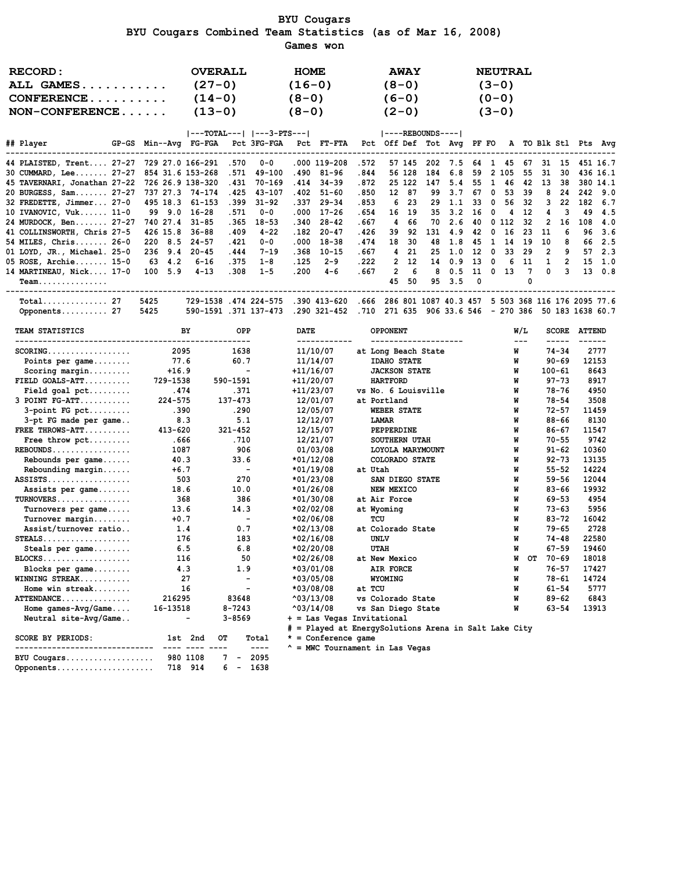BYU Cougars BYU Cougars Combined Team Statistics (as of Mar 16, 2008) Games won

| <b>RECORD:</b><br>ALL GAMES<br>$CONFERENCE$<br>$NON-CONFERENCE$                                          |         | <b>OVERALL</b><br>$(27-0)$<br>$(14-0)$<br>$(13-0)$                                        |       |           | <b>HOME</b><br>$(16-0)$<br>$(8-0)$<br>$(8-0)$ |                                                                      |                                                      | $(8-0)$<br>$(6-0)$ | <b>AWAY</b><br>$(2-0)$ |     |                       |    |                         | <b>NEUTRAL</b><br>$(3-0)$<br>$(0 - 0)$<br>$(3-0)$ |             |              |                |                |                |
|----------------------------------------------------------------------------------------------------------|---------|-------------------------------------------------------------------------------------------|-------|-----------|-----------------------------------------------|----------------------------------------------------------------------|------------------------------------------------------|--------------------|------------------------|-----|-----------------------|----|-------------------------|---------------------------------------------------|-------------|--------------|----------------|----------------|----------------|
|                                                                                                          |         |                                                                                           |       |           |                                               | ---TOTAL---   ---3-PTS---                           ----REBOUNDS---- |                                                      |                    |                        |     |                       |    |                         |                                                   |             |              |                |                |                |
| ## Player<br>GP-GS Min--Avq FG-FGA Pct 3FG-FGA Pct FT-FTA Pct Off Def Tot Avq PF-FO A TO-Blk-Stl Pts Avq |         |                                                                                           |       |           |                                               |                                                                      |                                                      |                    |                        |     |                       |    |                         |                                                   |             |              |                |                |                |
| 44 PLAISTED, Trent 27-27 729 27.0 166-291 .570 0-0 .000 119-208                                          |         |                                                                                           |       |           |                                               |                                                                      | .572                                                 |                    | 57 145                 |     | 202 7.5 64 1 45       |    |                         |                                                   | 67          |              |                | 31 15 451 16.7 |                |
| 30 CUMMARD, Lee 27-27 854 31.6 153-268                                                                   |         |                                                                                           | .571  | 49-100    |                                               | $.490$ 81-96                                                         | .844                                                 |                    | 56 128                 | 184 | 6.8                   | 59 |                         | 2 105 55                                          |             | - 31         | 30             |                | 436 16.1       |
| 45 TAVERNARI, Jonathan 27-22 726 26.9 138-320                                                            |         |                                                                                           | .431  | 70-169    | .414                                          | $34 - 39$                                                            | .872                                                 |                    | 25 122                 |     | 147 5.4 55            |    |                         | 1 46                                              | 42          | 13           | 38             |                | 380 14.1       |
| 20 BURGESS, Sam 27-27 737 27.3 74-174                                                                    |         |                                                                                           | . 425 | 43-107    |                                               | .402 51-60                                                           | .850                                                 |                    | 12 87                  |     | 99 3.7                | 67 | $\mathbf{0}$            | 53                                                | 39          | -8           | 24             |                | 242 9.0        |
| 32 FREDETTE, Jimmer 27-0 495 18.3 61-153                                                                 |         |                                                                                           | .399  | $31 - 92$ | . 337                                         | $29 - 34$                                                            | .853                                                 |                    | 6 23                   |     | 29 1.1 33 0           |    |                         |                                                   | 56 32       | 3            | 22             |                | 182 6.7        |
| 10 IVANOVIC, Vuk 11-0 99 9.0 16-28                                                                       |         |                                                                                           | .571  | 0-0       | .000                                          | $17 - 26$                                                            | . 654                                                |                    | 16 19                  |     | 35 3.2 16             |    | $\overline{\mathbf{0}}$ |                                                   | 4 12        | 4            | 3              | 49             | 4.5            |
| 24 MURDOCK, Ben 27-27                                                                                    |         | 740 27.4 31-85                                                                            | .365  | $18 - 53$ | .340                                          | $28 - 42$                                                            | .667                                                 |                    | 4 66                   | 70  | 2.6                   |    |                         | 40 0 112 32                                       |             | 2            | 16             | 108            | 4.0            |
| 41 COLLINSWORTH, Chris 27-5 426 15.8                                                                     |         | $36 - 88$                                                                                 | .409  | $4 - 22$  | .182                                          | $20 - 47$                                                            | .426                                                 | 39                 | 92                     |     | 131 4.9               | 42 |                         | $0\quad 16$                                       | 23          | 11           | 6              |                | 96 3.6         |
| $54$ MILES, Chris 26-0                                                                                   | 220 8.5 | $24 - 57$                                                                                 | . 421 | $0 - 0$   | .000                                          | $18 - 38$                                                            | .474                                                 |                    | 18 30                  | 48  | 1.8                   | 45 | $\mathbf{1}$            |                                                   | 14 19       | 10           | -8             | 66             | 2.5            |
| 01 LOYD, JR., Michael. 25-0 236 9.4 20-45                                                                |         |                                                                                           | . 444 | $7 - 19$  | .368                                          | $10 - 15$                                                            | .667                                                 |                    | 4 21                   |     | 25 1.0 12 0 33 29     |    |                         |                                                   |             | 2            | 9              |                | 572.3          |
| 05 ROSE, Archie 15-0 63 4.2                                                                              |         | $6 - 16$                                                                                  | .375  | 1-8       |                                               | $.125$ 2-9                                                           | .222                                                 |                    | $2 \quad 12$           |     | 14  0.9  13  0  6  11 |    |                         |                                                   |             | $\mathbf{1}$ | $\overline{2}$ |                | $15 \quad 1.0$ |
| 14 MARTINEAU, Nick 17-0 100 5.9                                                                          |         | $4 - 13$                                                                                  | .308  | $1 - 5$   |                                               | .200 4-6                                                             | .667                                                 |                    | 2 6                    |     | 8 0.5 11 0 13 7       |    |                         |                                                   |             | $^{\circ}$   | 3 I            |                | 13 0.8         |
| Team.                                                                                                    |         |                                                                                           |       |           |                                               |                                                                      |                                                      |                    | 45 50                  |     | 95 3.5 0              |    |                         |                                                   | $\mathbf 0$ |              |                |                |                |
| $Total$ 27                                                                                               | 5425    | 729-1538 .474 224-575 .390 413-620 .666 286 801 1087 40.3 457 5 503 368 116 176 2095 77.6 |       |           |                                               |                                                                      |                                                      |                    |                        |     |                       |    |                         |                                                   |             |              |                |                |                |
| Opponents 27                                                                                             | 5425    | 590-1591 .371 137-473                                                                     |       |           |                                               | .290 321-452                                                         | .710 271 635 906 33.6 546 - 270 386 50 183 1638 60.7 |                    |                        |     |                       |    |                         |                                                   |             |              |                |                |                |

| TEAM STATISTICS                        | BY.         | <b>OPP</b>               | <b>DATE</b>                | <b>OPPONENT</b>                                       | W/L         |    |            | <b>SCORE ATTEND</b> |
|----------------------------------------|-------------|--------------------------|----------------------------|-------------------------------------------------------|-------------|----|------------|---------------------|
| $SCORING.$                             | 2095        | 1638                     | 11/10/07                   | at Long Beach State                                   | $-- -$<br>W |    | $74 - 34$  | 2777                |
| Points per $\texttt{qame} \dots \dots$ | 77.6        | 60.7                     | 11/14/07                   | <b>IDAHO STATE</b>                                    | W           |    | $90 - 69$  | 12153               |
| $Scoring margin$                       | $+16.9$     | $\sim$ 100 $-$           | $+11/16/07$                | <b>JACKSON STATE</b>                                  | W           |    | $100 - 61$ | 8643                |
| $FIELD$ GOALS-ATT                      | 729-1538    | 590-1591                 | $+11/20/07$                | <b>HARTFORD</b>                                       | W           |    | $97 - 73$  | 8917                |
| Field goal $pet$                       | .474        | .371                     | $+11/23/07$                | vs No. 6 Louisville                                   | W           |    | 78-76      | 4950                |
| $3$ POINT $FG-ATT$                     | $224 - 575$ | $137 - 473$              | 12/01/07                   | at Portland                                           | W           |    | $78 - 54$  | 3508                |
| $3$ -point FG pct                      | .390        | .290                     | 12/05/07                   | WEBER STATE                                           | W           |    | $72 - 57$  | 11459               |
| 3-pt FG made per game                  | 8.3         | 5.1                      | 12/12/07                   | LAMAR                                                 | W           |    | $88 - 66$  | 8130                |
| FREE THROWS-ATT                        | 413-620     | $321 - 452$              | 12/15/07                   | PEPPERDINE                                            | W           |    | $86 - 67$  | 11547               |
| Free throw pct                         | .666        | .710                     | 12/21/07                   | SOUTHERN UTAH                                         | W           |    | $70 - 55$  | 9742                |
| $REBOUNDS$                             | 1087        | 906                      | 01/03/08                   | LOYOLA MARYMOUNT                                      | W           |    | $91 - 62$  | 10360               |
| Rebounds per game                      | 40.3        | 33.6                     | $*01/12/08$                | COLORADO STATE                                        | W           |    | $92 - 73$  | 13135               |
| Rebounding margin                      | $+6.7$      | $\sim$                   | $*01/19/08$                | at Utah                                               | W           |    | $55 - 52$  | 14224               |
| $ASSISTS.$                             | 503         | 270                      | $*01/23/08$                | SAN DIEGO STATE                                       | W           |    | $59 - 56$  | 12044               |
| Assists per game                       | 18.6        | 10.0                     | $*01/26/08$                | NEW MEXICO                                            | W           |    | $83 - 66$  | 19932               |
| $TURNOVERS$                            | 368         | 386                      | $*01/30/08$                | at Air Force                                          | W           |    | $69 - 53$  | 4954                |
| Turnovers per game                     | 13.6        | 14.3                     | *02/02/08                  | at Wyoming                                            | W           |    | $73 - 63$  | 5956                |
| Turnover margin                        | $+0.7$      | $\sim$                   | $*02/06/08$                | TCU                                                   | W           |    | $83 - 72$  | 16042               |
| Assist/turnover ratio                  | 1.4         | 0.7                      | $*02/13/08$                | at Colorado State                                     | W           |    | $79 - 65$  | 2728                |
| $STEALS$                               | 176         | 183                      | $*02/16/08$                | <b>UNLV</b>                                           | W           |    | $74 - 48$  | 22580               |
| Steals per game                        | 6.5         | 6.8                      | $*02/20/08$                | <b>UTAH</b>                                           | W           |    | $67 - 59$  | 19460               |
| BLOCKS                                 | 116         | 50                       | $*02/26/08$                | at New Mexico                                         | W           | OТ | 70-69      | 18018               |
| Blocks per game                        | 4.3         | 1.9                      | $*03/01/08$                | AIR FORCE                                             | W           |    | $76 - 57$  | 17427               |
| WINNING STREAK                         | 27          | $\overline{\phantom{a}}$ | $*03/05/08$                | <b>WYOMING</b>                                        | W           |    | $78 - 61$  | 14724               |
| Home win streak                        | 16          | $\blacksquare$           | $*03/08/08$                | at TCU                                                | W           |    | $61 - 54$  | 5777                |
| ATTENDANCE                             | 216295      | 83648                    | $^{\wedge}03/13/08$        | vs Colorado State                                     | W           |    | $89 - 62$  | 6843                |
| Home $qames-Wq/Game$                   | 16-13518    | $8 - 7243$               | $^{\text{03/14/08}}$       | vs San Diego State                                    | W           |    | $63 - 54$  | 13913               |
| Neutral site-Avg/Game                  |             | $3 - 8569$               | + = Las Vegas Invitational |                                                       |             |    |            |                     |
|                                        |             |                          |                            | # = Played at EnergySolutions Arena in Salt Lake City |             |    |            |                     |
| SCORE BY PERIODS:                      | 1st 2nd     | OТ<br>Total              | $*$ = Conference game      |                                                       |             |    |            |                     |

Opponents..................... 718 914 6 - 1638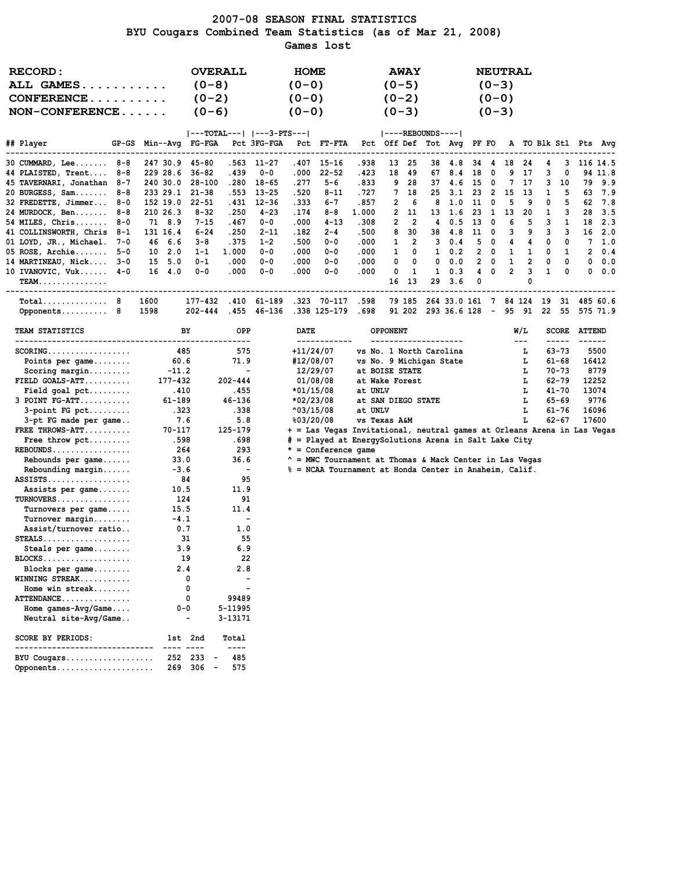### 2007-08 SEASON FINAL STATISTICS BYU Cougars Combined Team Statistics (as of Mar 21, 2008) Games lost

| <b>RECORD:</b><br>ALL GAMES                     |                       | <b>OVERALL</b><br>$(0-8)$ |                          |             | <b>HOME</b><br>$(0 - 0)$ |                                                                                      |                         | $(0-5)$                                 | <b>AWAY</b> |                       |                          |        | $(0-3)$                  | <b>NEUTRAL</b> |                             |       |              |                                |                      |
|-------------------------------------------------|-----------------------|---------------------------|--------------------------|-------------|--------------------------|--------------------------------------------------------------------------------------|-------------------------|-----------------------------------------|-------------|-----------------------|--------------------------|--------|--------------------------|----------------|-----------------------------|-------|--------------|--------------------------------|----------------------|
|                                                 |                       |                           |                          |             |                          |                                                                                      |                         |                                         |             |                       |                          |        |                          |                |                             |       |              |                                |                      |
| $CONFERENCE$                                    |                       | $(0-2)$                   |                          |             | $(0-0)$                  |                                                                                      |                         | $(0-2)$                                 |             |                       |                          |        | $(0-0)$                  |                |                             |       |              |                                |                      |
| $NON-CONFERENCE$                                |                       | $(0-6)$                   |                          |             | $(0 - 0)$                |                                                                                      |                         | $(0-3)$                                 |             |                       |                          |        | $(0-3)$                  |                |                             |       |              |                                |                      |
|                                                 |                       |                           |                          |             |                          |                                                                                      |                         |                                         |             |                       |                          |        |                          |                |                             |       |              |                                |                      |
|                                                 |                       | ---TOTAL---   ---3-PTS--- |                          |             |                          |                                                                                      |                         | $ ----REBOUNDS--- $                     |             |                       |                          |        |                          |                |                             |       |              |                                |                      |
| ## Player                                       | GP-GS Min--Avg FG-FGA |                           |                          | Pct 3FG-FGA |                          | <b>PCt FT-FTA</b>                                                                    |                         | Pct Off Def Tot Avg PF FO               |             |                       |                          |        |                          |                |                             |       |              |                                | A TO Blk Stl Pts Avg |
| $30$ CUMMARD, Lee $8-8$                         | 247 30.9 45-80        |                           |                          | .563 11–27  |                          | .407 15-16                                                                           | .938                    |                                         | 13 25       |                       | 38 4.8                   | 34     | $\frac{4}{3}$            |                | 18 24                       | 4     | 3            |                                | 116 14.5             |
| 44 PLAISTED, Trent 8-8                          | 229 28.6              | $36 - 82$                 | . 439                    | $0 - 0$     | .000                     | $22 - 52$                                                                            | .423                    | 18                                      | 49          | 67                    | 8.4                      | 18     | 0                        | 9              | 17                          | з     | 0            |                                | 94 11.8              |
| 45 TAVERNARI, Jonathan 8-7                      | 240 30.0              | 28-100                    | .280                     | 18-65       | .277                     | 5-6                                                                                  | .833                    | 9                                       | 28          | 37                    | 4.6                      | 15     | $\overline{\mathbf{0}}$  |                | 7 17                        | 3     | 10           |                                | 79 9.9               |
| 20 BURGESS, Sam $8-8$                           | 233 29.1 21-38        |                           |                          | .553 13-25  | .520                     | $8 - 11$                                                                             | . 727                   | 7                                       | 18          | 25                    | 3.1                      | -23    | $\overline{\mathbf{2}}$  | 15             | - 13                        | 1     | 5            |                                | 63 7.9               |
| 32 FREDETTE, Jimmer 8-0                         | 152 19.0              | $22 - 51$                 | . 431                    | $12 - 36$   | . 333                    | 6-7                                                                                  | .857                    | 2                                       | 6           | 8                     | 1.0                      | 11     | $\overline{\mathbf{0}}$  | 5              | 9                           | 0     | 5            |                                | 62 7.8               |
| 24 MURDOCK, Ben 8-8                             | 210 26.3              | $8 - 32$                  | .250                     | $4 - 23$    | .174                     | 8-8                                                                                  | 1.000                   | $\overline{2}$                          | 11          | 13                    | 1.6                      | 23     | $\overline{1}$           | 13             | 20                          | 1     | 3            | 28                             | 3.5                  |
| 54 MILES, $Christ 8-0$                          | 71 8.9                | $7 - 15$                  | .467                     | $0 - 0$     | .000                     | 4-13                                                                                 | .308                    | 2                                       | 2           | 4                     | 0.5                      | - 13   | $\overline{\phantom{0}}$ | 6              | 5                           | 3     | -1           |                                | 18 2.3               |
| 41 COLLINSWORTH, Chris 8-1                      | 131 16.4              | $6 - 24$                  | .250                     | $2 - 11$    | .182                     | $2 - 4$                                                                              | .500                    | 8                                       | 30          |                       | 38 4.8                   | 11     | $\overline{\phantom{0}}$ | 3              | 9                           | 3     | 3            |                                | 16 2.0               |
| 01 LOYD, JR., Michael. 7-0                      | 46 6.6                | $3 - 8$                   | . 375                    | $1 - 2$     | .500                     | $0 - 0$                                                                              | .000                    | 1                                       | 2           | 3                     | 0.4                      |        | 50                       | 4              | 4                           | 0     | 0            |                                | 7, 1.0               |
| 05 ROSE, Archie $5-0$                           | $10 \quad 2.0$        | $1 - 1$                   | 1.000                    | $0 - 0$     | .000                     | $0 - 0$                                                                              | .000                    | 1                                       | 0           | $\mathbf{1}$          | 0.2                      |        | $2 \quad 0$              | 1              | 1                           | 0     | 1            |                                | $2 \t 0.4$           |
| 14 MARTINEAU, Nick 3-0                          | 15 5.0                | $0 - 1$                   | .000                     | $0 - 0$     | .000                     | $0 - 0$                                                                              | .000                    | 0                                       | 0           | 0                     | 0.0                      |        | $2 \quad 0$              | 1              | 2                           | 0     | 0            |                                | 0.0.0                |
| 10 IVANOVIC, $Vuk$ $4-0$                        | 16 4.0                | 0-0                       | .000                     | $0 - 0$     | .000                     | $0 - 0$                                                                              | .000                    | 0                                       | 1           | $\mathbf{1}$          | 0.3                      | 4<br>0 | 0                        | $\overline{2}$ | 3<br>0                      | 1     | 0            |                                | 0.0.0                |
| <b>TEAM.</b><br>-----------------------------   |                       |                           |                          |             |                          |                                                                                      |                         | 16                                      | 13          | 29                    | 3.6                      |        |                          |                |                             |       |              |                                |                      |
| $Total$ 8                                       | 1600                  | 177-432                   |                          | .410 61-189 |                          | .323 70-117                                                                          | .598                    |                                         | 79 185      |                       | 264 33.0 161 7 84 124 19 |        |                          |                |                             |       |              |                                | 31 485 60.6          |
| Opponents 8                                     | 1598                  | $202 - 444$               |                          | .455 46-136 |                          | .338 125-179                                                                         | .698                    |                                         |             | 91 202 293 36.6 128 - |                          |        |                          |                | 95 91                       | 22 55 |              |                                | 575 71.9             |
|                                                 |                       |                           |                          |             |                          |                                                                                      |                         |                                         |             |                       |                          |        |                          |                |                             |       |              |                                |                      |
| <b>TEAM STATISTICS</b>                          |                       | BY                        | OPP<br>----------        |             | DATE                     | ------------                                                                         |                         | <b>OPPONENT</b><br>-------------------- |             |                       |                          |        |                          |                | W/L<br>$\sim$ $\sim$ $\sim$ |       | <b>SCORE</b> | <b>ATTEND</b><br>$\frac{1}{2}$ |                      |
|                                                 | 485                   |                           | 575                      |             |                          | $+11/24/07$                                                                          | vs No. 1 North Carolina |                                         |             |                       |                          |        |                          |                | т.                          |       | 63-73        |                                | 5500                 |
| Points per $game \ldots \ldots$                 | 60.6                  |                           | 71.9                     |             |                          | #12/08/07                                                                            | vs No. 9 Michigan State |                                         |             |                       |                          |        |                          |                | L                           |       | 61-68        |                                | 16412                |
| Scoring $margin$                                | $-11.2$               |                           | $\overline{\phantom{a}}$ |             |                          | 12/29/07                                                                             | at BOISE STATE          |                                         |             |                       |                          |        |                          |                | ъ                           |       | $70 - 73$    |                                | 8779                 |
| $FIELD GOALS-ATT$                               | 177-432               |                           | $202 - 444$              |             |                          | 01/08/08                                                                             | at Wake Forest          |                                         |             |                       |                          |        |                          |                | ъ                           |       | $62 - 79$    |                                | 12252                |
| $Field goal pet \dots$                          | .410                  |                           | .455                     |             |                          | *01/15/08                                                                            | at UNLV                 |                                         |             |                       |                          |        |                          |                | г                           |       | $41 - 70$    |                                | 13074                |
| $3$ POINT $FG-ATT$                              | $61 - 189$            |                           | 46-136                   |             |                          | *02/23/08                                                                            | at SAN DIEGO STATE      |                                         |             |                       |                          |        |                          |                | г                           |       | $65 - 69$    |                                | 9776                 |
| $3$ -point FG pct                               | .323                  |                           | .338                     |             |                          | $^{\wedge}03/15/08$                                                                  | at UNLV                 |                                         |             |                       |                          |        |                          |                | г                           |       | $61 - 76$    |                                | 16096                |
| 3-pt FG made per game                           | 7.6<br>70-117         |                           | 5.8<br>125-179           |             |                          | 803/20/08<br>+ = Las Vegas Invitational, neutral games at Orleans Arena in Las Vegas | vs Texas A&M            |                                         |             |                       |                          |        |                          |                | L                           |       | $62 - 67$    |                                | 17600                |
| FREE THROWS-ATT<br>Free throw $\not\vdots$      | .598                  |                           | .698                     |             |                          | # = Played at EnergySolutions Arena in Salt Lake City                                |                         |                                         |             |                       |                          |        |                          |                |                             |       |              |                                |                      |
| $REBOUNDS$                                      | 264                   |                           | 293                      |             |                          | $*$ = Conference game                                                                |                         |                                         |             |                       |                          |        |                          |                |                             |       |              |                                |                      |
| Rebounds per game                               | 33.0                  |                           | 36.6                     |             |                          | * = MWC Tournament at Thomas & Mack Center in Las Vegas                              |                         |                                         |             |                       |                          |        |                          |                |                             |       |              |                                |                      |
| $Rebounding margin$                             | $-3.6$                |                           | $\overline{\phantom{a}}$ |             |                          | % = NCAA Tournament at Honda Center in Anaheim, Calif.                               |                         |                                         |             |                       |                          |        |                          |                |                             |       |              |                                |                      |
| $ASSISTS \ldots \ldots \ldots \ldots$           |                       | 84                        | 95                       |             |                          |                                                                                      |                         |                                         |             |                       |                          |        |                          |                |                             |       |              |                                |                      |
| Assists per game                                | 10.5                  |                           | 11.9                     |             |                          |                                                                                      |                         |                                         |             |                       |                          |        |                          |                |                             |       |              |                                |                      |
| $TURNOVERS\ldots\ldots\ldots\ldots\ldots\ldots$ | 124                   |                           | 91                       |             |                          |                                                                                      |                         |                                         |             |                       |                          |        |                          |                |                             |       |              |                                |                      |
| Turnovers per game                              | 15.5                  |                           | 11.4                     |             |                          |                                                                                      |                         |                                         |             |                       |                          |        |                          |                |                             |       |              |                                |                      |
| Turnover margin                                 | $-4.1$                |                           | $\blacksquare$           |             |                          |                                                                                      |                         |                                         |             |                       |                          |        |                          |                |                             |       |              |                                |                      |
| Assist/turnover ratio                           | 0.7                   |                           | 1.0                      |             |                          |                                                                                      |                         |                                         |             |                       |                          |        |                          |                |                             |       |              |                                |                      |
| $STEALS$                                        |                       | 31                        | 55                       |             |                          |                                                                                      |                         |                                         |             |                       |                          |        |                          |                |                             |       |              |                                |                      |
| Steals per game                                 | 3.9                   |                           | 6.9                      |             |                          |                                                                                      |                         |                                         |             |                       |                          |        |                          |                |                             |       |              |                                |                      |
| $BLOCKS$                                        |                       | 19                        | 22                       |             |                          |                                                                                      |                         |                                         |             |                       |                          |        |                          |                |                             |       |              |                                |                      |
| Blocks per game<br>WINNING STREAK               | 2.4                   | 0                         | 2.8                      |             |                          |                                                                                      |                         |                                         |             |                       |                          |        |                          |                |                             |       |              |                                |                      |
| Home win streak                                 |                       | 0                         |                          |             |                          |                                                                                      |                         |                                         |             |                       |                          |        |                          |                |                             |       |              |                                |                      |
| ATTENDANCE                                      |                       | 0                         | 99489                    |             |                          |                                                                                      |                         |                                         |             |                       |                          |        |                          |                |                             |       |              |                                |                      |
| Home games- $Avg/Game$ .                        | 0-0                   |                           | 5-11995                  |             |                          |                                                                                      |                         |                                         |             |                       |                          |        |                          |                |                             |       |              |                                |                      |
| Neutral site-Avg/Game                           |                       | $\blacksquare$            | 3-13171                  |             |                          |                                                                                      |                         |                                         |             |                       |                          |        |                          |                |                             |       |              |                                |                      |
|                                                 |                       |                           |                          |             |                          |                                                                                      |                         |                                         |             |                       |                          |        |                          |                |                             |       |              |                                |                      |
| <b>SCORE BY PERIODS:</b>                        |                       | 1st 2nd                   | Total                    |             |                          |                                                                                      |                         |                                         |             |                       |                          |        |                          |                |                             |       |              |                                |                      |
| -------------------------------                 |                       | -- ----                   | ----                     |             |                          |                                                                                      |                         |                                         |             |                       |                          |        |                          |                |                             |       |              |                                |                      |
| BYU Cougars                                     |                       | 252 233                   | 485                      |             |                          |                                                                                      |                         |                                         |             |                       |                          |        |                          |                |                             |       |              |                                |                      |
| Opponents                                       | 269                   | $306 -$                   | 575                      |             |                          |                                                                                      |                         |                                         |             |                       |                          |        |                          |                |                             |       |              |                                |                      |
|                                                 |                       |                           |                          |             |                          |                                                                                      |                         |                                         |             |                       |                          |        |                          |                |                             |       |              |                                |                      |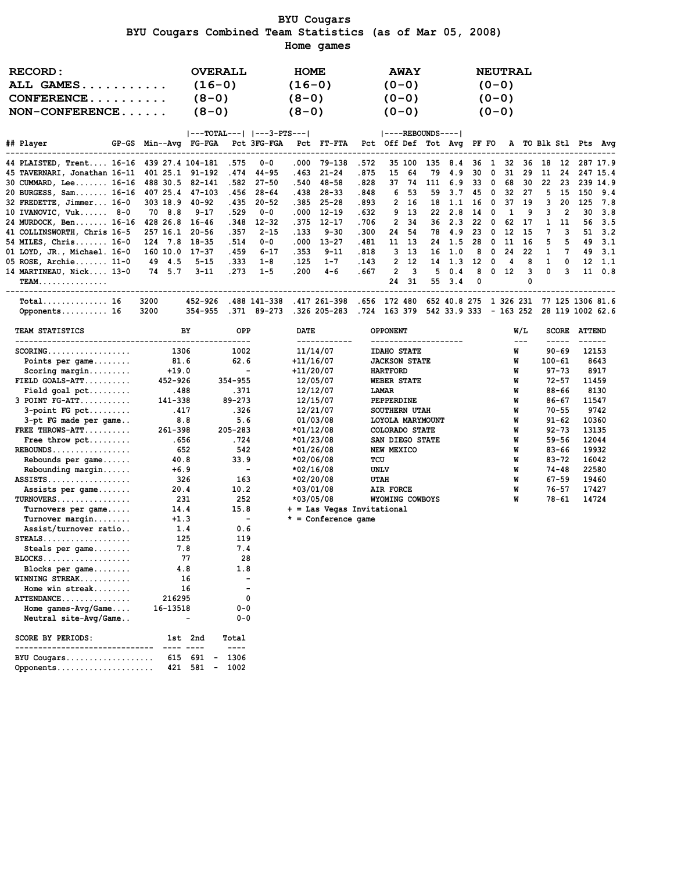#### BYU Cougars BYU Cougars Combined Team Statistics (as of Mar 05, 2008) Home games

| RECORD:          | <b>OVERALL</b>            | <b>HOME</b> | <b>AWAY</b>         | <b>NEUTRAL</b> |
|------------------|---------------------------|-------------|---------------------|----------------|
| ALL GAMES        | $(16-0)$                  | $(16-0)$    | $(0 - 0)$           | $(0 - 0)$      |
| $CONFERENCE$     | $(8-0)$                   | $(8-0)$     | $(0 - 0)$           | $(0 - 0)$      |
| $NON-CONFERENCE$ | $(8-0)$                   | $(8-0)$     | $(0 - 0)$           | $(0 - 0)$      |
|                  | ---TOTAL---   ---3-PTS--- |             | $ ----REBOUNDS--- $ |                |

| ## Player                                      |          |        | GP-GS Min--Avq FG-FGA |       | Pct 3FG-FGA  |       | Pct FT-FTA   |       |         |                   |     |                |                 |              |           |       |          |              |     | Pct Off Def Tot Avq PF FO A TO Blk Stl Pts Avq |
|------------------------------------------------|----------|--------|-----------------------|-------|--------------|-------|--------------|-------|---------|-------------------|-----|----------------|-----------------|--------------|-----------|-------|----------|--------------|-----|------------------------------------------------|
| 44 PLAISTED, Trent 16-16 439 27.4 104-181 .575 |          |        |                       |       | 0-0          | .000  | 79-138       | .572  |         | 35 100            |     | 135 8.4        | 36              | $\mathbf{1}$ | 32        | 36    | - 18     | 12           |     | 287 17.9                                       |
| 45 TAVERNARI, Jonathan 16-11 401 25.1 91-192   |          |        |                       | . 474 | 44-95        | . 463 | $21 - 24$    | .875  | 15      | 64                | 79  | 4.9            | 30              | - 0          | 31        | 29    | 11       | 24           |     | 247 15.4                                       |
| 30 CUMMARD, Lee 16-16 488 30.5 82-141          |          |        |                       | .582  | 27-50        | .540  | 48-58        | .828  | 37.     | -74               | 111 | 6.9            | 33              | - 0          | 68        | 30    | 22       | 23           |     | 239 14.9                                       |
| 20 BURGESS, Sam 16-16 407 25.4                 |          |        | 47-103                | . 456 | 28-64        | .438  | 28-33        | .848  |         | 6 53              | 59  | 3.7            | 45              | $\Omega$     | 32        | 27    | 5.       | -15          | 150 | 9.4                                            |
| 32 FREDETTE, Jimmer 16-0                       | 303 18.9 |        | 40-92                 | . 435 | $20 - 52$    | .385  | $25 - 28$    | .893  |         | 2 16              | 18  | 1.1            | 16              | - 0          | 37        | 19    | વ        | 20           | 125 | 7.8                                            |
| 10 IVANOVIC, $Vuk$ 8-0                         |          | 70 8.8 | 9-17                  | .529  | $0 - 0$      |       | $.000$ 12-19 | .632  |         | $9 \t13$          |     | $22 \quad 2.8$ | 14              | - 0          |           | g     |          | 2            | 30  | 3.8                                            |
| 24 MURDOCK, Ben 16-16                          | 428 26.8 |        | 16-46                 | .348  | $12 - 32$    | .375  | 12-17        | .706  |         | 2 34              |     | $36 \quad 2.3$ | -22             | - 0          | 62        | -17   |          | 11           |     | 56 3.5                                         |
| 41 COLLINSWORTH, Chris 16-5                    | 257 16.1 |        | 20-56                 | . 357 | $2 - 15$     | . 133 | $9 - 30$     | .300  |         | 24 54             |     | 78 4.9         | -23             | $\Omega$     |           | 12 15 |          |              |     | $51 \quad 3.2$                                 |
| 54 MILES, Chris 16-0                           | 124 7.8  |        | 18-35                 | .514  | 0-0          | .000  | $13 - 27$    | .481  |         | 11 13             |     | $24 \quad 1.5$ | -28             | - 0          |           | 11 16 | 5.       | 5            | 49  | 3.1                                            |
| 01 LOYD, JR., Michael. 16-0                    | 160 10.0 |        | 17-37                 | .459  | $6 - 17$     | . 353 | $9 - 11$     | .818  |         | 3 13              |     | 16, 1.0        | 8               | $\Omega$     | 24        | 22    |          |              |     | $49 \quad 3.1$                                 |
| $05$ ROSE, Archie $11-0$                       |          | 49 4.5 | $5 - 15$              | . 333 | $1 - 8$      | . 125 | $1 - 7$      | .143  |         | 2 12              | 14  | 1.3            | 12 <sup>1</sup> | - 0          | 4         | 8     |          | <sup>n</sup> |     | $12 \quad 1.1$                                 |
| 14 MARTINEAU, Nick 13-0                        |          | 74 5.7 | $3 - 11$              | . 273 | $1 - 5$      | .200  | $4 - 6$      | .667  |         | $\mathbf{2}$<br>3 | 5.  | 0.4            | 8               | $\Omega$     | 12        | 3     | $\Omega$ | ર            |     | 11 0.8                                         |
| <b>TEAM.</b>                                   |          |        |                       |       |              |       |              |       | 24      | -31               | 55  | 3.4            | $\Omega$        |              |           |       |          |              |     |                                                |
| $Total$ 16                                     | 3200     |        | 452-926               |       | .488 141-338 |       | .417 261-398 | . 656 |         | 172 480           |     | 652 40.8 275   |                 |              | 1 326 231 |       |          |              |     | 77 125 1306 81.6                               |
| Opponents 16                                   | 3200     |        | 354-955               | . 371 | 89-273       |       | .326 205-283 | . 724 | 163 379 |                   |     | 542 33.9 333   |                 |              | - 163 252 |       |          |              |     | 28 119 1002 62.6                               |

| TEAM STATISTICS       | BY      | <b>OPP</b>               | <b>DATE</b>                | <b>OPPONENT</b>      | W/L | <b>SCORE</b> | <b>ATTEND</b> |
|-----------------------|---------|--------------------------|----------------------------|----------------------|-----|--------------|---------------|
|                       |         |                          |                            | -----------------    | --- |              |               |
| $SCORING.$            | 1306    | 1002                     | 11/14/07                   | <b>IDAHO STATE</b>   | W   | $90 - 69$    | 12153         |
| Points per $game$     | 81.6    | 62.6                     | $+11/16/07$                | <b>JACKSON STATE</b> | W   | $100 - 61$   | 8643          |
| Scoring margin        | $+19.0$ |                          | $+11/20/07$                | <b>HARTFORD</b>      | W   | $97 - 73$    | 8917          |
| $FIELD GOALS-ATT$     | 452-926 | 354-955                  | 12/05/07                   | WEBER STATE          | W   | $72 - 57$    | 11459         |
| Field goal $pet$      | .488    | .371                     | 12/12/07                   | LAMAR                | W   | 88-66        | 8130          |
| 3 POINT FG-ATT        | 141-338 | 89-273                   | 12/15/07                   | PEPPERDINE           | W   | 86-67        | 11547         |
| $3$ -point FG pct     | .417    | .326                     | 12/21/07                   | <b>SOUTHERN UTAH</b> | W   | $70 - 55$    | 9742          |
| 3-pt FG made per game | 8.8     | 5.6                      | 01/03/08                   | LOYOLA MARYMOUNT     | W   | $91 - 62$    | 10360         |
| FREE THROWS-ATT       | 261-398 | 205-283                  | *01/12/08                  | COLORADO STATE       | W   | $92 - 73$    | 13135         |
| Free throw pct        | .656    | . 724                    | *01/23/08                  | SAN DIEGO STATE      | W   | $59 - 56$    | 12044         |
| $REBOUNDS$            | 652     | 542                      | $*01/26/08$                | NEW MEXICO           | W   | $83 - 66$    | 19932         |
| Rebounds per game     | 40.8    | 33.9                     | $*02/06/08$                | TCU                  | W   | $83 - 72$    | 16042         |
| $Rebounding margin$   | $+6.9$  | $\overline{\phantom{a}}$ | $*02/16/08$                | UNLV                 | W   | 74-48        | 22580         |
| $ASSISTS.$            | 326     | 163                      | $*02/20/08$                | <b>UTAH</b>          | W   | $67 - 59$    | 19460         |
| Assists per game      | 20.4    | 10.2                     | $*03/01/08$                | AIR FORCE            | W   | $76 - 57$    | 17427         |
| $TURNOVERS$           | 231     | 252                      | *03/05/08                  | WYOMING COWBOYS      | W   | 78-61        | 14724         |
| Turnovers per game    | 14.4    | 15.8                     | + = Las Vegas Invitational |                      |     |              |               |

Turnover margin........ +1.3 - \* = Conference game

Assist/turnover ratio.. 1.4 0.6 STEALS................... 125 119 Steals per game........ 7.8 7.4 BLOCKS................... 77 28 Blocks per game........ 4.8 1.8 WINNING STREAK........... 16 - Home win streak........ 16 - ATTENDANCE............... 216295 0 Home games-Avg/Game.... 16-13518 0-0 Neutral site-Avg/Game.. - - 0-0 SCORE BY PERIODS: 1st 2nd Total ------------------------------ ---- ---- ---- BYU Cougars................... 615 691 - 1306 Opponents..................... 421 581 - 1002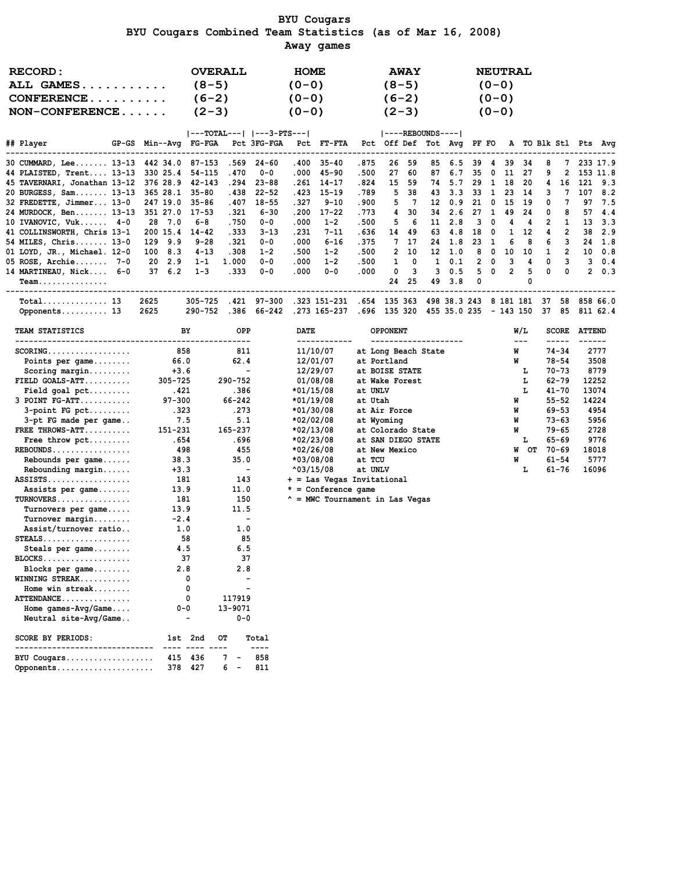BYU Cougars BYU Cougars Combined Team Statistics (as of Mar 16, 2008) Away games

| <b>RECORD:</b><br>ALL GAMES<br>$CONFERENCE$<br>$NON-CONFERENCE$ | <b>OVERALL</b><br>$(8 - 5)$<br>$(6-2)$<br>$(2-3)$ |           |                | <b>HOME</b><br>$(0-0)$<br>$(0 - 0)$<br>$(0 - 0)$ |                     |             |                                                                                                                                                                                                                                                                                                                     | <b>AWAY</b><br>$(8-5)$<br>$(6-2)$<br>$(2-3)$ |                 |             |                  |                                                | <b>NEUTRAL</b><br>$(0 - 0)$<br>$(0 - 0)$<br>$(0 - 0)$ |              |              |                        |              |                |                       |             |
|-----------------------------------------------------------------|---------------------------------------------------|-----------|----------------|--------------------------------------------------|---------------------|-------------|---------------------------------------------------------------------------------------------------------------------------------------------------------------------------------------------------------------------------------------------------------------------------------------------------------------------|----------------------------------------------|-----------------|-------------|------------------|------------------------------------------------|-------------------------------------------------------|--------------|--------------|------------------------|--------------|----------------|-----------------------|-------------|
|                                                                 |                                                   |           |                |                                                  |                     |             | ---TOTAL---   ---3-PTS---                                                                                                                                                                                                                                                                                           |                                              |                 |             | ----REBOUNDS---- |                                                |                                                       |              |              |                        |              |                |                       |             |
| ## Player<br>GP-GS Min--Avg FG-FGA Pct 3FG-FGA Pct FT-FTA       |                                                   |           |                |                                                  |                     |             |                                                                                                                                                                                                                                                                                                                     |                                              |                 |             |                  | Pct Off Def Tot Avg PF FO A TO Blk Stl Pts Avg |                                                       |              |              |                        |              |                |                       |             |
| 30 CUMMARD, Lee 13-13 442 34.0 87-153                           |                                                   |           |                |                                                  | .569 24-60          |             | $.400$ 35-40                                                                                                                                                                                                                                                                                                        | .875                                         | 26              | 59          |                  | 85 6.5 39                                      |                                                       | $\sim$ 4     | 39           | 34                     | 8            |                |                       | 7 233 17.9  |
| 44 PLAISTED, Trent 13-13 330 25.4 54-115                        |                                                   |           |                | .470                                             | $0 - 0$             | .000        | 45-90                                                                                                                                                                                                                                                                                                               | .500                                         | 27              | 60          | 87               | 6.7                                            | 35                                                    | $\mathbf{0}$ |              | 11 27                  | -9           | $\overline{2}$ |                       | 153 11.8    |
| 45 TAVERNARI, Jonathan 13-12 376 28.9 42-143                    |                                                   |           |                | . 294                                            | $23 - 88$           | . 261       | $14 - 17$                                                                                                                                                                                                                                                                                                           | .824                                         | 15              | 59          | 74               | 5.7                                            | 29                                                    | $\mathbf{1}$ | 18           | 20                     | 4            | 16             |                       | 121 9.3     |
| 20 BURGESS, Sam 13-13 365 28.1                                  |                                                   |           | 35-80          | .438                                             | $22 - 52$           | .423        | $15 - 19$                                                                                                                                                                                                                                                                                                           | .789                                         | 5               | 38          | 43               |                                                | $3.3$ $33$ 1                                          |              |              | 23 14                  | 3            | $\overline{7}$ | 107                   | 8.2         |
| 32 FREDETTE, Jimmer 13-0                                        |                                                   |           | 247 19.0 35-86 | .407                                             | $18 - 55$           | .327        | $9 - 10$                                                                                                                                                                                                                                                                                                            | .900                                         |                 | 5 7         | 12 <sup>12</sup> | 0.9                                            | $21 \quad 0$                                          |              | 15 19        |                        | 0            | 7              |                       | 97 7.5      |
| 24 MURDOCK, Ben 13-13 351 27.0 17-53                            |                                                   |           |                | .321                                             | $6 - 30$            | .200        | $17 - 22$                                                                                                                                                                                                                                                                                                           | . 773                                        | $\mathbf{4}$    | 30          | 34               | 2.6                                            | 27                                                    | $\mathbf{1}$ | 49           | 24                     | 0            | 8              |                       | 57, 4.4     |
| $10$ IVANOVIC, Vuk $4-0$                                        |                                                   | 28 7.0    | 6-8            | .750                                             | 0-0                 | .000        | $1 - 2$                                                                                                                                                                                                                                                                                                             | .500                                         | 5.              | - 6         | 11               | 2.8                                            | $\overline{\mathbf{3}}$                               | $\mathbf{0}$ | 4            | -4                     | 2            | 1              | 13                    | 3.3         |
| 41 COLLINSWORTH, Chris 13-1 200 15.4 14-42                      |                                                   |           |                | .333                                             | $3 - 13$            | .231        | $7 - 11$                                                                                                                                                                                                                                                                                                            | .636                                         |                 | 14 49       | 63               | 4.8                                            | 18 0                                                  |              |              | 1 12                   | 4            | $\overline{2}$ |                       | 38 2.9      |
| 54 MILES, Chris 13-0 129 9.9                                    |                                                   |           | $9 - 28$       | .321                                             | $0 - 0$             | .000.       | $6 - 16$                                                                                                                                                                                                                                                                                                            | .375                                         |                 | 7 17        |                  | 24 1.8                                         | 23 1                                                  |              | 6            | 8                      | 6            | 3              | 24                    | 1.8         |
| 01 LOYD, JR., Michael. 12-0                                     |                                                   | $100$ 8.3 | $4 - 13$       | .308                                             | $1 - 2$             | .500        | $1 - 2$                                                                                                                                                                                                                                                                                                             | .500                                         |                 | $2\quad 10$ |                  | $12 \quad 1.0$                                 | 80                                                    |              |              | 10 10                  | $\mathbf{1}$ | $\overline{2}$ |                       | $10 \t 0.8$ |
| $05$ ROSE, Archie $7-0$                                         |                                                   | 20 2.9    | $1 - 1$        | 1.000                                            | $0 - 0$             | .000.       | $1 - 2$                                                                                                                                                                                                                                                                                                             | .500                                         |                 | $1 \quad 0$ | $\mathbf{1}$     | 0.1                                            |                                                       | 2 0          | $\mathbf{3}$ | $\overline{4}$         | $\Omega$     | $\mathbf{3}$   |                       | $3 \t 0.4$  |
| 14 MARTINEAU, Nick 6-0                                          |                                                   | 376.2     | $1 - 3$        | .333                                             | $0 - 0$             | .000        | $0 - 0$                                                                                                                                                                                                                                                                                                             | .000                                         |                 | $0 \quad 3$ | $\overline{3}$   |                                                | $0.5$ 5 0                                             |              |              | 2 <sub>5</sub>         | $\Omega$     | $\Omega$       |                       | $2 \t 0.3$  |
| Team.                                                           |                                                   |           |                |                                                  |                     |             |                                                                                                                                                                                                                                                                                                                     |                                              |                 | 24 25       |                  | 49 3.8                                         | $\mathbf{0}$                                          |              |              | 0                      |              |                |                       |             |
| $Total$ 13                                                      | 2625                                              |           |                |                                                  | 305-725 .421 97-300 |             | .323 151-231 .654 135 363                                                                                                                                                                                                                                                                                           |                                              |                 |             |                  | 498 38.3 243 8 181 181 37                      |                                                       |              |              |                        |              |                |                       | 58 858 66.0 |
| Opponents 13                                                    | 2625                                              |           | 290-752        |                                                  | .386 66-242         |             | .273 165-237 .696 135 320                                                                                                                                                                                                                                                                                           |                                              |                 |             |                  | 455 35.0 235 - 143 150 37 85 811 62.4          |                                                       |              |              |                        |              |                |                       |             |
| TEAM STATISTICS                                                 |                                                   |           | BY             | OPP                                              |                     | <b>DATE</b> |                                                                                                                                                                                                                                                                                                                     |                                              | <b>OPPONENT</b> |             |                  |                                                |                                                       |              |              | W/L                    |              | <b>SCORE</b>   | <b>ATTEND</b>         |             |
| --------------------------------<br>$\frac{1}{2}$               |                                                   |           |                |                                                  |                     |             | $\frac{1}{2}$ $\frac{1}{2}$ $\frac{1}{2}$ $\frac{1}{2}$ $\frac{1}{2}$ $\frac{1}{2}$ $\frac{1}{2}$ $\frac{1}{2}$ $\frac{1}{2}$ $\frac{1}{2}$ $\frac{1}{2}$ $\frac{1}{2}$ $\frac{1}{2}$ $\frac{1}{2}$ $\frac{1}{2}$ $\frac{1}{2}$ $\frac{1}{2}$ $\frac{1}{2}$ $\frac{1}{2}$ $\frac{1}{2}$ $\frac{1}{2}$ $\frac{1}{2}$ |                                              |                 |             |                  |                                                |                                                       |              |              | $---$<br>$\sim$ $\sim$ |              |                | $H = 0.1$ $H = 0.000$ |             |

| $SCORING$                              | 858     | 811                      | 11/10/07              | at Long Beach State                       | W       | $74 - 34$ | 2777  |
|----------------------------------------|---------|--------------------------|-----------------------|-------------------------------------------|---------|-----------|-------|
| Points per $\texttt{game} \dots \dots$ | 66.0    | 62.4                     | 12/01/07              | at Portland                               | W       | $78 - 54$ | 3508  |
| $Scoring margin$                       | $+3.6$  |                          | 12/29/07              | at BOISE STATE                            | L       | 70-73     | 8779  |
| $FIELD GOLS-ATT$                       | 305-725 | 290-752                  | 01/08/08              | at Wake Forest                            | L       | $62 - 79$ | 12252 |
| Field goal $pet$                       | .421    | .386                     | $*01/15/08$           | at UNLV                                   | L       | $41 - 70$ | 13074 |
| 3 POINT FG-ATT                         | 97-300  | 66-242                   | $*01/19/08$           | at Utah                                   | W       | $55 - 52$ | 14224 |
| $3$ -point FG pct                      | .323    | .273                     | *01/30/08             | at Air Force                              | W       | $69 - 53$ | 4954  |
| 3-pt FG made per game                  | 7.5     | 5.1                      | *02/02/08             | at Wyoming                                | W       | 73-63     | 5956  |
| FREE THROWS-ATT                        | 151-231 | 165-237                  | $*02/13/08$           | at Colorado State                         | W       | 79-65     | 2728  |
| Free throw pct                         | .654    | .696                     | *02/23/08             | at SAN DIEGO STATE                        | L.      | 65-69     | 9776  |
| $REBOUNDS$                             | 498     | 455                      | $*02/26/08$           | at New Mexico                             | OT<br>W | $70 - 69$ | 18018 |
| Rebounds per game                      | 38.3    | 35.0                     | *03/08/08             | at TCU                                    | W       | $61 - 54$ | 5777  |
| Rebounding margin                      | $+3.3$  | $\overline{\phantom{a}}$ | $^{\wedge}03/15/08$   | at UNLV                                   | L.      | 61-76     | 16096 |
| $ASSISTS.$                             | 181     | 143                      |                       | + = Las Vegas Invitational                |         |           |       |
| Assists per game                       | 13.9    | 11.0                     | $* =$ Conference game |                                           |         |           |       |
| $TURNOVERS$                            | 181     | 150                      |                       | $^{\wedge}$ = MWC Tournament in Las Vegas |         |           |       |
| Turnovers per game                     | 13.9    | 11.5                     |                       |                                           |         |           |       |
| Turnover margin                        | $-2.4$  |                          |                       |                                           |         |           |       |

Assist/turnover ratio.. 1.0 1.0 STEALS................... 58 85 Steals per game........ 4.5 6.5 BLOCKS................... 37 37 Blocks per game........ 2.8 2.8 WINNING STREAK........... 0 - Home win streak........ 0 - ATTENDANCE............... 0 117919 Home games-Avg/Game.... 0-0 13-9071 Neutral site-Avg/Game.. - 0-0 SCORE BY PERIODS: 1st 2nd OT Total ------------------------------ ---- ---- ---- ---- BYU Cougars................... 415 436 7 - 858 Opponents..................... 378 427 6 - 811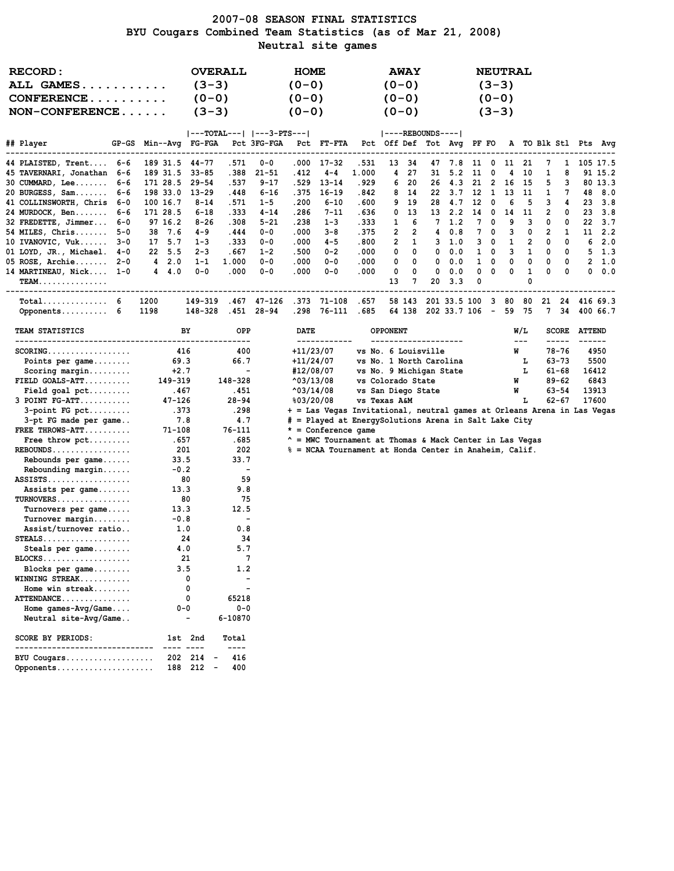### 2007-08 SEASON FINAL STATISTICS BYU Cougars Combined Team Statistics (as of Mar 21, 2008) Neutral site games

| $(3-3)$<br>$(0 - 0)$<br>$(0 - 0)$<br>$(3-3)$<br><b>ALL GAMES</b><br>$(0 - 0)$<br>$CONFERENCE$<br>$(0-0)$<br>$(0 - 0)$<br>$(0-0)$<br>$NON-CONFERENCE$<br>$(3-3)$<br>$(0 - 0)$<br>$(0 - 0)$<br>$(3-3)$<br>$ ---TOTAL--- $ $ ---3-PTS--- $<br>$ ----REBOUNDS--- $ |                                      |
|----------------------------------------------------------------------------------------------------------------------------------------------------------------------------------------------------------------------------------------------------------------|--------------------------------------|
|                                                                                                                                                                                                                                                                |                                      |
|                                                                                                                                                                                                                                                                |                                      |
|                                                                                                                                                                                                                                                                |                                      |
|                                                                                                                                                                                                                                                                |                                      |
|                                                                                                                                                                                                                                                                |                                      |
| ## Player<br>Pct 3FG-FGA<br>Pct Off Def Tot Avg PF FO<br>GP-GS<br>Min--Avg FG-FGA<br>Pct FT-FTA<br>A TO Blk Stl Pts Avg                                                                                                                                        |                                      |
|                                                                                                                                                                                                                                                                |                                      |
| 189 31.5<br>$44 - 77$<br>.571<br>$0 - 0$<br>.000<br>$17 - 32$<br>.531<br>13<br>34<br>0<br>21<br>44 PLAISTED, Trent 6-6<br>47<br>7.8<br>11<br>11<br>7                                                                                                           | 1<br>105 17.5                        |
| 27<br>1<br>189 31.5<br>$33 - 85$<br>.388<br>$21 - 51$<br>.412<br>$4 - 4$<br>1.000<br>4<br>31<br>5.2<br>11<br>0<br>10<br>45 TAVERNARI, Jonathan 6-6<br>4                                                                                                        | 8<br>91 15.2                         |
| .537<br>$9 - 17$<br>.529<br>$13 - 14$<br>. 929<br>20<br>21<br>30 CUMMARD, Lee<br>6-6<br>171 28.5<br>$29 - 54$<br>6<br>26<br>4.3<br>-2<br>16<br>15<br>5                                                                                                         | з<br>80 13.3                         |
| 20 BURGESS, Sam<br>198 33.0<br>$13 - 29$<br>.448<br>6-16<br>.842<br>12<br>-1<br>13<br>1<br>6-6<br>. 375<br>$16 - 19$<br>8<br>-14<br>22<br>3.7<br>11                                                                                                            | 7<br>8.0<br>48                       |
| .571<br>.200<br>.600<br>9<br>19<br>12<br>5<br>3<br>41 COLLINSWORTH, Chris<br>- 6–0<br>100 16.7<br>8-14<br>$1 - 5$<br>6-10<br>28<br>4.7<br>0<br>6                                                                                                               | 3.8<br>4<br>23                       |
| .333<br>171 28.5<br>$6 - 18$<br>4-14<br>.286<br>$7 - 11$<br>.636<br>13<br>13 2.2<br>14<br>0<br>11<br>2<br>24 MURDOCK, Ben<br>6-6<br>0<br>14                                                                                                                    | 0<br>23<br>3.8                       |
| 32 FREDETTE, Jimmer<br>$8 - 26$<br>.308<br>5-21<br>.238<br>$1 - 3$<br>. 333<br>7<br>7<br>9<br>3<br>6-0<br>97 16.2<br>1<br>6<br>1.2<br>0<br>0                                                                                                                   | 22<br>3.7<br>0                       |
| 2<br>7<br>54 MILES, Chris<br>38 7.6<br>4-9<br>.444<br>$0 - 0$<br>.000<br>3-8<br>.375<br>2<br>4<br>0.8<br>0<br>з<br>0<br>2<br>5-0                                                                                                                               | $11 \quad 2.2$<br>1                  |
| 2<br>10 IVANOVIC, Vuk<br>17 5.7<br>$1 - 3$<br>. 333<br>.000<br>$4 - 5$<br>.800<br>2<br>1<br>з<br>1<br>$3 - 0$<br>$0 - 0$<br>3<br>1.0<br>0<br>0                                                                                                                 | 2.0<br>0<br>6                        |
| .500<br>$0 - 2$<br>3<br>22 5.5<br>$2 - 3$<br>.667<br>$1 - 2$<br>.000<br>0<br>0<br>0<br>0.0<br>1<br>0<br>1<br>0<br>01 LOYD, JR., Michael. 4-0                                                                                                                   | 0<br>5 1.3                           |
| 1.000<br>0<br>05 ROSE, Archie 2-0<br>42.0<br>$1 - 1$<br>$0 - 0$<br>.000<br>$0 - 0$<br>.000<br>0<br>0<br>0.0<br>1<br>0<br>0<br>0<br>0                                                                                                                           | 0<br>2, 1.0                          |
| .000<br>.000<br>.000<br>0<br>1<br>14 MARTINEAU, Nick 1-0<br>$4 \quad 4.0$<br>$0 - 0$<br>$0 - 0$<br>$0 - 0$<br>0<br>0<br>0.0<br>0<br>0<br>0<br>0<br>0<br>0                                                                                                      | 0.0<br>0<br>0                        |
| 13<br>7<br>20<br>3.3<br><b>TEAM.</b>                                                                                                                                                                                                                           |                                      |
| $\texttt{Total} \dots \dots \dots \dots \quad 6$<br>1200<br>149-319<br>.467<br>$47 - 126$<br>.373<br>71-108<br>.657<br>58 143<br>201 33.5 100<br>3<br>80<br>80<br>21<br>24                                                                                     | 416 69.3                             |
| Opponents 6<br>148-328<br>.451 28-94<br>.298<br>76-111<br>.685<br>64 138<br>202 33.7 106<br>$\sim$ $-$<br>59 75<br>7 34<br>1198                                                                                                                                | 400 66.7                             |
|                                                                                                                                                                                                                                                                |                                      |
| OPP<br>DATE<br>W/L<br><b>TEAM STATISTICS</b><br>BY<br>OPPONENT<br>------------<br>--------------------<br>$- - -$<br>-----<br>----                                                                                                                             | <b>SCORE ATTEND</b><br>$\frac{1}{2}$ |
| $+11/23/07$<br>416<br>400<br>W<br>78-76<br>$SCORING.$<br>vs No. 6 Louisville                                                                                                                                                                                   | 4950                                 |
| 66.7<br>+11/24/07<br>Points per game<br>69.3<br>vs No. 1 North Carolina<br>63-73<br>L                                                                                                                                                                          | 5500                                 |
| #12/08/07<br>г<br>$+2.7$<br>$\overline{\phantom{a}}$<br>vs No. 9 Michigan State<br>61-68                                                                                                                                                                       | 16412                                |
| 148-328<br>$FIELD$ GOALS-ATT<br>149-319<br>$^{\circ}03/13/08$<br>vs Colorado State<br>89-62<br>W                                                                                                                                                               | 6843                                 |
| .451<br>$^{\wedge}03/14/08$<br>vs San Diego State<br>63-54<br>$Field goal pet \dots$<br>.467<br>W                                                                                                                                                              | 13913                                |
| $3$ POINT $FG-ATT$<br>$47 - 126$<br>28-94<br>vs Texas A&M<br>$62 - 67$<br>803/20/08<br>г                                                                                                                                                                       | 17600                                |
| .298<br>.373<br>+ = Las Vegas Invitational, neutral games at Orleans Arena in Las Vegas<br>$3$ -point FG pct                                                                                                                                                   |                                      |
| 4.7<br># = Played at EnergySolutions Arena in Salt Lake City<br>3-pt FG made per game<br>7.8<br>$71 - 108$<br>76-111<br>$* =$ Conference game                                                                                                                  |                                      |
| FREE THROWS-ATT<br>.657<br>. 685<br>* = MWC Tournament at Thomas & Mack Center in Las Vegas                                                                                                                                                                    |                                      |
| Free throw $\not\vdots$<br>$REBOUNDS$<br>201<br>202<br>% = NCAA Tournament at Honda Center in Anaheim, Calif.                                                                                                                                                  |                                      |
| 33.7<br>Rebounds per game<br>33.5                                                                                                                                                                                                                              |                                      |
| $-0.2$<br>Rebounding margin<br>$\overline{\phantom{a}}$                                                                                                                                                                                                        |                                      |
| 80<br>59<br>$ASSISTS \ldots \ldots \ldots \ldots$                                                                                                                                                                                                              |                                      |
| 13.3<br>9.8<br>Assists per game                                                                                                                                                                                                                                |                                      |
| TURNOVERS<br>80<br>75                                                                                                                                                                                                                                          |                                      |
| 12.5<br>Turnovers per game<br>13.3                                                                                                                                                                                                                             |                                      |
| $Turnover$ margin<br>$-0.8$<br>$\overline{\phantom{0}}$                                                                                                                                                                                                        |                                      |
| Assist/turnover ratio<br>1.0<br>0.8                                                                                                                                                                                                                            |                                      |
| $STEALS$<br>24<br>34                                                                                                                                                                                                                                           |                                      |
| 4.0<br>5.7<br>Steals per game                                                                                                                                                                                                                                  |                                      |
| BLOCKS<br>21                                                                                                                                                                                                                                                   |                                      |
| 3.5<br>1.2<br>Blocks per game                                                                                                                                                                                                                                  |                                      |
| 0<br>WINNING STREAK                                                                                                                                                                                                                                            |                                      |
| 0<br>Home win streak<br>0                                                                                                                                                                                                                                      |                                      |
| ATTENDANCE<br>65218<br>$0 - 0$<br>$0 - 0$                                                                                                                                                                                                                      |                                      |
| Home games- $Avg/Game$<br>Neutral site-Avg/Game<br>6-10870                                                                                                                                                                                                     |                                      |
| <b>SCORE BY PERIODS:</b><br>1st 2nd<br>Total                                                                                                                                                                                                                   |                                      |
| ------------------------<br>----                                                                                                                                                                                                                               |                                      |
| 202 214<br>416<br>BYU Cougars<br>188 212 -<br>400<br>Opponents                                                                                                                                                                                                 |                                      |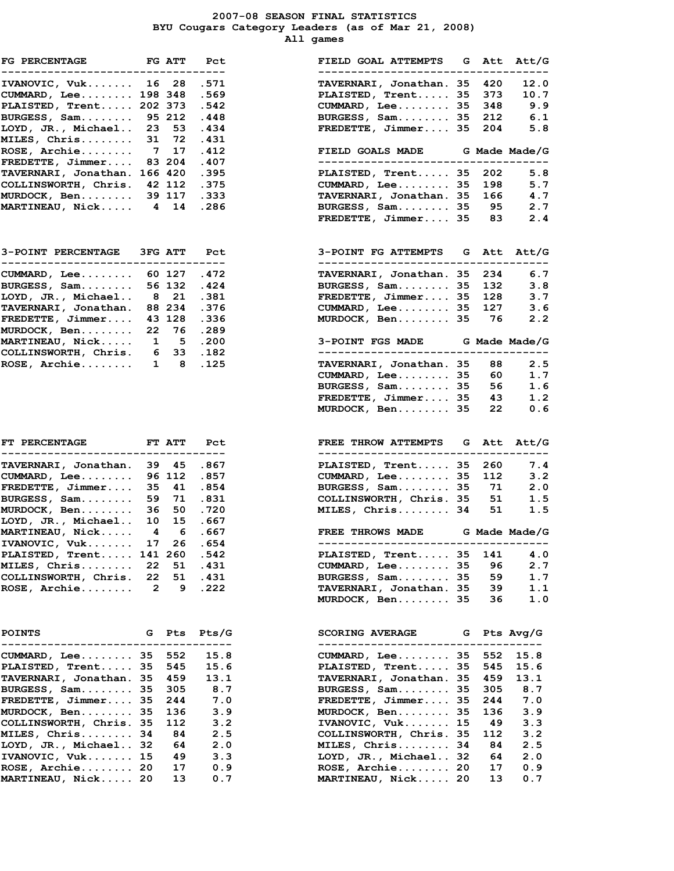2007-08 SEASON FINAL STATISTICS BYU Cougars Category Leaders (as of Mar 21, 2008) All games

| FG PERCENTAGE FG ATT                |                |             | Pct       | FIELD GOAL ATTEMPTS G Att Att/      |              |
|-------------------------------------|----------------|-------------|-----------|-------------------------------------|--------------|
|                                     |                |             |           |                                     |              |
| IVANOVIC, Vuk 16 28                 |                |             | .571      | TAVERNARI, Jonathan. 35<br>420      | 12.          |
| CUMMARD, Lee 198 348                |                |             | .569      | PLAISTED, Trent 35<br>373           | 10.          |
| PLAISTED, Trent 202 373             |                |             | .542      | $CUMMARD$ , Lee 35<br>348           | 9.           |
| BURGESS, Sam                        |                | 95 212      | .448      | BURGESS, Sam 35<br>212              | 6.           |
| LOYD, JR., Michael                  |                | 23 53       |           | FREDETTE, Jimmer 35<br>204          | 5.           |
|                                     |                |             | .434      |                                     |              |
| MILES, Chris                        |                | 31 72       | .431      |                                     |              |
| $ROSE$ , $Archie$                   |                | 717         | .412      | FIELD GOALS MADE G Made Made/       |              |
| FREDETTE, Jimmer 83 204             |                |             | .407      | _______________________________     |              |
| TAVERNARI, Jonathan. 166 420        |                |             | .395      | PLAISTED, Trent 35<br>202           | 5.           |
| COLLINSWORTH, Chris. 42 112         |                |             | .375      | CUMMARD, Lee 35<br>198              | 5.           |
| MURDOCK, Ben 39 117                 |                |             | .333      | TAVERNARI, Jonathan. 35<br>166      | 4.           |
| MARTINEAU, Nick 4 14                |                |             | .286      | BURGESS, Sam 35                     | 95<br>2.     |
|                                     |                |             |           | FREDETTE, Jimmer 35                 | 83<br>2.     |
| 3-POINT PERCENTAGE 3FG ATT          |                |             | Pct       | 3-POINT FG ATTEMPTS G Att Att/      |              |
| ----------------------------------- |                |             |           | ---------------------------------   |              |
| $CUMMARD, Lee.\dots.\dots 60 127$   |                |             | .472      | TAVERNARI, Jonathan. 35 234         | 6.           |
| BURGESS, Sam 56 132                 |                |             | .424      | BURGESS, Sam 35<br>132              | з.           |
| LOYD, JR., Michael                  |                | 821         | .381      | FREDETTE, Jimmer $35$ 128           | з.           |
| TAVERNARI, Jonathan.                |                | 88 234      | .376      | CUMMARD, Lee. 35                    | 127<br>3.    |
| $FREDETTE$ , $Jimmer$               |                | 43 128      | .336      | MURDOCK, Ben 35                     | 76<br>2.     |
| MURDOCK, Ben                        |                | 22 76       | .289      |                                     |              |
| MARTINEAU, Nick                     |                |             | 1 5 .200  | 3-POINT FGS MADE G Made Made/       |              |
| COLLINSWORTH, Chris. 6 33 .182      |                |             |           | ___________________________________ |              |
| ROSE, Archie                        |                | $1 \quad 8$ | .125      | TAVERNARI, Jonathan. 35<br>88       | 2.           |
|                                     |                |             |           | CUMMARD, Lee. 35<br>60              | 1.           |
|                                     |                |             |           |                                     |              |
|                                     |                |             |           | BURGESS, Sam 35<br>56               | 1.           |
|                                     |                |             |           | FREDETTE, Jimmer 35                 | 43<br>1.     |
|                                     |                |             |           | MURDOCK, Ben 35<br>22               | 0.           |
| <b>FT PERCENTAGE</b>                |                | FT ATT      | Pct       | FREE THROW ATTEMPTS G Att Att/      |              |
|                                     |                |             | $- - - -$ |                                     |              |
| TAVERNARI, Jonathan.                |                | 39 45       | .867      | PLAISTED, Trent 35<br>260           | 7.           |
| CUMMARD, Lee                        |                | 96 112      | .857      | CUMMARD, Lee. 35<br>112             | з.           |
| $FREDETTE$ , $Jimmer$               | 35             | 41          | .854      | BURGESS, Sam 35                     | 71<br>2.     |
| BURGESS, Sam                        |                | 59 71       | .831      | COLLINSWORTH, Chris. 35             | 51<br>1.     |
| MURDOCK, Ben                        | 36 -           | 50          | .720      | MILES, Chris 34<br>51               | 1.           |
| LOYD, JR., Michael                  | 10             | 15          | . 667     |                                     |              |
| MARTINEAU, Nick                     |                | 4 6         | .667      | <b>FREE THROWS MADE</b>             | G Made Made/ |
| IVANOVIC, Vuk 17 26 .654            |                |             |           |                                     |              |
| PLAISTED, Trent 141 260             |                |             |           |                                     |              |
| MILES, Chris                        |                |             | .542      | PLAISTED, Trent 35<br>141           | 4.           |
|                                     | 22             | 51          | .431      | $CUMMARD$ , Lee 35<br>96            | 2.           |
| COLLINSWORTH, Chris.                | 22             | 51          | .431      | BURGESS, Sam 35<br>59               | 1.           |
| $ROSE$ , $Archie$                   | $\overline{2}$ | 9           | .222      | TAVERNARI, Jonathan. 35<br>39       | 1.           |
|                                     |                |             |           | MURDOCK, Ben 35<br>36               | 1.           |
| <b>POINTS</b>                       | G              | Pts         | $P$ ts/G  | <b>SCORING AVERAGE</b><br>G         | Pts Avg/G    |
|                                     |                |             |           |                                     |              |
| CUMMARD, Lee 35 552                 |                |             | 15.8      | $CUMMARD$ , Lee 35<br>552           | 15.8         |
| PLAISTED, Trent 35                  |                | 545         | 15.6      | PLAISTED, Trent 35<br>545           | 15.6         |
| TAVERNARI, Jonathan. 35             |                | 459         | 13.1      | TAVERNARI, Jonathan. 35<br>459      | 13.1         |
| BURGESS, Sam 35                     |                | 305         | 8.7       | BURGESS, Sam 35<br>305              | 8.7          |
| FREDETTE, Jimmer 35                 |                | 244         | 7.0       | FREDETTE, Jimmer 35<br>244          | 7.0          |
| MURDOCK, Ben 35                     |                | 136         | 3.9       | MURDOCK, Ben 35<br>136              | 3.9          |
| COLLINSWORTH, Chris. 35             |                | 112         | 3.2       | IVANOVIC, Vuk 15<br>49              | 3.3          |
| MILES, Chris                        | 34             | 84          | 2.5       | COLLINSWORTH, Chris. 35<br>112      | 3.2          |
| LOYD, JR., Michael 32               |                | 64          | 2.0       | MILES, Chris 34<br>84               | 2.5          |
|                                     |                |             |           |                                     |              |
| IVANOVIC, Vuk 15                    |                | 49          | 3.3       | LOYD, JR., Michael 32<br>64         | 2.0          |
| ROSE, Archie 20                     |                | 17          | 0.9       | ROSE, Archie 20<br>17               | 0.9          |
| MARTINEAU, Nick 20                  |                | 13          | 0.7       | MARTINEAU, Nick 20<br>13            | 0.7          |

| IVANOVIC, Vuk 16 28<br>.571<br>TAVERNARI, Jonathan. 35<br>420<br>CUMMARD, Lee 198 348<br>PLAISTED, Trent 35<br>.569<br>373<br>PLAISTED, Trent 202 373<br>$CUMMARD, Lee.\dots.\dots 35$<br>348<br>.542<br>BURGESS, Sam 95 212<br>BURGESS, Sam 35<br>212<br>.448<br>LOYD, JR., Michael 23 53<br>.434<br>$FREDETTE$ , Jimmer 35<br>204<br>31 72<br>MILES, Chris<br>.431<br>$ROSE$ , Archie 7 17<br>.412<br>FIELD GOALS MADE G Made Made/G<br>FREDETTE, Jimmer 83 204<br>---------------------------------<br>.407<br>TAVERNARI, Jonathan. 166 420 .395<br>202<br>PLAISTED, Trent 35<br>COLLINSWORTH, Chris. 42 112 .375<br>$CUMMARD$ , Lee 35<br>198<br>166<br>TAVERNARI, Jonathan. 35<br>MURDOCK, Ben 39 117 .333<br>95<br><b>MARTINEAU, Nick 4 14 .286</b><br>BURGESS, Sam 35<br>$FREDETTE$ , Jimmer 35 83<br><b>3-POINT PERCENTAGE</b><br><b>3FG ATT</b><br>3-POINT FG ATTEMPTS G Att Att/G<br>Pct<br>----------------------------------<br>-----------------------------------<br>CUMMARD, Lee 60 127<br>.472<br>TAVERNARI, Jonathan. 35<br>234<br>BURGESS, Sam 56 132<br>.424<br>BURGESS, Sam 35<br>132<br>LOYD, JR., Michael 8 21<br>.381<br>FREDETTE, Jimmer 35<br>128<br>127<br>TAVERNARI, Jonathan.<br>88 234 .376<br>CUMMARD, Lee. 35<br>3.6<br>$\mathtt{FREDETTE}$ , Jimmer<br>43 128 .336<br>MURDOCK, Ben 35<br>76 —<br>22 76 .289<br>MURDOCK, Ben<br>MARTINEAU, Nick 1 5 .200<br>3-POINT FGS MADE G Made Made/G<br>COLLINSWORTH, Chris. 6 33 .182<br>---------------------<br>ROSE, Archie 1 8 .125<br>TAVERNARI, Jonathan. 35<br>88<br>CUMMARD, Lee. 35<br>60<br>BURGESS, Sam 35<br>56<br>FREDETTE, Jimmer 35<br>43<br>MURDOCK, Ben 35<br>22<br><b>ET ATT</b><br>FREE THROW ATTEMPTS G Att Att/G<br><b>FT PERCENTAGE</b><br>Pct<br>-----------------------------------<br>------------------------------------<br>TAVERNARI, Jonathan.<br>39 45<br>.867<br>PLAISTED, Trent 35<br>260<br>.857<br>CUMMARD, Lee 35<br>$\texttt{CUMMARD}$ , Lee<br>96 112<br>112<br>$\mathtt{FREDETTE}$ , Jimmer<br>35 41 .854<br>BURGESS, Sam 35<br>71<br>$\mathtt{BURGESS}$ , $\mathtt{Sam.}\ldots\ldots\ldots$<br>59 71 .831<br>51<br>COLLINSWORTH, Chris. 35<br>MURDOCK, Ben<br>36 50 .720<br>MILES, Chris 34<br>51<br>10 15 .667<br>LOYD, JR., Michael<br>MARTINEAU, Nick 4 6<br>. 667<br>FREE THROWS MADE G Made Made/G<br>17 26 .654<br><b>IVANOVIC, Vuk</b><br>-----------------------------------<br>PLAISTED, Trent 141 260<br>PLAISTED, Trent 35<br>141<br>.542<br>MILES, Chris 22<br>$CUMMARD$ , Lee 35<br>96<br>51<br>.431<br>COLLINSWORTH, Chris. 22<br>51<br>.431<br>BURGESS, Sam 35<br>59<br>1.7<br><b>ROSE, Archie</b><br>$\overline{\phantom{a}}$<br>9<br>.222<br>TAVERNARI, Jonathan. 35<br>39<br>1.1<br>MURDOCK, Ben 35<br>36<br><b>POINTS</b><br>G<br><b>Pts</b><br>Pts/G<br><b>SCORING AVERAGE</b><br>Pts Avg/G<br>G<br>CUMMARD, Lee 35<br>552<br>15.8<br>$CUMMARD$ , Lee 35<br>552<br>15.8<br><b>PLAISTED, Trent 35</b><br>15.6<br>PLAISTED, Trent 35<br>545<br>545<br>15.6<br>TAVERNARI, Jonathan. 35<br>459<br>13.1<br>TAVERNARI, Jonathan. 35<br>459<br>13.1<br>BURGESS, Sam 35<br>BURGESS, Sam 35<br>305<br>8.7<br>305<br>FREDETTE, Jimmer 35<br>FREDETTE, Jimmer 35<br>244<br>7.0<br>244<br>MURDOCK, Ben 35<br>3.9<br>MURDOCK, Ben 35<br>3.9<br>136<br>136<br>IVANOVIC, Vuk 15<br>COLLINSWORTH, Chris. 35<br>112<br>3.2<br>49<br>3.3<br>MILES, Chris 34<br>COLLINSWORTH, Chris. 35<br>3.2<br>84<br>2.5<br>112<br>LOYD, JR., Michael 32<br>MILES, Chris 34<br>84<br>2.5<br>64<br>2.0<br>IVANOVIC, Vuk 15<br>LOYD, JR., Michael 32<br>64<br>49<br>3.3<br>2.0<br>ROSE, Archie 20<br>$ROSE$ , $Archie$ 20<br>17<br>0.9<br>17<br>0.9<br><b>MARTINEAU, Nick 20</b><br>0.7<br>MARTINEAU, Nick 20<br>13<br>0.7<br>13 | FG PERCENTAGE <b>FG ATT</b><br>____________________________________ |  | Pct | FIELD GOAL ATTEMPTS G Att Att/G<br>------------------------------------- |      |
|---------------------------------------------------------------------------------------------------------------------------------------------------------------------------------------------------------------------------------------------------------------------------------------------------------------------------------------------------------------------------------------------------------------------------------------------------------------------------------------------------------------------------------------------------------------------------------------------------------------------------------------------------------------------------------------------------------------------------------------------------------------------------------------------------------------------------------------------------------------------------------------------------------------------------------------------------------------------------------------------------------------------------------------------------------------------------------------------------------------------------------------------------------------------------------------------------------------------------------------------------------------------------------------------------------------------------------------------------------------------------------------------------------------------------------------------------------------------------------------------------------------------------------------------------------------------------------------------------------------------------------------------------------------------------------------------------------------------------------------------------------------------------------------------------------------------------------------------------------------------------------------------------------------------------------------------------------------------------------------------------------------------------------------------------------------------------------------------------------------------------------------------------------------------------------------------------------------------------------------------------------------------------------------------------------------------------------------------------------------------------------------------------------------------------------------------------------------------------------------------------------------------------------------------------------------------------------------------------------------------------------------------------------------------------------------------------------------------------------------------------------------------------------------------------------------------------------------------------------------------------------------------------------------------------------------------------------------------------------------------------------------------------------------------------------------------------------------------------------------------------------------------------------------------------------------------------------------------------------------------------------------------------------------------------------------------------------------------------------------------------------------------------------------------------------------------------------------------------------------------------------------------------------------------------------------------------------------------------------------------------------------------------------------------------------------------------------------------------------|---------------------------------------------------------------------|--|-----|--------------------------------------------------------------------------|------|
|                                                                                                                                                                                                                                                                                                                                                                                                                                                                                                                                                                                                                                                                                                                                                                                                                                                                                                                                                                                                                                                                                                                                                                                                                                                                                                                                                                                                                                                                                                                                                                                                                                                                                                                                                                                                                                                                                                                                                                                                                                                                                                                                                                                                                                                                                                                                                                                                                                                                                                                                                                                                                                                                                                                                                                                                                                                                                                                                                                                                                                                                                                                                                                                                                                                                                                                                                                                                                                                                                                                                                                                                                                                                                                                                 |                                                                     |  |     |                                                                          | 12.0 |
|                                                                                                                                                                                                                                                                                                                                                                                                                                                                                                                                                                                                                                                                                                                                                                                                                                                                                                                                                                                                                                                                                                                                                                                                                                                                                                                                                                                                                                                                                                                                                                                                                                                                                                                                                                                                                                                                                                                                                                                                                                                                                                                                                                                                                                                                                                                                                                                                                                                                                                                                                                                                                                                                                                                                                                                                                                                                                                                                                                                                                                                                                                                                                                                                                                                                                                                                                                                                                                                                                                                                                                                                                                                                                                                                 |                                                                     |  |     |                                                                          | 10.7 |
|                                                                                                                                                                                                                                                                                                                                                                                                                                                                                                                                                                                                                                                                                                                                                                                                                                                                                                                                                                                                                                                                                                                                                                                                                                                                                                                                                                                                                                                                                                                                                                                                                                                                                                                                                                                                                                                                                                                                                                                                                                                                                                                                                                                                                                                                                                                                                                                                                                                                                                                                                                                                                                                                                                                                                                                                                                                                                                                                                                                                                                                                                                                                                                                                                                                                                                                                                                                                                                                                                                                                                                                                                                                                                                                                 |                                                                     |  |     |                                                                          | 9.9  |
|                                                                                                                                                                                                                                                                                                                                                                                                                                                                                                                                                                                                                                                                                                                                                                                                                                                                                                                                                                                                                                                                                                                                                                                                                                                                                                                                                                                                                                                                                                                                                                                                                                                                                                                                                                                                                                                                                                                                                                                                                                                                                                                                                                                                                                                                                                                                                                                                                                                                                                                                                                                                                                                                                                                                                                                                                                                                                                                                                                                                                                                                                                                                                                                                                                                                                                                                                                                                                                                                                                                                                                                                                                                                                                                                 |                                                                     |  |     |                                                                          | 6.1  |
|                                                                                                                                                                                                                                                                                                                                                                                                                                                                                                                                                                                                                                                                                                                                                                                                                                                                                                                                                                                                                                                                                                                                                                                                                                                                                                                                                                                                                                                                                                                                                                                                                                                                                                                                                                                                                                                                                                                                                                                                                                                                                                                                                                                                                                                                                                                                                                                                                                                                                                                                                                                                                                                                                                                                                                                                                                                                                                                                                                                                                                                                                                                                                                                                                                                                                                                                                                                                                                                                                                                                                                                                                                                                                                                                 |                                                                     |  |     |                                                                          | 5.8  |
|                                                                                                                                                                                                                                                                                                                                                                                                                                                                                                                                                                                                                                                                                                                                                                                                                                                                                                                                                                                                                                                                                                                                                                                                                                                                                                                                                                                                                                                                                                                                                                                                                                                                                                                                                                                                                                                                                                                                                                                                                                                                                                                                                                                                                                                                                                                                                                                                                                                                                                                                                                                                                                                                                                                                                                                                                                                                                                                                                                                                                                                                                                                                                                                                                                                                                                                                                                                                                                                                                                                                                                                                                                                                                                                                 |                                                                     |  |     |                                                                          |      |
|                                                                                                                                                                                                                                                                                                                                                                                                                                                                                                                                                                                                                                                                                                                                                                                                                                                                                                                                                                                                                                                                                                                                                                                                                                                                                                                                                                                                                                                                                                                                                                                                                                                                                                                                                                                                                                                                                                                                                                                                                                                                                                                                                                                                                                                                                                                                                                                                                                                                                                                                                                                                                                                                                                                                                                                                                                                                                                                                                                                                                                                                                                                                                                                                                                                                                                                                                                                                                                                                                                                                                                                                                                                                                                                                 |                                                                     |  |     |                                                                          |      |
|                                                                                                                                                                                                                                                                                                                                                                                                                                                                                                                                                                                                                                                                                                                                                                                                                                                                                                                                                                                                                                                                                                                                                                                                                                                                                                                                                                                                                                                                                                                                                                                                                                                                                                                                                                                                                                                                                                                                                                                                                                                                                                                                                                                                                                                                                                                                                                                                                                                                                                                                                                                                                                                                                                                                                                                                                                                                                                                                                                                                                                                                                                                                                                                                                                                                                                                                                                                                                                                                                                                                                                                                                                                                                                                                 |                                                                     |  |     |                                                                          |      |
|                                                                                                                                                                                                                                                                                                                                                                                                                                                                                                                                                                                                                                                                                                                                                                                                                                                                                                                                                                                                                                                                                                                                                                                                                                                                                                                                                                                                                                                                                                                                                                                                                                                                                                                                                                                                                                                                                                                                                                                                                                                                                                                                                                                                                                                                                                                                                                                                                                                                                                                                                                                                                                                                                                                                                                                                                                                                                                                                                                                                                                                                                                                                                                                                                                                                                                                                                                                                                                                                                                                                                                                                                                                                                                                                 |                                                                     |  |     |                                                                          |      |
|                                                                                                                                                                                                                                                                                                                                                                                                                                                                                                                                                                                                                                                                                                                                                                                                                                                                                                                                                                                                                                                                                                                                                                                                                                                                                                                                                                                                                                                                                                                                                                                                                                                                                                                                                                                                                                                                                                                                                                                                                                                                                                                                                                                                                                                                                                                                                                                                                                                                                                                                                                                                                                                                                                                                                                                                                                                                                                                                                                                                                                                                                                                                                                                                                                                                                                                                                                                                                                                                                                                                                                                                                                                                                                                                 |                                                                     |  |     |                                                                          | 5.8  |
|                                                                                                                                                                                                                                                                                                                                                                                                                                                                                                                                                                                                                                                                                                                                                                                                                                                                                                                                                                                                                                                                                                                                                                                                                                                                                                                                                                                                                                                                                                                                                                                                                                                                                                                                                                                                                                                                                                                                                                                                                                                                                                                                                                                                                                                                                                                                                                                                                                                                                                                                                                                                                                                                                                                                                                                                                                                                                                                                                                                                                                                                                                                                                                                                                                                                                                                                                                                                                                                                                                                                                                                                                                                                                                                                 |                                                                     |  |     |                                                                          | 5.7  |
|                                                                                                                                                                                                                                                                                                                                                                                                                                                                                                                                                                                                                                                                                                                                                                                                                                                                                                                                                                                                                                                                                                                                                                                                                                                                                                                                                                                                                                                                                                                                                                                                                                                                                                                                                                                                                                                                                                                                                                                                                                                                                                                                                                                                                                                                                                                                                                                                                                                                                                                                                                                                                                                                                                                                                                                                                                                                                                                                                                                                                                                                                                                                                                                                                                                                                                                                                                                                                                                                                                                                                                                                                                                                                                                                 |                                                                     |  |     |                                                                          | 4.7  |
|                                                                                                                                                                                                                                                                                                                                                                                                                                                                                                                                                                                                                                                                                                                                                                                                                                                                                                                                                                                                                                                                                                                                                                                                                                                                                                                                                                                                                                                                                                                                                                                                                                                                                                                                                                                                                                                                                                                                                                                                                                                                                                                                                                                                                                                                                                                                                                                                                                                                                                                                                                                                                                                                                                                                                                                                                                                                                                                                                                                                                                                                                                                                                                                                                                                                                                                                                                                                                                                                                                                                                                                                                                                                                                                                 |                                                                     |  |     |                                                                          | 2.7  |
|                                                                                                                                                                                                                                                                                                                                                                                                                                                                                                                                                                                                                                                                                                                                                                                                                                                                                                                                                                                                                                                                                                                                                                                                                                                                                                                                                                                                                                                                                                                                                                                                                                                                                                                                                                                                                                                                                                                                                                                                                                                                                                                                                                                                                                                                                                                                                                                                                                                                                                                                                                                                                                                                                                                                                                                                                                                                                                                                                                                                                                                                                                                                                                                                                                                                                                                                                                                                                                                                                                                                                                                                                                                                                                                                 |                                                                     |  |     |                                                                          | 2.4  |
|                                                                                                                                                                                                                                                                                                                                                                                                                                                                                                                                                                                                                                                                                                                                                                                                                                                                                                                                                                                                                                                                                                                                                                                                                                                                                                                                                                                                                                                                                                                                                                                                                                                                                                                                                                                                                                                                                                                                                                                                                                                                                                                                                                                                                                                                                                                                                                                                                                                                                                                                                                                                                                                                                                                                                                                                                                                                                                                                                                                                                                                                                                                                                                                                                                                                                                                                                                                                                                                                                                                                                                                                                                                                                                                                 |                                                                     |  |     |                                                                          |      |
|                                                                                                                                                                                                                                                                                                                                                                                                                                                                                                                                                                                                                                                                                                                                                                                                                                                                                                                                                                                                                                                                                                                                                                                                                                                                                                                                                                                                                                                                                                                                                                                                                                                                                                                                                                                                                                                                                                                                                                                                                                                                                                                                                                                                                                                                                                                                                                                                                                                                                                                                                                                                                                                                                                                                                                                                                                                                                                                                                                                                                                                                                                                                                                                                                                                                                                                                                                                                                                                                                                                                                                                                                                                                                                                                 |                                                                     |  |     |                                                                          | 6.7  |
|                                                                                                                                                                                                                                                                                                                                                                                                                                                                                                                                                                                                                                                                                                                                                                                                                                                                                                                                                                                                                                                                                                                                                                                                                                                                                                                                                                                                                                                                                                                                                                                                                                                                                                                                                                                                                                                                                                                                                                                                                                                                                                                                                                                                                                                                                                                                                                                                                                                                                                                                                                                                                                                                                                                                                                                                                                                                                                                                                                                                                                                                                                                                                                                                                                                                                                                                                                                                                                                                                                                                                                                                                                                                                                                                 |                                                                     |  |     |                                                                          | 3.8  |
|                                                                                                                                                                                                                                                                                                                                                                                                                                                                                                                                                                                                                                                                                                                                                                                                                                                                                                                                                                                                                                                                                                                                                                                                                                                                                                                                                                                                                                                                                                                                                                                                                                                                                                                                                                                                                                                                                                                                                                                                                                                                                                                                                                                                                                                                                                                                                                                                                                                                                                                                                                                                                                                                                                                                                                                                                                                                                                                                                                                                                                                                                                                                                                                                                                                                                                                                                                                                                                                                                                                                                                                                                                                                                                                                 |                                                                     |  |     |                                                                          | 3.7  |
|                                                                                                                                                                                                                                                                                                                                                                                                                                                                                                                                                                                                                                                                                                                                                                                                                                                                                                                                                                                                                                                                                                                                                                                                                                                                                                                                                                                                                                                                                                                                                                                                                                                                                                                                                                                                                                                                                                                                                                                                                                                                                                                                                                                                                                                                                                                                                                                                                                                                                                                                                                                                                                                                                                                                                                                                                                                                                                                                                                                                                                                                                                                                                                                                                                                                                                                                                                                                                                                                                                                                                                                                                                                                                                                                 |                                                                     |  |     |                                                                          |      |
|                                                                                                                                                                                                                                                                                                                                                                                                                                                                                                                                                                                                                                                                                                                                                                                                                                                                                                                                                                                                                                                                                                                                                                                                                                                                                                                                                                                                                                                                                                                                                                                                                                                                                                                                                                                                                                                                                                                                                                                                                                                                                                                                                                                                                                                                                                                                                                                                                                                                                                                                                                                                                                                                                                                                                                                                                                                                                                                                                                                                                                                                                                                                                                                                                                                                                                                                                                                                                                                                                                                                                                                                                                                                                                                                 |                                                                     |  |     |                                                                          |      |
|                                                                                                                                                                                                                                                                                                                                                                                                                                                                                                                                                                                                                                                                                                                                                                                                                                                                                                                                                                                                                                                                                                                                                                                                                                                                                                                                                                                                                                                                                                                                                                                                                                                                                                                                                                                                                                                                                                                                                                                                                                                                                                                                                                                                                                                                                                                                                                                                                                                                                                                                                                                                                                                                                                                                                                                                                                                                                                                                                                                                                                                                                                                                                                                                                                                                                                                                                                                                                                                                                                                                                                                                                                                                                                                                 |                                                                     |  |     |                                                                          | 2.2  |
|                                                                                                                                                                                                                                                                                                                                                                                                                                                                                                                                                                                                                                                                                                                                                                                                                                                                                                                                                                                                                                                                                                                                                                                                                                                                                                                                                                                                                                                                                                                                                                                                                                                                                                                                                                                                                                                                                                                                                                                                                                                                                                                                                                                                                                                                                                                                                                                                                                                                                                                                                                                                                                                                                                                                                                                                                                                                                                                                                                                                                                                                                                                                                                                                                                                                                                                                                                                                                                                                                                                                                                                                                                                                                                                                 |                                                                     |  |     |                                                                          |      |
|                                                                                                                                                                                                                                                                                                                                                                                                                                                                                                                                                                                                                                                                                                                                                                                                                                                                                                                                                                                                                                                                                                                                                                                                                                                                                                                                                                                                                                                                                                                                                                                                                                                                                                                                                                                                                                                                                                                                                                                                                                                                                                                                                                                                                                                                                                                                                                                                                                                                                                                                                                                                                                                                                                                                                                                                                                                                                                                                                                                                                                                                                                                                                                                                                                                                                                                                                                                                                                                                                                                                                                                                                                                                                                                                 |                                                                     |  |     |                                                                          |      |
|                                                                                                                                                                                                                                                                                                                                                                                                                                                                                                                                                                                                                                                                                                                                                                                                                                                                                                                                                                                                                                                                                                                                                                                                                                                                                                                                                                                                                                                                                                                                                                                                                                                                                                                                                                                                                                                                                                                                                                                                                                                                                                                                                                                                                                                                                                                                                                                                                                                                                                                                                                                                                                                                                                                                                                                                                                                                                                                                                                                                                                                                                                                                                                                                                                                                                                                                                                                                                                                                                                                                                                                                                                                                                                                                 |                                                                     |  |     |                                                                          |      |
|                                                                                                                                                                                                                                                                                                                                                                                                                                                                                                                                                                                                                                                                                                                                                                                                                                                                                                                                                                                                                                                                                                                                                                                                                                                                                                                                                                                                                                                                                                                                                                                                                                                                                                                                                                                                                                                                                                                                                                                                                                                                                                                                                                                                                                                                                                                                                                                                                                                                                                                                                                                                                                                                                                                                                                                                                                                                                                                                                                                                                                                                                                                                                                                                                                                                                                                                                                                                                                                                                                                                                                                                                                                                                                                                 |                                                                     |  |     |                                                                          | 2.5  |
|                                                                                                                                                                                                                                                                                                                                                                                                                                                                                                                                                                                                                                                                                                                                                                                                                                                                                                                                                                                                                                                                                                                                                                                                                                                                                                                                                                                                                                                                                                                                                                                                                                                                                                                                                                                                                                                                                                                                                                                                                                                                                                                                                                                                                                                                                                                                                                                                                                                                                                                                                                                                                                                                                                                                                                                                                                                                                                                                                                                                                                                                                                                                                                                                                                                                                                                                                                                                                                                                                                                                                                                                                                                                                                                                 |                                                                     |  |     |                                                                          | 1.7  |
|                                                                                                                                                                                                                                                                                                                                                                                                                                                                                                                                                                                                                                                                                                                                                                                                                                                                                                                                                                                                                                                                                                                                                                                                                                                                                                                                                                                                                                                                                                                                                                                                                                                                                                                                                                                                                                                                                                                                                                                                                                                                                                                                                                                                                                                                                                                                                                                                                                                                                                                                                                                                                                                                                                                                                                                                                                                                                                                                                                                                                                                                                                                                                                                                                                                                                                                                                                                                                                                                                                                                                                                                                                                                                                                                 |                                                                     |  |     |                                                                          | 1.6  |
|                                                                                                                                                                                                                                                                                                                                                                                                                                                                                                                                                                                                                                                                                                                                                                                                                                                                                                                                                                                                                                                                                                                                                                                                                                                                                                                                                                                                                                                                                                                                                                                                                                                                                                                                                                                                                                                                                                                                                                                                                                                                                                                                                                                                                                                                                                                                                                                                                                                                                                                                                                                                                                                                                                                                                                                                                                                                                                                                                                                                                                                                                                                                                                                                                                                                                                                                                                                                                                                                                                                                                                                                                                                                                                                                 |                                                                     |  |     |                                                                          | 1.2  |
|                                                                                                                                                                                                                                                                                                                                                                                                                                                                                                                                                                                                                                                                                                                                                                                                                                                                                                                                                                                                                                                                                                                                                                                                                                                                                                                                                                                                                                                                                                                                                                                                                                                                                                                                                                                                                                                                                                                                                                                                                                                                                                                                                                                                                                                                                                                                                                                                                                                                                                                                                                                                                                                                                                                                                                                                                                                                                                                                                                                                                                                                                                                                                                                                                                                                                                                                                                                                                                                                                                                                                                                                                                                                                                                                 |                                                                     |  |     |                                                                          | 0.6  |
|                                                                                                                                                                                                                                                                                                                                                                                                                                                                                                                                                                                                                                                                                                                                                                                                                                                                                                                                                                                                                                                                                                                                                                                                                                                                                                                                                                                                                                                                                                                                                                                                                                                                                                                                                                                                                                                                                                                                                                                                                                                                                                                                                                                                                                                                                                                                                                                                                                                                                                                                                                                                                                                                                                                                                                                                                                                                                                                                                                                                                                                                                                                                                                                                                                                                                                                                                                                                                                                                                                                                                                                                                                                                                                                                 |                                                                     |  |     |                                                                          |      |
|                                                                                                                                                                                                                                                                                                                                                                                                                                                                                                                                                                                                                                                                                                                                                                                                                                                                                                                                                                                                                                                                                                                                                                                                                                                                                                                                                                                                                                                                                                                                                                                                                                                                                                                                                                                                                                                                                                                                                                                                                                                                                                                                                                                                                                                                                                                                                                                                                                                                                                                                                                                                                                                                                                                                                                                                                                                                                                                                                                                                                                                                                                                                                                                                                                                                                                                                                                                                                                                                                                                                                                                                                                                                                                                                 |                                                                     |  |     |                                                                          |      |
|                                                                                                                                                                                                                                                                                                                                                                                                                                                                                                                                                                                                                                                                                                                                                                                                                                                                                                                                                                                                                                                                                                                                                                                                                                                                                                                                                                                                                                                                                                                                                                                                                                                                                                                                                                                                                                                                                                                                                                                                                                                                                                                                                                                                                                                                                                                                                                                                                                                                                                                                                                                                                                                                                                                                                                                                                                                                                                                                                                                                                                                                                                                                                                                                                                                                                                                                                                                                                                                                                                                                                                                                                                                                                                                                 |                                                                     |  |     |                                                                          |      |
|                                                                                                                                                                                                                                                                                                                                                                                                                                                                                                                                                                                                                                                                                                                                                                                                                                                                                                                                                                                                                                                                                                                                                                                                                                                                                                                                                                                                                                                                                                                                                                                                                                                                                                                                                                                                                                                                                                                                                                                                                                                                                                                                                                                                                                                                                                                                                                                                                                                                                                                                                                                                                                                                                                                                                                                                                                                                                                                                                                                                                                                                                                                                                                                                                                                                                                                                                                                                                                                                                                                                                                                                                                                                                                                                 |                                                                     |  |     |                                                                          | 7.4  |
|                                                                                                                                                                                                                                                                                                                                                                                                                                                                                                                                                                                                                                                                                                                                                                                                                                                                                                                                                                                                                                                                                                                                                                                                                                                                                                                                                                                                                                                                                                                                                                                                                                                                                                                                                                                                                                                                                                                                                                                                                                                                                                                                                                                                                                                                                                                                                                                                                                                                                                                                                                                                                                                                                                                                                                                                                                                                                                                                                                                                                                                                                                                                                                                                                                                                                                                                                                                                                                                                                                                                                                                                                                                                                                                                 |                                                                     |  |     |                                                                          | 3.2  |
|                                                                                                                                                                                                                                                                                                                                                                                                                                                                                                                                                                                                                                                                                                                                                                                                                                                                                                                                                                                                                                                                                                                                                                                                                                                                                                                                                                                                                                                                                                                                                                                                                                                                                                                                                                                                                                                                                                                                                                                                                                                                                                                                                                                                                                                                                                                                                                                                                                                                                                                                                                                                                                                                                                                                                                                                                                                                                                                                                                                                                                                                                                                                                                                                                                                                                                                                                                                                                                                                                                                                                                                                                                                                                                                                 |                                                                     |  |     |                                                                          | 2.0  |
|                                                                                                                                                                                                                                                                                                                                                                                                                                                                                                                                                                                                                                                                                                                                                                                                                                                                                                                                                                                                                                                                                                                                                                                                                                                                                                                                                                                                                                                                                                                                                                                                                                                                                                                                                                                                                                                                                                                                                                                                                                                                                                                                                                                                                                                                                                                                                                                                                                                                                                                                                                                                                                                                                                                                                                                                                                                                                                                                                                                                                                                                                                                                                                                                                                                                                                                                                                                                                                                                                                                                                                                                                                                                                                                                 |                                                                     |  |     |                                                                          | 1.5  |
|                                                                                                                                                                                                                                                                                                                                                                                                                                                                                                                                                                                                                                                                                                                                                                                                                                                                                                                                                                                                                                                                                                                                                                                                                                                                                                                                                                                                                                                                                                                                                                                                                                                                                                                                                                                                                                                                                                                                                                                                                                                                                                                                                                                                                                                                                                                                                                                                                                                                                                                                                                                                                                                                                                                                                                                                                                                                                                                                                                                                                                                                                                                                                                                                                                                                                                                                                                                                                                                                                                                                                                                                                                                                                                                                 |                                                                     |  |     |                                                                          | 1.5  |
|                                                                                                                                                                                                                                                                                                                                                                                                                                                                                                                                                                                                                                                                                                                                                                                                                                                                                                                                                                                                                                                                                                                                                                                                                                                                                                                                                                                                                                                                                                                                                                                                                                                                                                                                                                                                                                                                                                                                                                                                                                                                                                                                                                                                                                                                                                                                                                                                                                                                                                                                                                                                                                                                                                                                                                                                                                                                                                                                                                                                                                                                                                                                                                                                                                                                                                                                                                                                                                                                                                                                                                                                                                                                                                                                 |                                                                     |  |     |                                                                          |      |
|                                                                                                                                                                                                                                                                                                                                                                                                                                                                                                                                                                                                                                                                                                                                                                                                                                                                                                                                                                                                                                                                                                                                                                                                                                                                                                                                                                                                                                                                                                                                                                                                                                                                                                                                                                                                                                                                                                                                                                                                                                                                                                                                                                                                                                                                                                                                                                                                                                                                                                                                                                                                                                                                                                                                                                                                                                                                                                                                                                                                                                                                                                                                                                                                                                                                                                                                                                                                                                                                                                                                                                                                                                                                                                                                 |                                                                     |  |     |                                                                          |      |
|                                                                                                                                                                                                                                                                                                                                                                                                                                                                                                                                                                                                                                                                                                                                                                                                                                                                                                                                                                                                                                                                                                                                                                                                                                                                                                                                                                                                                                                                                                                                                                                                                                                                                                                                                                                                                                                                                                                                                                                                                                                                                                                                                                                                                                                                                                                                                                                                                                                                                                                                                                                                                                                                                                                                                                                                                                                                                                                                                                                                                                                                                                                                                                                                                                                                                                                                                                                                                                                                                                                                                                                                                                                                                                                                 |                                                                     |  |     |                                                                          |      |
|                                                                                                                                                                                                                                                                                                                                                                                                                                                                                                                                                                                                                                                                                                                                                                                                                                                                                                                                                                                                                                                                                                                                                                                                                                                                                                                                                                                                                                                                                                                                                                                                                                                                                                                                                                                                                                                                                                                                                                                                                                                                                                                                                                                                                                                                                                                                                                                                                                                                                                                                                                                                                                                                                                                                                                                                                                                                                                                                                                                                                                                                                                                                                                                                                                                                                                                                                                                                                                                                                                                                                                                                                                                                                                                                 |                                                                     |  |     |                                                                          | 4.0  |
|                                                                                                                                                                                                                                                                                                                                                                                                                                                                                                                                                                                                                                                                                                                                                                                                                                                                                                                                                                                                                                                                                                                                                                                                                                                                                                                                                                                                                                                                                                                                                                                                                                                                                                                                                                                                                                                                                                                                                                                                                                                                                                                                                                                                                                                                                                                                                                                                                                                                                                                                                                                                                                                                                                                                                                                                                                                                                                                                                                                                                                                                                                                                                                                                                                                                                                                                                                                                                                                                                                                                                                                                                                                                                                                                 |                                                                     |  |     |                                                                          | 2.7  |
|                                                                                                                                                                                                                                                                                                                                                                                                                                                                                                                                                                                                                                                                                                                                                                                                                                                                                                                                                                                                                                                                                                                                                                                                                                                                                                                                                                                                                                                                                                                                                                                                                                                                                                                                                                                                                                                                                                                                                                                                                                                                                                                                                                                                                                                                                                                                                                                                                                                                                                                                                                                                                                                                                                                                                                                                                                                                                                                                                                                                                                                                                                                                                                                                                                                                                                                                                                                                                                                                                                                                                                                                                                                                                                                                 |                                                                     |  |     |                                                                          |      |
|                                                                                                                                                                                                                                                                                                                                                                                                                                                                                                                                                                                                                                                                                                                                                                                                                                                                                                                                                                                                                                                                                                                                                                                                                                                                                                                                                                                                                                                                                                                                                                                                                                                                                                                                                                                                                                                                                                                                                                                                                                                                                                                                                                                                                                                                                                                                                                                                                                                                                                                                                                                                                                                                                                                                                                                                                                                                                                                                                                                                                                                                                                                                                                                                                                                                                                                                                                                                                                                                                                                                                                                                                                                                                                                                 |                                                                     |  |     |                                                                          |      |
|                                                                                                                                                                                                                                                                                                                                                                                                                                                                                                                                                                                                                                                                                                                                                                                                                                                                                                                                                                                                                                                                                                                                                                                                                                                                                                                                                                                                                                                                                                                                                                                                                                                                                                                                                                                                                                                                                                                                                                                                                                                                                                                                                                                                                                                                                                                                                                                                                                                                                                                                                                                                                                                                                                                                                                                                                                                                                                                                                                                                                                                                                                                                                                                                                                                                                                                                                                                                                                                                                                                                                                                                                                                                                                                                 |                                                                     |  |     |                                                                          |      |
|                                                                                                                                                                                                                                                                                                                                                                                                                                                                                                                                                                                                                                                                                                                                                                                                                                                                                                                                                                                                                                                                                                                                                                                                                                                                                                                                                                                                                                                                                                                                                                                                                                                                                                                                                                                                                                                                                                                                                                                                                                                                                                                                                                                                                                                                                                                                                                                                                                                                                                                                                                                                                                                                                                                                                                                                                                                                                                                                                                                                                                                                                                                                                                                                                                                                                                                                                                                                                                                                                                                                                                                                                                                                                                                                 |                                                                     |  |     |                                                                          | 1.0  |
|                                                                                                                                                                                                                                                                                                                                                                                                                                                                                                                                                                                                                                                                                                                                                                                                                                                                                                                                                                                                                                                                                                                                                                                                                                                                                                                                                                                                                                                                                                                                                                                                                                                                                                                                                                                                                                                                                                                                                                                                                                                                                                                                                                                                                                                                                                                                                                                                                                                                                                                                                                                                                                                                                                                                                                                                                                                                                                                                                                                                                                                                                                                                                                                                                                                                                                                                                                                                                                                                                                                                                                                                                                                                                                                                 |                                                                     |  |     |                                                                          |      |
|                                                                                                                                                                                                                                                                                                                                                                                                                                                                                                                                                                                                                                                                                                                                                                                                                                                                                                                                                                                                                                                                                                                                                                                                                                                                                                                                                                                                                                                                                                                                                                                                                                                                                                                                                                                                                                                                                                                                                                                                                                                                                                                                                                                                                                                                                                                                                                                                                                                                                                                                                                                                                                                                                                                                                                                                                                                                                                                                                                                                                                                                                                                                                                                                                                                                                                                                                                                                                                                                                                                                                                                                                                                                                                                                 |                                                                     |  |     |                                                                          |      |
|                                                                                                                                                                                                                                                                                                                                                                                                                                                                                                                                                                                                                                                                                                                                                                                                                                                                                                                                                                                                                                                                                                                                                                                                                                                                                                                                                                                                                                                                                                                                                                                                                                                                                                                                                                                                                                                                                                                                                                                                                                                                                                                                                                                                                                                                                                                                                                                                                                                                                                                                                                                                                                                                                                                                                                                                                                                                                                                                                                                                                                                                                                                                                                                                                                                                                                                                                                                                                                                                                                                                                                                                                                                                                                                                 |                                                                     |  |     |                                                                          |      |
|                                                                                                                                                                                                                                                                                                                                                                                                                                                                                                                                                                                                                                                                                                                                                                                                                                                                                                                                                                                                                                                                                                                                                                                                                                                                                                                                                                                                                                                                                                                                                                                                                                                                                                                                                                                                                                                                                                                                                                                                                                                                                                                                                                                                                                                                                                                                                                                                                                                                                                                                                                                                                                                                                                                                                                                                                                                                                                                                                                                                                                                                                                                                                                                                                                                                                                                                                                                                                                                                                                                                                                                                                                                                                                                                 |                                                                     |  |     |                                                                          |      |
|                                                                                                                                                                                                                                                                                                                                                                                                                                                                                                                                                                                                                                                                                                                                                                                                                                                                                                                                                                                                                                                                                                                                                                                                                                                                                                                                                                                                                                                                                                                                                                                                                                                                                                                                                                                                                                                                                                                                                                                                                                                                                                                                                                                                                                                                                                                                                                                                                                                                                                                                                                                                                                                                                                                                                                                                                                                                                                                                                                                                                                                                                                                                                                                                                                                                                                                                                                                                                                                                                                                                                                                                                                                                                                                                 |                                                                     |  |     |                                                                          | 8.7  |
|                                                                                                                                                                                                                                                                                                                                                                                                                                                                                                                                                                                                                                                                                                                                                                                                                                                                                                                                                                                                                                                                                                                                                                                                                                                                                                                                                                                                                                                                                                                                                                                                                                                                                                                                                                                                                                                                                                                                                                                                                                                                                                                                                                                                                                                                                                                                                                                                                                                                                                                                                                                                                                                                                                                                                                                                                                                                                                                                                                                                                                                                                                                                                                                                                                                                                                                                                                                                                                                                                                                                                                                                                                                                                                                                 |                                                                     |  |     |                                                                          | 7.0  |
|                                                                                                                                                                                                                                                                                                                                                                                                                                                                                                                                                                                                                                                                                                                                                                                                                                                                                                                                                                                                                                                                                                                                                                                                                                                                                                                                                                                                                                                                                                                                                                                                                                                                                                                                                                                                                                                                                                                                                                                                                                                                                                                                                                                                                                                                                                                                                                                                                                                                                                                                                                                                                                                                                                                                                                                                                                                                                                                                                                                                                                                                                                                                                                                                                                                                                                                                                                                                                                                                                                                                                                                                                                                                                                                                 |                                                                     |  |     |                                                                          |      |
|                                                                                                                                                                                                                                                                                                                                                                                                                                                                                                                                                                                                                                                                                                                                                                                                                                                                                                                                                                                                                                                                                                                                                                                                                                                                                                                                                                                                                                                                                                                                                                                                                                                                                                                                                                                                                                                                                                                                                                                                                                                                                                                                                                                                                                                                                                                                                                                                                                                                                                                                                                                                                                                                                                                                                                                                                                                                                                                                                                                                                                                                                                                                                                                                                                                                                                                                                                                                                                                                                                                                                                                                                                                                                                                                 |                                                                     |  |     |                                                                          |      |
|                                                                                                                                                                                                                                                                                                                                                                                                                                                                                                                                                                                                                                                                                                                                                                                                                                                                                                                                                                                                                                                                                                                                                                                                                                                                                                                                                                                                                                                                                                                                                                                                                                                                                                                                                                                                                                                                                                                                                                                                                                                                                                                                                                                                                                                                                                                                                                                                                                                                                                                                                                                                                                                                                                                                                                                                                                                                                                                                                                                                                                                                                                                                                                                                                                                                                                                                                                                                                                                                                                                                                                                                                                                                                                                                 |                                                                     |  |     |                                                                          |      |
|                                                                                                                                                                                                                                                                                                                                                                                                                                                                                                                                                                                                                                                                                                                                                                                                                                                                                                                                                                                                                                                                                                                                                                                                                                                                                                                                                                                                                                                                                                                                                                                                                                                                                                                                                                                                                                                                                                                                                                                                                                                                                                                                                                                                                                                                                                                                                                                                                                                                                                                                                                                                                                                                                                                                                                                                                                                                                                                                                                                                                                                                                                                                                                                                                                                                                                                                                                                                                                                                                                                                                                                                                                                                                                                                 |                                                                     |  |     |                                                                          |      |
|                                                                                                                                                                                                                                                                                                                                                                                                                                                                                                                                                                                                                                                                                                                                                                                                                                                                                                                                                                                                                                                                                                                                                                                                                                                                                                                                                                                                                                                                                                                                                                                                                                                                                                                                                                                                                                                                                                                                                                                                                                                                                                                                                                                                                                                                                                                                                                                                                                                                                                                                                                                                                                                                                                                                                                                                                                                                                                                                                                                                                                                                                                                                                                                                                                                                                                                                                                                                                                                                                                                                                                                                                                                                                                                                 |                                                                     |  |     |                                                                          |      |
|                                                                                                                                                                                                                                                                                                                                                                                                                                                                                                                                                                                                                                                                                                                                                                                                                                                                                                                                                                                                                                                                                                                                                                                                                                                                                                                                                                                                                                                                                                                                                                                                                                                                                                                                                                                                                                                                                                                                                                                                                                                                                                                                                                                                                                                                                                                                                                                                                                                                                                                                                                                                                                                                                                                                                                                                                                                                                                                                                                                                                                                                                                                                                                                                                                                                                                                                                                                                                                                                                                                                                                                                                                                                                                                                 |                                                                     |  |     |                                                                          |      |
|                                                                                                                                                                                                                                                                                                                                                                                                                                                                                                                                                                                                                                                                                                                                                                                                                                                                                                                                                                                                                                                                                                                                                                                                                                                                                                                                                                                                                                                                                                                                                                                                                                                                                                                                                                                                                                                                                                                                                                                                                                                                                                                                                                                                                                                                                                                                                                                                                                                                                                                                                                                                                                                                                                                                                                                                                                                                                                                                                                                                                                                                                                                                                                                                                                                                                                                                                                                                                                                                                                                                                                                                                                                                                                                                 |                                                                     |  |     |                                                                          |      |
|                                                                                                                                                                                                                                                                                                                                                                                                                                                                                                                                                                                                                                                                                                                                                                                                                                                                                                                                                                                                                                                                                                                                                                                                                                                                                                                                                                                                                                                                                                                                                                                                                                                                                                                                                                                                                                                                                                                                                                                                                                                                                                                                                                                                                                                                                                                                                                                                                                                                                                                                                                                                                                                                                                                                                                                                                                                                                                                                                                                                                                                                                                                                                                                                                                                                                                                                                                                                                                                                                                                                                                                                                                                                                                                                 |                                                                     |  |     |                                                                          |      |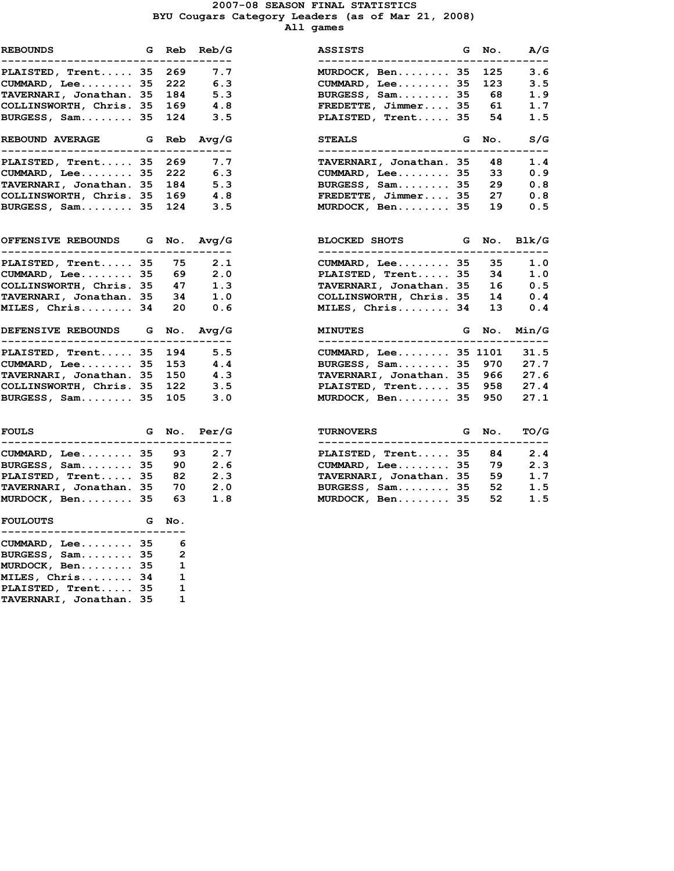#### 2007-08 SEASON FINAL STATISTICS BYU Cougars Category Leaders (as of Mar 21, 2008) All games

| <b>REBOUNDS</b><br>---------------------                                   |                 | G Reb Reb/   | $\cdot$ $ \cdot$ |
|----------------------------------------------------------------------------|-----------------|--------------|------------------|
| PLAISTED, Trent                                                            | 35              | 269          | 7.               |
| CUMMARD, Lee 35                                                            |                 | 222          | 6.               |
| TAVERNARI, Jonathan. 35                                                    |                 | 184          | 5.               |
| COLLINSWORTH, Chris. 35                                                    |                 | 169          | 4.               |
| BURGESS, Sam 35                                                            |                 | 124          | З.               |
| <b>REBOUND AVERAGE</b><br>----------------------------------               |                 | G Reb Avg/   |                  |
| PLAISTED, Trent 35                                                         |                 | 269          | 7.               |
| CUMMARD, Lee 35                                                            |                 | 222          | 6.               |
| TAVERNARI, Jonathan. 35                                                    |                 | 184          | 5.               |
| COLLINSWORTH, Chris. 35                                                    |                 | 169          | 4.               |
| BURGESS, Sam 35                                                            |                 | 124          | 3.               |
| OFFENSIVE REBOUNDS G No. Avg/<br>---------------------------------         |                 |              |                  |
| PLAISTED, Trent $35$ 75 2.                                                 |                 |              |                  |
|                                                                            |                 |              | 2.               |
| <b>FINING 2012</b><br>CUMMARD, Lee 35 69<br>COLLINSWORTH, Chris. 35 47     |                 |              | $\mathbf 1$ .    |
|                                                                            |                 |              |                  |
| TAVERNARI, Jonathan. 35 34 1.<br>MILES, Chris 34 20 0.                     |                 |              |                  |
| DEFENSIVE REBOUNDS G No. Avg/<br>---------------------------------         |                 |              |                  |
| PLAISTED, Trent 35 194 5.<br>CUMMARD, Lee 35 153 4.                        |                 |              |                  |
|                                                                            |                 |              |                  |
| CUMMARD, Dee<br>TAVERNARI, Jonathan. 35 150<br>COLLINSWORTH, Chris. 35 122 |                 |              | 4.               |
|                                                                            |                 |              | 3.               |
| BURGESS, Sam 35 105 3.                                                     |                 |              |                  |
| <b>FOULS</b>                                                               |                 | G No. Per/   |                  |
| -----------<br>-------<br>$CUMMARD$ , Lee 35                               |                 | 93           | 2.               |
| BURGESS, $Sam$ 35                                                          |                 | 90           | 2.               |
| PLAISTED, Trent 35                                                         |                 | 82           | 2.               |
| TAVERNARI, Jonathan. 35                                                    |                 | 70           | 2.               |
| MURDOCK, Ben 35                                                            |                 | 63           | $\mathbf 1$ .    |
| <b>FOULOUTS</b><br>. _ _ _ _ _ _ _ _ _ _ _ _<br>-------                    |                 | G No.<br>--  |                  |
| $CUMMARD$ , Lee 35 6                                                       |                 |              |                  |
| BURGESS, Sam                                                               | $\frac{35}{25}$ | -2           |                  |
| MURDOCK, Ben 35                                                            |                 | 1            |                  |
|                                                                            |                 | 1            |                  |
| MILES, Chris 34<br>PLAISTED, Trent 35                                      |                 | $\mathbf{1}$ |                  |
| TAVERNARI, Jonathan.                                                       | 35              | $\mathbf{1}$ |                  |

| <b>G</b> Reb Reb/G<br><b>REBOUNDS</b><br>-----------------     |       | ---               | <b>ASSISTS</b><br>----------------------               |   | G No. | A/G   |
|----------------------------------------------------------------|-------|-------------------|--------------------------------------------------------|---|-------|-------|
| PLAISTED, Trent 35                                             | 269   | 7.7               | MURDOCK, Ben 35                                        |   | 125   | 3.6   |
| $CUMMARD$ , Lee 35                                             | 222   | 6.3               | $CUMMARD$ , Lee 35                                     |   | 123   | 3.5   |
| TAVERNARI, Jonathan. 35                                        | 184   | 5.3               | BURGESS, Sam 35                                        |   | 68    | 1.9   |
| COLLINSWORTH, Chris. 35                                        | 169   | 4.8               | FREDETTE, Jimmer 35                                    |   | 61    | 1.7   |
| BURGESS, Sam 35                                                | 124   | 3.5               | PLAISTED, Trent 35                                     |   | 54    | 1.5   |
| <b>REBOUND AVERAGE</b><br>------------------                   | G Reb | Avq/G             | <b>STEALS</b><br>-----------------                     | G | No.   | S/G   |
| PLAISTED, Trent 35                                             | 269   | 7.7               | TAVERNARI, Jonathan. 35                                |   | 48    | 1.4   |
| $CUMMARD$ , Lee 35                                             | 222   | 6.3               | CUMMARD, Lee 35                                        |   | 33    | 0.9   |
| TAVERNARI, Jonathan. 35                                        | 184   | 5.3               | BURGESS, Sam 35                                        |   | 29    | 0.8   |
| COLLINSWORTH, Chris. 35                                        | 169   | 4.8               | FREDETTE, Jimmer 35                                    |   | 27    | 0.8   |
| BURGESS, Sam 35                                                | 124   | 3.5               | MURDOCK, Ben 35                                        |   | 19    | 0.5   |
| <b>OFFENSIVE REBOUNDS</b><br>--------------------------------- | G No. | Avq/G             | BLOCKED SHOTS G<br>_______________________________     |   | No.   | Blk/G |
| PLAISTED, Trent 35                                             | 75    | 2.1               | $CUMMARD$ , Lee 35                                     |   | 35    | 1.0   |
| CUMMARD, Lee. 35                                               | 69    | 2.0               | PLAISTED, Trent 35                                     |   | 34    | 1.0   |
| COLLINSWORTH, Chris. 35                                        | 47    | 1.3               | TAVERNARI, Jonathan. 35                                |   | 16    | 0.5   |
| TAVERNARI, Jonathan. 35                                        | 34    | 1.0               | COLLINSWORTH, Chris. 35                                |   | 14    | 0.4   |
| MILES, Chris 34                                                | 20    | 0.6               | MILES, Chris 34                                        |   | 13    | 0.4   |
| DEFENSIVE REBOUNDS G No. Avq/G                                 |       |                   | <b>MINUTES</b>                                         | G | No.   | Min/G |
| PLAISTED, Trent 35                                             | 194   | ----------<br>5.5 | CUMMARD, Lee 35 1101                                   |   |       | 31.5  |
| CUMMARD, Lee 35                                                | 153   | 4.4               | BURGESS, Sam 35                                        |   | 970   | 27.7  |
| TAVERNARI, Jonathan. 35                                        | 150   | 4.3               | TAVERNARI, Jonathan. 35                                |   | 966   | 27.6  |
| COLLINSWORTH, Chris. 35                                        | 122   | 3.5               | PLAISTED, Trent 35                                     |   | 958   | 27.4  |
| BURGESS, Sam 35                                                | 105   | 3.0               | MURDOCK, Ben 35                                        |   | 950   | 27.1  |
| FOULS                                                          |       | G No. Per/G       | <b>TURNOVERS</b><br><b>Example 19 Second Grand No.</b> |   |       | TO/G  |
| CUMMARD, Lee 35                                                | 93    | 2.7               | PLAISTED, Trent 35                                     |   | 84    | 2.4   |
| BURGESS, Sam 35                                                | 90    | 2.6               | $CUMMARD$ , Lee 35                                     |   | 79    | 2.3   |
| PLAISTED, Trent 35                                             | 82    | 2.3               | TAVERNARI, Jonathan. 35                                |   | 59    | 1.7   |
| TAVERNARI, Jonathan. 35                                        | 70    | 2.0               | BURGESS, Sam 35                                        |   | 52    | 1.5   |
| MURDOCK, Ben 35                                                | 63    | 1.8               | MURDOCK, Ben 35                                        |   | 52    | 1.5   |
|                                                                |       |                   |                                                        |   |       |       |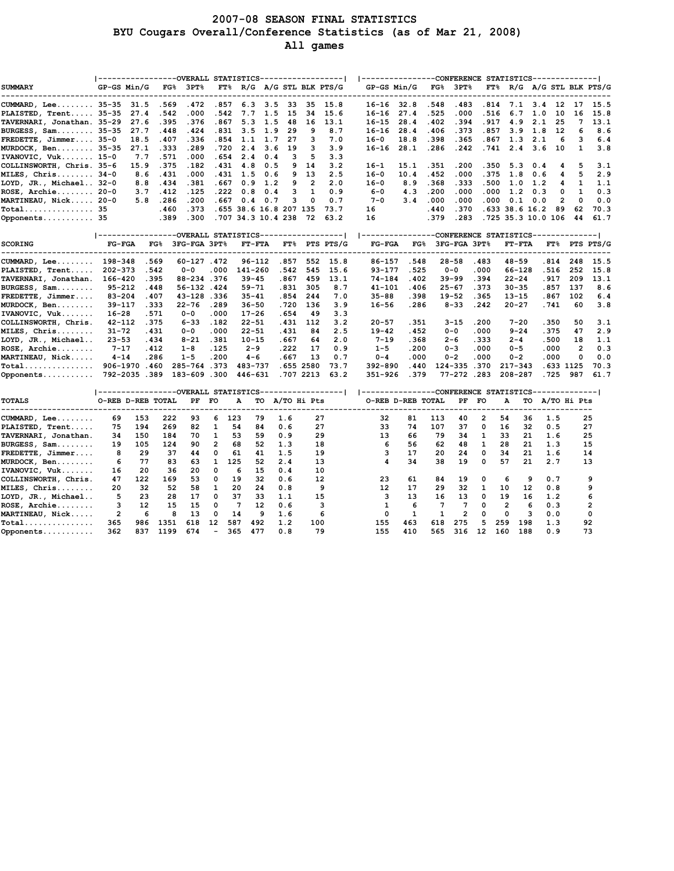#### 2007-08 SEASON FINAL STATISTICS BYU Cougars Overall/Conference Statistics (as of Mar 21, 2008) All games

| <b>SUMMARY</b>                    | GP-GS Min/G       |              |      | ----------------OVERALL STATISTICS----------------- <br>FG% 3PT%                                       |                   | $FT$ <sup>8</sup> R/G A/G STL BLK PTS/G |                |       |                |                |           |             | ----------------CONFERENCE STATISTICS-------------- <br>GP-GS Min/G |      | $FG\$ 3PT $\%$   |      |                    |                |           |                | $FT$ <sup>8</sup> R/G A/G STL BLK PTS/G |
|-----------------------------------|-------------------|--------------|------|--------------------------------------------------------------------------------------------------------|-------------------|-----------------------------------------|----------------|-------|----------------|----------------|-----------|-------------|---------------------------------------------------------------------|------|------------------|------|--------------------|----------------|-----------|----------------|-----------------------------------------|
| CUMMARD, Lee 35-35                |                   | 31.5         | .569 | .472                                                                                                   | .857              | 6.3                                     | 3.5            | 33    |                | 35 15.8        |           |             | $16-16$ 32.8                                                        | .548 | .483             | .814 |                    | 7.1 3.4 12     |           | 17             | 15.5                                    |
| PLAISTED, Trent 35-35             |                   | 27.4         | .542 | .000                                                                                                   | .542              | 7.7                                     | 1.5            | 15    | 34             | 15.6           | $16 - 16$ |             | 27.4                                                                | .525 | .000             | .516 | 6.7                | 1.0            | 10        | 16             | 15.8                                    |
| TAVERNARI, Jonathan. 35-29        |                   | 27.6         | .395 | .376                                                                                                   | .867              | 5.3                                     | 1.5            | 48    | 16             | 13.1           | $16 - 15$ |             | 28.4                                                                | .402 | .394             | .917 | 4.9                | 2.1            | 25        | 7              | 13.1                                    |
| BURGESS, Sam 35-35                |                   | 27.7         | .448 | .424                                                                                                   | .831              | 3.5                                     | 1.9            | 29    | 9              | 8.7            | $16 - 16$ |             | 28.4                                                                | .406 | .373             | .857 | 3.9                | 1.8            | 12        | 6              | 8.6                                     |
| FREDETTE, Jimmer 35-0             |                   | 18.5         | .407 | .336                                                                                                   | .854              | 1.1                                     | 1.7            | 27    | 3              | 7.0            | $16 - 0$  |             | 18.8                                                                | .398 | .365             | .867 | 1.3                | 2.1            | 6         | 3              | 6.4                                     |
| MURDOCK, Ben 35-35                |                   | 27.1         | .333 | .289                                                                                                   | .720              | 2.4                                     | 3.6            | 19    | з              | 3.9            | 16-16     |             | 28.1                                                                | .286 | .242             | .741 | 2.4                | 3.6            | 10        | 1              | 3.8                                     |
| IVANOVIC, Vuk 15-0                |                   | 7.7          | .571 | .000                                                                                                   | .654              | 2.4                                     | 0.4            | з     | 5              | 3.3            |           |             |                                                                     |      |                  |      |                    |                |           |                |                                         |
| COLLINSWORTH, Chris. 35-6         |                   | 15.9         | .375 | .182                                                                                                   | .431              | 4.8                                     | 0.5            | 9     | 14             | 3.2            | $16 - 1$  |             | 15.1                                                                | .351 | .200             | .350 | 5.3                | 0.4            | 4         | 5              | 3.1                                     |
| MILES, Chris 34-0                 |                   | 8.6          | .431 | .000                                                                                                   | .431              | 1.5                                     | 0.6            | 9     | 13             | 2.5            | $16 - 0$  |             | 10.4                                                                | .452 | .000             | .375 | 1.8                | 0.6            | 4         | 5              | 2.9                                     |
| LOYD, JR., Michael 32-0           |                   | 8.8          | .434 | .381                                                                                                   | .667              | 0.9                                     | 1.2            | 9     | $\overline{2}$ | 2.0            | $16 - 0$  |             | 8.9                                                                 | .368 | .333             | .500 | 1.0                | 1.2            | 4         | 1              | 1.1                                     |
| $ROSE$ , Archie 20-0              |                   | 3.7          | .412 | .125                                                                                                   | .222              | 0.8                                     | 0.4            | 3     | 1              | 0.9            | $6 - 0$   |             | 4.3                                                                 | .200 | .000             | .000 | 1.2                | 0.3            | 0         | 1              | 0.3                                     |
| MARTINEAU, Nick 20-0              |                   | 5.8          | .286 | .200                                                                                                   | .667              | 0.4                                     | 0.7            | з     | 0              | 0.7            | $7 - 0$   |             | 3.4                                                                 | .000 | .000             | .000 | 0.1                | 0.0            | 2         | 0              | 0.0                                     |
| Total 35                          |                   |              | .460 | .373                                                                                                   |                   | .655 38.6 16.8 207 135                  |                |       |                | 73.7           | 16        |             |                                                                     | .440 | .370             |      | .633 38.6 16.2     |                | 89        | 62             | 70.3                                    |
| Opponents 35                      |                   |              | .389 | .300                                                                                                   |                   | .707 34.3 10.4 238                      |                |       | 72             | 63.2           | 16        |             |                                                                     | .379 | .283             |      | .725 35.3 10.0 106 |                |           | 44             | 61.7                                    |
|                                   |                   |              |      |                                                                                                        |                   |                                         |                |       |                |                |           |             |                                                                     |      |                  |      |                    |                |           |                |                                         |
|                                   |                   |              |      | -----------------OVERALL STATISTICS------------------                                                  |                   |                                         |                |       |                |                |           |             | ---------------CONFERENCE STATISTICS--------------                  |      |                  |      |                    |                |           |                |                                         |
| <b>SCORING</b>                    | <b>FG-FGA</b>     |              |      | FG% 3FG-FGA 3PT%                                                                                       |                   |                                         | <b>FT-FTA</b>  |       |                | FT% PTS PTS/G  |           | $FG-FGA$    |                                                                     |      | FG% 3FG-FGA 3PT% |      | <b>FT-FTA</b>      |                |           |                | FT% PTS PTS/G                           |
| $CUMMARD$ , Lee                   | 198-348           |              | .569 | $60 - 127$ . 472                                                                                       |                   |                                         | $96 - 112$     | .857  | 552            | 15.8           |           | 86-157      | .548                                                                |      | $28 - 58$        | .483 | $48 - 59$          |                | .814      | 248            | 15.5                                    |
| PLAISTED, Trent                   | $202 - 373$       |              | .542 | $0 - 0$                                                                                                | .000              | 141-260                                 |                | .542  | 545            | 15.6           |           | $93 - 177$  | .525                                                                |      | $0 - 0$          | .000 | 66-128             |                | .516      | 252            | 15.8                                    |
| TAVERNARI, Jonathan.              | 166-420           |              | .395 | 88-234.376                                                                                             |                   | $39 - 45$                               |                | .867  | 459            | 13.1           |           | $74 - 184$  | .402                                                                |      | $39 - 99$        | .394 | $22 - 24$          |                | .917      | 209            | 13.1                                    |
| $BURGES$ , $Sam$                  | 95-212            |              | .448 | 56-132.424                                                                                             |                   | $59 - 71$                               |                | .831  | 305            | 8.7            |           | 41-101      | .406                                                                |      | $25 - 67$        | .373 | $30 - 35$          |                | .857      | 137            | 8.6                                     |
| FREDETTE, Jimmer                  | $83 - 204$        |              | .407 | 43-128.336                                                                                             |                   | $35 - 41$                               |                | .854  | 244            | 7.0            |           | $35 - 88$   | .398                                                                |      | $19 - 52$        | .365 | $13 - 15$          |                | .867      | 102            | 6.4                                     |
| MURDOCK, Ben                      | $39 - 117$        |              | .333 | $22 - 76$                                                                                              | .289              | $36 - 50$                               |                | .720  | 136            | 3.9            |           | $16 - 56$   | .286                                                                |      | $8 - 33$         | .242 | $20 - 27$          |                | .741      | 60             | 3.8                                     |
| IVANOVIC, Vuk                     | $16 - 28$         |              | .571 | 0-0                                                                                                    | .000              | $17 - 26$                               |                | .654  | 49             | 3.3            |           |             |                                                                     |      |                  |      |                    |                |           |                |                                         |
| COLLINSWORTH, Chris.              | $42 - 112$        |              | .375 | 6-33                                                                                                   | .182              | $22 - 51$                               |                | .431  | 112            | 3.2            |           | $20 - 57$   | . 351                                                               |      | $3 - 15$         | .200 | $7 - 20$           |                | .350      | 50             | 3.1                                     |
| MILES, Chris                      | $31 - 72$         |              | .431 | $0 - 0$                                                                                                | .000              | $22 - 51$                               |                | .431  | 84             | 2.5            |           | $19 - 42$   | .452                                                                |      | $0 - 0$          | .000 | $9 - 24$           |                | .375      | 47             | 2.9                                     |
| LOYD, JR., Michael                | $23 - 53$         |              | .434 | $8 - 21$                                                                                               | .381              | $10 - 15$                               |                | .667  | 64             | 2.0            |           | $7 - 19$    | .368                                                                |      | 2-6              | .333 | $2 - 4$            |                | .500      | 18             | 1.1                                     |
| $ROSE$ , $Archie$                 | $7 - 17$          |              | .412 | $1 - 8$                                                                                                | .125              | $2 - 9$                                 |                | . 222 | 17             | 0.9            |           | $1 - 5$     | .200                                                                |      | $0 - 3$          | .000 | $0 - 5$            |                | .000      | $\overline{2}$ | 0.3                                     |
| MARTINEAU, Nick                   | $4 - 14$          |              | .286 | $1 - 5$                                                                                                | .200              | $4 - 6$                                 |                | . 667 | 13             | 0.7            |           | $0 - 4$     | .000                                                                |      | $0 - 2$          | .000 | $0 - 2$            |                | .000      | 0              | 0.0                                     |
| $Total$                           |                   | 906-1970.460 |      | 285-764.373                                                                                            |                   | 483-737                                 |                |       | .655 2580      | 73.7           |           | 392-890     | .440                                                                |      | 124-335.370      |      | $217 - 343$        |                | .633 1125 |                | 70.3                                    |
| Opponents                         |                   | 792-2035.389 |      | 183-609                                                                                                | .300              | 446-631                                 |                |       | .707 2213      | 63.2           |           | $351 - 926$ | .379                                                                |      | 77-272.283       |      | 208-287            |                | .725      | 987            | 61.7                                    |
|                                   |                   |              |      | ----------------OVERALL STATISTICS-----------------   --------------CONFERENCE STATISTICS------------- |                   |                                         |                |       |                |                |           |             |                                                                     |      |                  |      |                    |                |           |                |                                         |
| <b>TOTALS</b><br>---------------- | O-REB D-REB TOTAL |              |      | PF FO                                                                                                  |                   | А                                       | TO A/TO Hi Pts |       |                | -------------- |           |             | O-REB D-REB TOTAL                                                   |      | PF FO            |      | А                  | TO A/TO Hi Pts |           |                |                                         |
| CUMMARD, Lee                      | 69                | 153          | 222  | 93                                                                                                     | 6                 | 123                                     | 79             | 1.6   |                | 27             |           | 32          | 81                                                                  | 113  | 40               | 2    | 54                 | 36             | 1.5       |                | 25                                      |
| PLAISTED, Trent                   | 75                | 194          | 269  | 82                                                                                                     | 1                 | 54                                      | 84             | 0.6   |                | 27             |           | 33          | 74                                                                  | 107  | 37               | 0    | 16                 | 32             | 0.5       |                | 27                                      |
| TAVERNARI, Jonathan.              | 34                | 150          | 184  | 70                                                                                                     | 1                 | 53                                      | 59             | 0.9   |                | 29             |           | 13          | 66                                                                  | 79   | 34               | 1    | 33                 | 21             | 1.6       |                | 25                                      |
| $BURGES$ , $Sam$                  | 19                | 105          | 124  | 90                                                                                                     | $\overline{2}$    | 68                                      | 52             | 1.3   |                | 18             |           | 6           | 56                                                                  | 62   | 48               | 1    | 28                 | 21             | 1.3       |                | 15                                      |
| FREDETTE, Jimmer                  | 8                 | 29           | 37   | 44                                                                                                     | 0                 | 61                                      | 41             | 1.5   |                | 19             |           | 3           | 17                                                                  | 20   | 24               | 0    | 34                 | 21             | 1.6       |                | 14                                      |
| MURDOCK, Ben                      | 6                 | 77           | 83   | 63                                                                                                     | $\mathbf{1}$      | 125                                     | 52             | 2.4   |                | 13             |           | 4           | 34                                                                  | 38   | 19               | 0    | 57                 | 21             | 2.7       |                | 13                                      |
| IVANOVIC, Vuk                     | 16                | 20           | 36   | 20                                                                                                     | $\Omega$          | 6                                       | 15             | 0.4   |                | 10             |           |             |                                                                     |      |                  |      |                    |                |           |                |                                         |
| COLLINSWORTH, Chris.              | 47                | 122          | 169  | 53                                                                                                     | 0                 | 19                                      | 32             | 0.6   |                | 12             |           | 23          | 61                                                                  | 84   | 19               | 0    | 6                  | 9              | 0.7       |                | 9                                       |
| MILES, Chris                      | 20                | 32           | 52   | 58                                                                                                     | 1                 | 20                                      | 24             | 0.8   |                | 9              |           | 12          | 17                                                                  | 29   | 32               | 1    | 10                 | 12             | 0.8       |                | 9                                       |
| LOYD, JR., Michael                | 5                 | 23           | 28   | 17                                                                                                     | 0                 | 37                                      | 33             | 1.1   |                | 15             |           | 3           | 13                                                                  | 16   | 13               | 0    | 19                 | 16             | 1.2       |                | 6                                       |
| $ROSE$ , $Archie$                 | з                 | 12           | 15   | 15                                                                                                     | 0                 | 7                                       | 12             | 0.6   |                | 3              |           | 1           | 6                                                                   | 7    | 7                | 0    | $\overline{2}$     | 6              | 0.3       |                | 2                                       |
| MARTINEAU, Nick                   | $\overline{2}$    | 6            | 8    | 13                                                                                                     | 0                 | 14                                      | 9              | 1.6   |                | 6              |           | 0           | $\mathbf{1}$                                                        | 1    | $\overline{2}$   | 0    | $\mathbf 0$        | 3              | 0.0       |                | $\mathbf 0$                             |
| $Total$                           | 365               | 986          | 1351 | 618                                                                                                    | $12 \overline{ }$ | 587                                     | 492            | 1.2   | 100            |                |           | 155         | 463                                                                 | 618  | 275              | 5    | 259                | 198            | 1.3       |                | 92                                      |
| Opponents                         | 362               | 837          | 1199 | 674                                                                                                    |                   | 365                                     | 477            | 0.8   |                | 79             |           | 155         | 410                                                                 | 565  | 316              | 12   | 160                | 188            | 0.9       |                | 73                                      |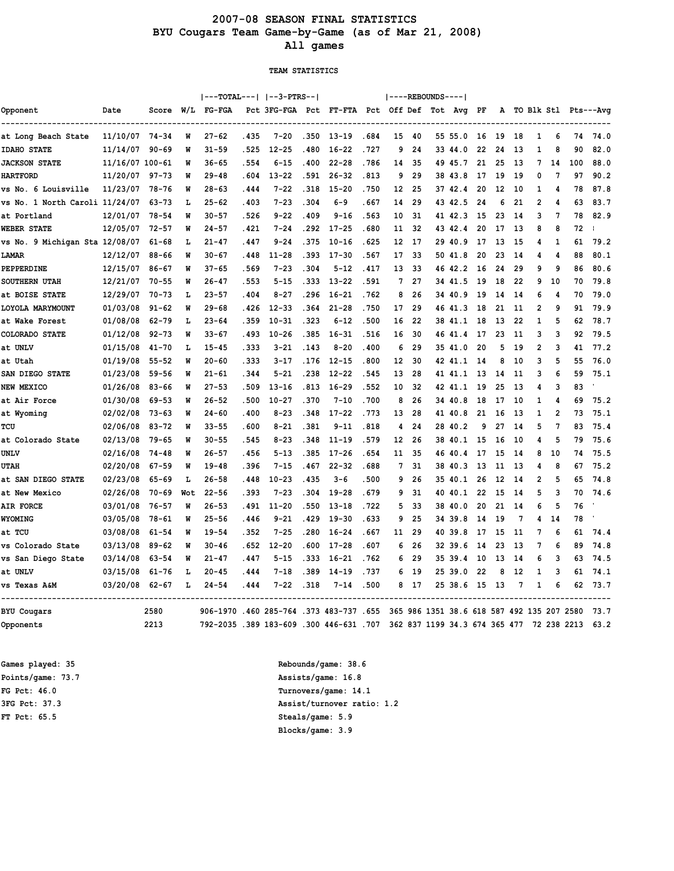### 2007-08 SEASON FINAL STATISTICS BYU Cougars Team Game-by-Game (as of Mar 21, 2008) All games

TEAM STATISTICS

|                                |                 |           |     | $ ---TOTAL--- $ $ --3-PTRS-- $       |       |                                            |       |           |       |    |      | ----REBOUNDS---- |                                            |      |    |     |                |                |             |                        |
|--------------------------------|-----------------|-----------|-----|--------------------------------------|-------|--------------------------------------------|-------|-----------|-------|----|------|------------------|--------------------------------------------|------|----|-----|----------------|----------------|-------------|------------------------|
| Opponent                       | Date            | Score     | W/L | FG-FGA                               |       | Pct 3FG-FGA Pct FT-FTA Pct Off Def Tot Avg |       |           |       |    |      |                  |                                            | PF   |    |     |                |                |             | A TO Blk Stl Pts---Avg |
| at Long Beach State            | 11/10/07 74-34  |           | W   | $27 - 62$                            | .435  | $7 - 20$                                   | .350  | $13 - 19$ | .684  | 15 | 40   |                  | 55 55.0                                    | 16   | 19 | 18  | 1              | 6              | 74          | 74.0                   |
| <b>IDAHO STATE</b>             | 11/14/07        | $90 - 69$ | W   | $31 - 59$                            | . 525 | $12 - 25$                                  | .480  | $16 - 22$ | .727  | 9  | 24   |                  | 33 44.0                                    | 22   | 24 | 13  | 1              | 8              | 90          | 82.0                   |
| <b>JACKSON STATE</b>           | 11/16/07 100-61 |           | W   | 36-65                                | .554  | $6 - 15$                                   | .400  | $22 - 28$ | .786  | 14 | 35   |                  | 49 45.7                                    | 21   | 25 | 13  | 7              | 14             | 100         | 88.0                   |
| <b>HARTFORD</b>                | 11/20/07        | $97 - 73$ | W   | $29 - 48$                            | . 604 | $13 - 22$                                  | .591  | $26 - 32$ | . 813 | 9  | 29   |                  | 38 43.8                                    | 17   | 19 | 19  | 0              | 7              | 97          | 90.2                   |
| vs No. 6 Louisville            | 11/23/07        | 78-76     | W   | 28-63                                | . 444 | $7 - 22$                                   | .318  | $15 - 20$ | .750  | 12 | 25   |                  | 37 42.4                                    | 20   | 12 | 10  | 1              | 4              | 78          | 87.8                   |
| vs No. 1 North Caroli 11/24/07 |                 | 63-73     | L   | $25 - 62$                            | .403  | $7 - 23$                                   | .304  | 6-9       | . 667 | 14 | 29   |                  | 43 42.5                                    | 24   | 6  | 21  | 2              | 4              | 63          | 83.7                   |
| at Portland                    | 12/01/07        | 78-54     | W   | $30 - 57$                            | .526  | $9 - 22$                                   | .409  | 9-16      | .563  | 10 | 31   |                  | 41 42.3                                    | 15   | 23 | 14  | 3              | 7              | 78          | 82.9                   |
| <b>WEBER STATE</b>             | 12/05/07        | $72 - 57$ | W   | $24 - 57$                            | .421  | 7-24                                       | .292  | $17 - 25$ | .680  | 11 | 32   |                  | 43 42.4                                    | 20   | 17 | 13  | 8              | 8              | 72          |                        |
| vs No. 9 Michigan Sta 12/08/07 |                 | 61-68     | L   | $21 - 47$                            | .447  | $9 - 24$                                   | .375  | $10 - 16$ | . 625 | 12 | 17   |                  | 29 40.9                                    | 17   | 13 | 15  | 4              | 1              | 61          | 79.2                   |
| <b>LAMAR</b>                   | 12/12/07        | $88 - 66$ | W   | $30 - 67$                            | .448  | $11 - 28$                                  | .393  | $17 - 30$ | .567  | 17 | 33   |                  | 50 41.8                                    | 20   | 23 | 14  | 4              | 4              | 88          | 80.1                   |
| PEPPERDINE                     | 12/15/07        | 86-67     | W   | $37 - 65$                            | .569  | $7 - 23$                                   | .304  | $5 - 12$  | .417  | 13 | 33   | 46               | 42.2                                       | 16   | 24 | 29  | 9              | 9              | 86          | 80.6                   |
| <b>SOUTHERN UTAH</b>           | 12/21/07        | $70 - 55$ | W   | $26 - 47$                            | . 553 | $5 - 15$                                   | .333  | $13 - 22$ | .591  | 7  | 27   |                  | 34 41.5                                    | 19   | 18 | 22  | 9              | 10             | 70          | 79.8                   |
| at BOISE STATE                 | 12/29/07        | 70-73     | L   | $23 - 57$                            | .404  | $8 - 27$                                   | .296  | $16 - 21$ | .762  | 8  | 26   |                  | 34 40.9                                    | 19   | 14 | -14 | 6              | 4              | 70          | 79.0                   |
| LOYOLA MARYMOUNT               | 01/03/08        | $91 - 62$ | W   | $29 - 68$                            | .426  | $12 - 33$                                  | .364  | $21 - 28$ | .750  | 17 | 29   |                  | 46 41.3                                    | 18   | 21 | 11  | $\overline{2}$ | q              | 91          | 79.9                   |
| at Wake Forest                 | 01/08/08        | $62 - 79$ | L   | $23 - 64$                            | .359  | $10 - 31$                                  | .323  | $6 - 12$  | .500  | 16 | 22   |                  | 38 41.1                                    | 18   | 13 | 22  | $\mathbf{1}$   | 5              | 62          | 78.7                   |
| COLORADO STATE                 | 01/12/08        | $92 - 73$ | W   | $33 - 67$                            | .493  | $10 - 26$                                  | .385  | $16 - 31$ | .516  | 16 | 30   |                  | 46 41.4                                    | 17   | 23 | 11  | 3              | 3              | 92          | 79.5                   |
| at UNLV                        | 01/15/08        | $41 - 70$ | L   | $15 - 45$                            | . 333 | $3 - 21$                                   | .143  | $8 - 20$  | .400  | 6  | 29   |                  | 35 41.0                                    | 20   | 5  | 19  | 2              | 3              | 41          | 77.2                   |
| at Utah                        | 01/19/08        | $55 - 52$ | W   | $20 - 60$                            | .333  | $3 - 17$                                   | .176  | $12 - 15$ | .800  | 12 | 30   |                  | 42 41.1                                    | -14  | 8  | 10  | 3              | 5              | 55          | 76.0                   |
| SAN DIEGO STATE                | 01/23/08        | $59 - 56$ | W   | $21 - 61$                            | .344  | 5-21                                       | .238  | $12 - 22$ | .545  | 13 | 28   |                  | 41 41.1                                    | 13   | 14 | 11  | 3              | 6              | 59          | 75.1                   |
| NEW MEXICO                     | 01/26/08        | $83 - 66$ | W   | $27 - 53$                            | .509  | $13 - 16$                                  | .813  | $16 - 29$ | . 552 | 10 | 32   |                  | 42 41.1                                    | 19   | 25 | 13  | 4              | 3              | 83          |                        |
| at Air Force                   | 01/30/08        | $69 - 53$ | W   | $26 - 52$                            | .500  | $10 - 27$                                  | .370  | $7 - 10$  | .700  | 8  | 26   |                  | 34 40.8                                    | 18   | 17 | 10  | 1              | 4              | 69          | 75.2                   |
| at Wyoming                     | 02/02/08        | 73-63     | W   | $24 - 60$                            | .400  | $8 - 23$                                   | .348  | $17 - 22$ | .773  | 13 | 28   |                  | 41 40.8                                    | 21   | 16 | 13  | 1              | $\overline{2}$ | 73          | 75.1                   |
| TCU                            | 02/06/08        | 83-72     | W   | $33 - 55$                            | .600  | $8 - 21$                                   | .381  | $9 - 11$  | .818  | 4  | 24   | 28               | 40.2                                       | 9    | 27 | 14  | 5              | 7              | 83          | 75.4                   |
| at Colorado State              | 02/13/08        | 79-65     | W   | $30 - 55$                            | .545  | $8 - 23$                                   | .348  | $11 - 19$ | .579  | 12 | 26   |                  | 38 40.1                                    | 15   | 16 | 10  | 4              | 5              | 79          | 75.6                   |
| UNLV                           | 02/16/08        | $74 - 48$ | W   | 26–57                                | . 456 | $5 - 13$                                   | .385  | $17 - 26$ | . 654 | 11 | 35   |                  | 4640.4                                     | 17   | 15 | -14 | 8              | 10             | 74          | 75.5                   |
| <b>UTAH</b>                    | 02/20/08        | $67 - 59$ | W   | $19 - 48$                            | . 396 | $7 - 15$                                   | .467  | $22 - 32$ | . 688 | 7  | 31   |                  | 38 40.3                                    | 13   | 11 | 13  | 4              | 8              | 67          | 75.2                   |
| at SAN DIEGO STATE             | 02/23/08        | $65 - 69$ | L   | $26 - 58$                            | .448  | $10 - 23$                                  | .435  | $3 - 6$   | .500  | 9  | 26   |                  | 35 40.1                                    | 26   | 12 | 14  | $\overline{2}$ | 5              | 65          | 74.8                   |
| at New Mexico                  | 02/26/08        | $70 - 69$ | Wot | $22 - 56$                            | .393  | $7 - 23$                                   | .304  | $19 - 28$ | . 679 | 9  | 31   |                  | 40 40.1                                    | 22   | 15 | 14  | 5              | 3              | 70          | 74.6                   |
| AIR FORCE                      | 03/01/08        | $76 - 57$ | W   | 26-53                                | . 491 | $11 - 20$                                  | .550  | $13 - 18$ | . 722 | 5  | 33   |                  | 38 40.0                                    | 20   | 21 | 14  | 6              | 5              | 76          |                        |
| WYOMING                        | 03/05/08        | 78-61     | W   | $25 - 56$                            | .446  | $9 - 21$                                   | . 429 | $19 - 30$ | . 633 | 9  | 25   |                  | 34 39.8                                    | 14   | 19 | 7   | 4              | 14             | 78          |                        |
| at TCU                         | 03/08/08        | $61 - 54$ | W   | $19 - 54$                            | .352  | 7-25                                       | .280  | $16 - 24$ | .667  | 11 | 29   |                  | 4039.8                                     | 17   | 15 | 11  | 7              | 6              | 61          | 74.4                   |
| vs Colorado State              | 03/13/08        | $89 - 62$ | W   | $30 - 46$                            | . 652 | $12 - 20$                                  | .600  | $17 - 28$ | . 607 | 6  | 26   |                  | 32 39.6                                    | 14   | 23 | 13  | 7              | 6              | 89          | 74.8                   |
| vs San Diego State             | 03/14/08        | $63 - 54$ | W   | $21 - 47$                            | .447  | $5 - 15$                                   | .333  | $16 - 21$ | .762  | 6  | 29   |                  | 35 39.4                                    | 10   | 13 | 14  | 6              | 3              | 63          | 74.5                   |
| at UNLV                        | 03/15/08        | $61 - 76$ | L   | $20 - 45$                            | . 444 | 7-18                                       | .389  | $14 - 19$ | .737  | 6  | 19   |                  | 25 39.0                                    | 22   | 8  | 12  | 1              | 3              | 61          | 74.1                   |
| vs Texas A&M                   | 03/20/08        | $62 - 67$ | L   | $24 - 54$                            | .444  | $7 - 22$                                   | .318  | $7 - 14$  | .500  |    | 8 17 |                  | 25 38.6                                    | - 15 | 13 | 7   | 1              | 6              | 62          | 73.7                   |
| <b>BYU</b> Cougars             |                 | 2580      |     | 906-1970                             |       | .460 285-764 .373 483-737 .655             |       |           |       |    |      |                  | 365 986 1351 38.6 618 587 492 135 207 2580 |      |    |     |                |                |             | 73.7                   |
| Opponents                      |                 | 2213      |     | 792-2035.389 183-609.300 446-631.707 |       |                                            |       |           |       |    |      |                  | 362 837 1199 34.3 674 365 477              |      |    |     |                |                | 72 238 2213 | 63.2                   |

Games played: 35 and 50 and 50 and 50 and 50 and 50 and 50 and 50 and 50 and 50 and 50 and 50 and 50 and 50 and 50 and 50 and 50 and 50 and 50 and 50 and 50 and 50 and 50 and 50 and 50 and 50 and 50 and 50 and 50 and 50 an FT Pct: 65.5 Steals/game: 5.9

Points/game: 73.7 Assists/game: 16.8 FG Pct: 46.0 Turnovers/game: 14.1 3FG Pct: 37.3 Assist/turnover ratio: 1.2 Blocks/game: 3.9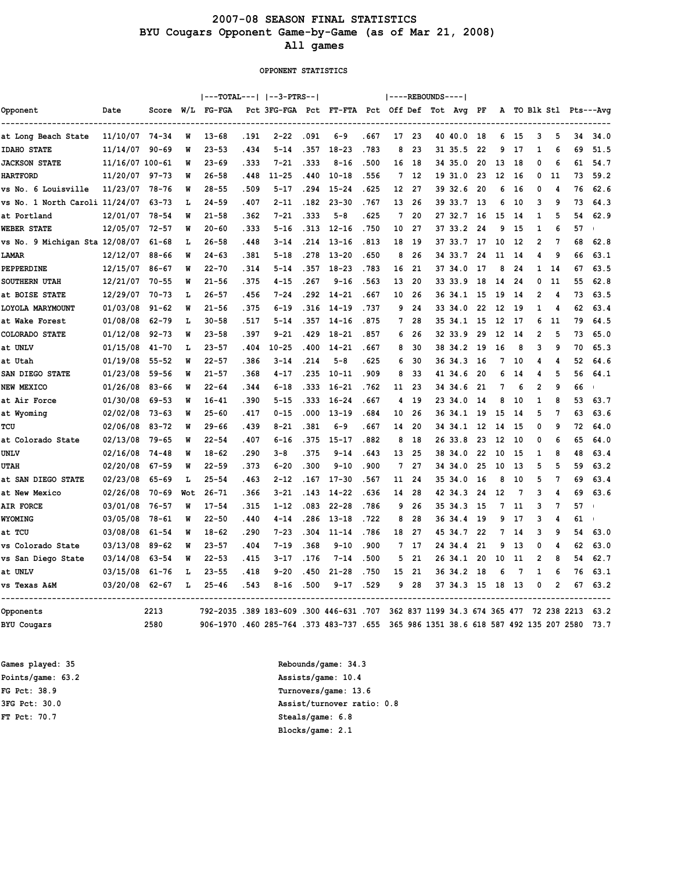### 2007-08 SEASON FINAL STATISTICS BYU Cougars Opponent Game-by-Game (as of Mar 21, 2008) All games

OPPONENT STATISTICS

|                                |                 |           |     | ---TOTAL---   --3-PTRS--                |       |                                               |       |           |       |                 |     | ----REBOUNDS---- |                                            |    |    |     |                |                |             |                        |
|--------------------------------|-----------------|-----------|-----|-----------------------------------------|-------|-----------------------------------------------|-------|-----------|-------|-----------------|-----|------------------|--------------------------------------------|----|----|-----|----------------|----------------|-------------|------------------------|
| Opponent                       | Date            | Score     | W/L | FG-FGA                                  |       | Pct 3FG-FGA Pct FT-FTA Pct Off Def Tot Avg PF |       |           |       |                 |     |                  |                                            |    |    |     |                |                |             | A TO Blk Stl Pts---Avg |
| at Long Beach State            | 11/10/07 74-34  |           | W   | $13 - 68$                               | .191  | $2 - 22$                                      | .091  | $6 - 9$   | . 667 | 17              | 23  |                  | 40 40.0                                    | 18 | 6  | 15  | 3              | 5              | 34          | 34.0                   |
| <b>IDAHO STATE</b>             | 11/14/07        | $90 - 69$ | W   | $23 - 53$                               | .434  | $5 - 14$                                      | .357  | $18 - 23$ | .783  | 8               | 23  |                  | 31 35.5                                    | 22 | 9  | 17  | $\mathbf{1}$   | 6              | 69          | 51.5                   |
| <b>JACKSON STATE</b>           | 11/16/07 100-61 |           | W   | $23 - 69$                               | . 333 | $7 - 21$                                      | .333  | $8 - 16$  | .500  | 16              | 18  |                  | 34 35.0                                    | 20 | 13 | 18  | 0              | 6              | 61          | 54.7                   |
| <b>HARTFORD</b>                | 11/20/07        | 97-73     | W   | $26 - 58$                               | .448  | $11 - 25$                                     | .440  | $10 - 18$ | . 556 | 7               | 12  |                  | 19 31.0                                    | 23 | 12 | 16  | 0              | 11             | 73          | 59.2                   |
| vs No. 6 Louisville            | 11/23/07        | 78-76     | W   | $28 - 55$                               | .509  | $5 - 17$                                      | .294  | $15 - 24$ | . 625 | 12 <sup>2</sup> | 27  |                  | 39 32.6                                    | 20 | 6  | 16  | 0              | 4              | 76          | 62.6                   |
| vs No. 1 North Caroli 11/24/07 |                 | 63-73     | L   | $24 - 59$                               | .407  | $2 - 11$                                      | .182  | $23 - 30$ | .767  | 13              | 26  |                  | 39 33.7                                    | 13 | 6  | 10  | 3              | 9              | 73          | 64.3                   |
| at Portland                    | 12/01/07        | $78 - 54$ | W   | $21 - 58$                               | .362  | $7 - 21$                                      | .333  | 5-8       | . 625 | 7               | 20  |                  | 27 32.7                                    | 16 | 15 | -14 | 1              | 5              | 54          | 62.9                   |
| <b>WEBER STATE</b>             | 12/05/07        | $72 - 57$ | W   | $20 - 60$                               | .333  | $5 - 16$                                      | .313  | $12 - 16$ | .750  | 10              | 27  |                  | 37 33.2                                    | 24 | 9  | 15  | 1              | 6              | 57          |                        |
| vs No. 9 Michigan Sta 12/08/07 |                 | $61 - 68$ | L   | $26 - 58$                               | .448  | $3 - 14$                                      | .214  | $13 - 16$ | .813  | 18              | 19  |                  | 37 33.7                                    | 17 | 10 | 12  | $\overline{2}$ | 7              | 68          | 62.8                   |
| LAMAR                          | 12/12/07        | 88-66     | W   | $24 - 63$                               | .381  | $5 - 18$                                      | .278  | $13 - 20$ | .650  | 8               | 26  |                  | 34 33.7                                    | 24 | 11 | -14 | 4              | 9              | 66          | 63.1                   |
| PEPPERDINE                     | 12/15/07        | $86 - 67$ | W   | $22 - 70$                               | . 314 | $5 - 14$                                      | .357  | $18 - 23$ | .783  | 16              | 21  |                  | 37 34.0                                    | 17 | 8  | 24  | 1              | 14             | 67          | 63.5                   |
| SOUTHERN UTAH                  | 12/21/07        | $70 - 55$ | W   | $21 - 56$                               | . 375 | $4 - 15$                                      | .267  | $9 - 16$  | .563  | 13              | 20  |                  | 33 33.9                                    | 18 | 14 | 24  | 0              | 11             | 55          | 62.8                   |
| at BOISE STATE                 | 12/29/07        | 70-73     | L   | $26 - 57$                               | . 456 | $7 - 24$                                      | . 292 | $14 - 21$ | . 667 | 10              | 26  |                  | 36 34.1                                    | 15 | 19 | -14 | $\overline{2}$ | 4              | 73          | 63.5                   |
| LOYOLA MARYMOUNT               | 01/03/08        | $91 - 62$ | W   | $21 - 56$                               | . 375 | $6 - 19$                                      | .316  | $14 - 19$ | .737  | 9               | 24  |                  | 33 34.0                                    | 22 | 12 | 19  | $\mathbf{1}$   | 4              | 62          | 63.4                   |
| at Wake Forest                 | 01/08/08        | $62 - 79$ | L   | $30 - 58$                               | . 517 | $5 - 14$                                      | .357  | $14 - 16$ | .875  | 7               | 28  |                  | 35 34.1                                    | 15 | 12 | 17  | 6              | 11             | 79          | 64.5                   |
| <b>COLORADO STATE</b>          | 01/12/08        | $92 - 73$ | W   | $23 - 58$                               | .397  | $9 - 21$                                      | .429  | $18 - 21$ | . 857 | 6               | 26  |                  | 32 33.9                                    | 29 | 12 | -14 | $\overline{2}$ | 5              | 73          | 65.0                   |
| at UNLV                        | 01/15/08        | $41 - 70$ | L   | $23 - 57$                               | .404  | $10 - 25$                                     | .400  | $14 - 21$ | .667  | 8               | 30  |                  | 38 34.2                                    | 19 | 16 | 8   | 3              | 9              | 70          | 65.3                   |
| at Utah                        | 01/19/08        | $55 - 52$ | W   | $22 - 57$                               | . 386 | $3 - 14$                                      | .214  | $5 - 8$   | . 625 | 6               | 30  |                  | 36 34.3                                    | 16 | 7  | 10  | 4              | 4              | 52          | 64.6                   |
| SAN DIEGO STATE                | 01/23/08        | $59 - 56$ | W   | $21 - 57$                               | .368  | $4 - 17$                                      | .235  | $10 - 11$ | .909  | 8               | 33  |                  | 41 34.6                                    | 20 | 6  | 14  | 4              | 5              | 56          | 64.1                   |
| <b>NEW MEXICO</b>              | 01/26/08        | $83 - 66$ | W   | $22 - 64$                               | . 344 | $6 - 18$                                      | .333  | $16 - 21$ | .762  | 11              | 23  |                  | 34 34.6                                    | 21 | 7  | 6   | $\overline{2}$ | 9              | 66          |                        |
| at Air Force                   | 01/30/08        | $69 - 53$ | W   | $16 - 41$                               | .390  | $5 - 15$                                      | .333  | $16 - 24$ | . 667 | 4               | 19  |                  | 23 34.0                                    | 14 | 8  | 10  | $\mathbf{1}$   | 8              | 53          | 63.7                   |
| at Wyoming                     | 02/02/08        | $73 - 63$ | W   | $25 - 60$                               | .417  | $0 - 15$                                      | .000  | $13 - 19$ | .684  | 10              | 26  | 36               | 34.1                                       | 19 | 15 | 14  | 5              | 7              | 63          | 63.6                   |
| TCU                            | 02/06/08        | $83 - 72$ | W   | $29 - 66$                               | .439  | $8 - 21$                                      | .381  | $6 - 9$   | . 667 | 14              | 20  |                  | 34 34.1                                    | 12 | 14 | 15  | 0              | 9              | 72          | 64.0                   |
| at Colorado State              | 02/13/08        | 79-65     | W   | $22 - 54$                               | .407  | $6 - 16$                                      | .375  | $15 - 17$ | .882  | 8               | 18  |                  | 26 33.8                                    | 23 | 12 | 10  | 0              | 6              | 65          | 64.0                   |
| <b>UNLV</b>                    | 02/16/08        | $74 - 48$ | W   | $18 - 62$                               | .290  | $3 - 8$                                       | .375  | $9 - 14$  | . 643 | 13              | 25  |                  | 38 34.0                                    | 22 | 10 | 15  | 1              | 8              | 48          | 63.4                   |
| <b>UTAH</b>                    | 02/20/08        | $67 - 59$ | W   | $22 - 59$                               | . 373 | $6 - 20$                                      | .300  | $9 - 10$  | .900  | 7               | 27  |                  | 34 34.0                                    | 25 | 10 | 13  | 5              | 5              | 59          | 63.2                   |
| at SAN DIEGO STATE             | 02/23/08        | 65-69     | L   | $25 - 54$                               | .463  | $2 - 12$                                      | .167  | $17 - 30$ | .567  | 11              | 24  |                  | 35 34.0                                    | 16 | 8  | 10  | 5              | 7              | 69          | 63.4                   |
| at New Mexico                  | 02/26/08        | $70 - 69$ | Wot | $26 - 71$                               | . 366 | $3 - 21$                                      | .143  | $14 - 22$ | . 636 | 14              | 28  |                  | 42 34.3                                    | 24 | 12 | 7   | 3              | 4              | 69          | 63.6                   |
| <b>AIR FORCE</b>               | 03/01/08        | $76 - 57$ | W   | $17 - 54$                               | .315  | $1 - 12$                                      | .083  | $22 - 28$ | .786  | 9               | 26  |                  | 35 34.3                                    | 15 | 7  | 11  | 3              | 7              | 57          |                        |
| <b>WYOMING</b>                 | 03/05/08        | 78-61     | W   | $22 - 50$                               | .440  | $4 - 14$                                      | .286  | $13 - 18$ | .722  | 8               | 28  |                  | 36 34.4                                    | 19 | 9  | 17  | 3              | 4              | 61          |                        |
| at TCU                         | 03/08/08        | $61 - 54$ | W   | $18 - 62$                               | .290  | $7 - 23$                                      | .304  | $11 - 14$ | .786  | 18              | 27  |                  | 45 34.7                                    | 22 | 7  | 14  | 3              | 9              | 54          | 63.0                   |
| vs Colorado State              | 03/13/08        | $89 - 62$ | W   | $23 - 57$                               | .404  | $7 - 19$                                      | .368  | $9 - 10$  | .900  | 7               | -17 |                  | 24 34.4                                    | 21 | 9  | 13  | 0              | Δ              | 62          | 63.0                   |
| vs San Diego State             | 03/14/08        | $63 - 54$ | W   | $22 - 53$                               | .415  | $3 - 17$                                      | .176  | $7 - 14$  | .500  | 5               | 21  |                  | 26 34.1                                    | 20 | 10 | 11  | $\overline{2}$ | 8              | 54          | 62.7                   |
| at UNLV                        | 03/15/08        | $61 - 76$ | г   | $23 - 55$                               | .418  | $9 - 20$                                      | .450  | $21 - 28$ | .750  | 15              | 21  |                  | 36 34.2                                    | 18 | 6  | 7   | 1              | 6              | 76          | 63.1                   |
| vs Texas A&M                   | 03/20/08        | $62 - 67$ | L   | $25 - 46$                               | .543  | $8 - 16$                                      | .500  | $9 - 17$  | .529  | 9               | 28  |                  | 37 34.3 15                                 |    | 18 | 13  | 0              | $\overline{2}$ | 67          | 63.2                   |
| Opponents                      |                 | 2213      |     | 792-2035 .389 183-609 .300 446-631 .707 |       |                                               |       |           |       |                 |     |                  | 362 837 1199 34.3 674 365 477              |    |    |     |                |                | 72 238 2213 | 63.2                   |
| <b>BYU Cougars</b>             |                 | 2580      |     | 906-1970.460 285-764.373 483-737.655    |       |                                               |       |           |       |                 |     |                  | 365 986 1351 38.6 618 587 492 135 207 2580 |    |    |     |                |                |             | 73.7                   |

Games played: 35 and the set of the set of the Rebounds/game: 34.3 FT Pct: 70.7 Steals/game: 6.8

Points/game: 63.2 Assists/game: 10.4 FG Pct: 38.9 Turnovers/game: 13.6 3FG Pct: 30.0 Assist/turnover ratio: 0.8 Blocks/game: 2.1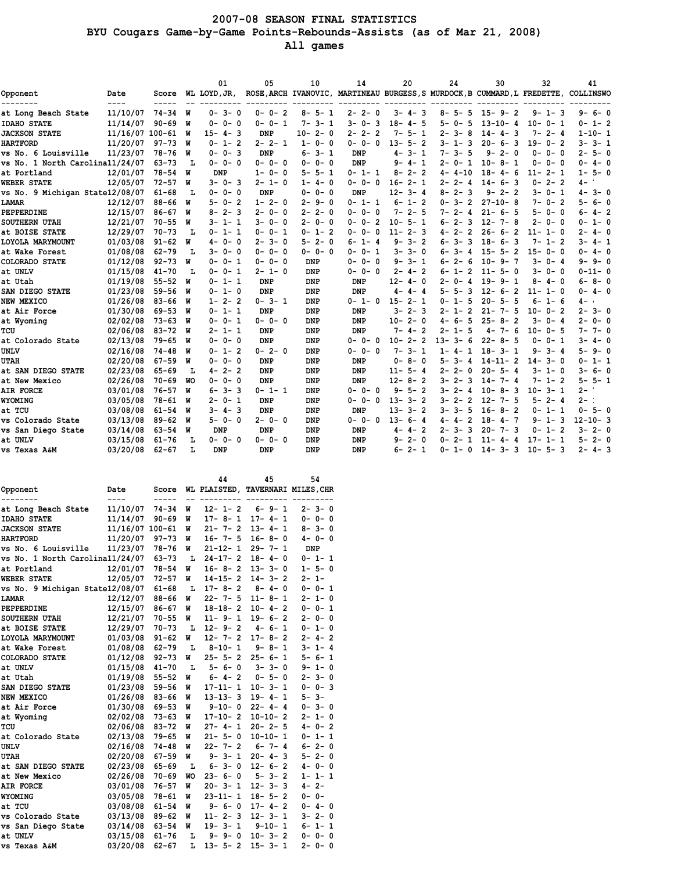### 2007-08 SEASON FINAL STATISTICS BYU Cougars Game-by-Game Points-Rebounds-Assists (as of Mar 21, 2008) All games

|                                 |                   |           |           | 01               | 05               | 10            | 14                                                                        | 20                | 24                          | 30                | 32                | 41            |
|---------------------------------|-------------------|-----------|-----------|------------------|------------------|---------------|---------------------------------------------------------------------------|-------------------|-----------------------------|-------------------|-------------------|---------------|
| Opponent                        | Date<br>$- - - -$ | Score     |           | WL LOYD, JR,     |                  |               | ROSE, ARCH IVANOVIC, MARTINEAU BURGESS, S MURDOCK, B CUMMARD, L FREDETTE, |                   |                             |                   |                   | COLLINSWO     |
| at Long Beach State             | 11/10/07          | $74 - 34$ | W         | $0 - 3 - 0$      | $0 - 0 - 2$      | $8 - 5 - 1$   | $2 - 2 - 0$                                                               | $3 - 4 - 3$       | 8-5-5                       | $15 - 9 - 2$      | $9 - 1 - 3$       | 9-6-0         |
| <b>IDAHO STATE</b>              | 11/14/07          | $90 - 69$ | W         | $0 - 0 - 0$      | $0 - 0 - 1$      | $7 - 3 - 1$   | $3 - 0 - 3$                                                               | $18 - 4 - 5$      | 5-0-<br>5                   | $13 - 10 - 4$     | $10 - 0 - 1$      | $0 - 1 - 2$   |
| <b>JACKSON STATE</b>            | 11/16/07 100-61   |           | W         | $15 - 4 - 3$     | <b>DNP</b>       | $10 - 2 - 0$  | $2 - 2 - 2$                                                               | $7 - 5 - 1$       | $2 - 3 -$<br>8              | $14 - 4 - 3$      | $7 - 2 - 4$       | $1 - 10 - 1$  |
| <b>HARTFORD</b>                 | 11/20/07          | $97 - 73$ | W         | $0 - 1 - 2$      | $2 - 2 - 1$      | $1 - 0 - 0$   | $0 - 0 - 0$                                                               | $13 - 5 - 2$      | 3- 1-<br>-3                 | $20 - 6 - 3$      | $19 - 0 - 2$      | $3 - 3 - 1$   |
| vs No. 6 Louisville             | 11/23/07          | 78-76     | W         | $0 - 0 - 3$      | <b>DNP</b>       | $6 - 3 - 1$   | <b>DNP</b>                                                                | $4 - 3 - 1$       | $7 - 3 - 5$                 | $9 - 2 - 0$       | $0 - 0 - 0$       | $2 - 5 - 0$   |
| vs No. 1 North Carolina11/24/07 |                   | $63 - 73$ | L         | $0 - 0 - 0$      | $0 - 0 - 0$      | $0 - 0 - 0$   | <b>DNP</b>                                                                | 9-4-1             | $2 - 0 - 1$                 | $10 - 8 - 1$      | $0 - 0 - 0$       | $0 - 4 - 0$   |
| at Portland                     | 12/01/07          | $78 - 54$ | W         | <b>DNP</b>       | $1 - 0 - 0$      | $5 - 5 - 1$   | $0 - 1 - 1$                                                               | $8 - 2 - 2$       | $4 - 4 - 10$                | $18 - 4 - 6$      | $11 - 2 - 1$      | $1 - 5 - 0$   |
| <b>WEBER STATE</b>              | 12/05/07          | $72 - 57$ | W         | $3 - 0 - 3$      | 2- 1- 0          | $1 - 4 - 0$   | $0 - 0 - 0$                                                               | $16 - 2 - 1$      | $2 - 2 - 4$                 | $14 - 6 - 3$      | $0 - 2 - 2$       | 4 –           |
| vs No. 9 Michigan State12/08/07 |                   | $61 - 68$ | L         | $0 - 0 - 0$      | DNP              | $0 - 0 - 0$   | <b>DNP</b>                                                                | $3 - 4$<br>$12 -$ | $8 - 2 -$<br>3              | $2 - 2$<br>9 –    | $3 - 0 - 1$       | $4 - 3 - 0$   |
| LAMAR                           | 12/12/07          | $88 - 66$ | W         | $5 - 0 - 2$      | $1 - 2 - 0$      | $2 - 9 - 0$   | $0 - 1 - 1$                                                               | $6 - 1 - 2$       | $0 - 3 -$<br>$\overline{2}$ | $27 - 10 - 8$     | $7 - 0 - 2$       | 5- 6- 0       |
| PEPPERDINE                      | 12/15/07          | $86 - 67$ | W         | $8 - 2 - 3$      | $2 - 0 - 0$      | $2 - 2 - 0$   | $0 - 0 - 0$                                                               | $7 - 2 - 5$       | $7 - 2 - 4$                 | $21 -$<br>$6 - 5$ | $5 - 0 - 0$       | 6-4-2         |
| <b>SOUTHERN UTAH</b>            | 12/21/07          | $70 - 55$ | W         | $3 - 1 - 1$      | 3-0-0            | $2 - 0 - 0$   | $0 - 0 - 2$                                                               | $10 - 5 - 1$      | $6 - 2 -$<br>-3             | $12 -$<br>$7 - 8$ | $2 - 0 - 0$       | $0 - 1 - 0$   |
| at BOISE STATE                  | 12/29/07          | $70 - 73$ | L         | $0 -$<br>$1 - 1$ | $0 - 0 - 1$      | $0 - 1 - 2$   | $0 - 0 - 0$                                                               | $2 - 3$<br>$11 -$ | $4 - 2 -$<br>$\overline{2}$ | $6 - 2$<br>$26 -$ | $11 - 1 - 0$      | $2 - 4 - 0$   |
| LOYOLA MARYMOUNT                | 01/03/08          | $91 - 62$ | W         | $0 - 0$<br>$4-$  | $3 - 0$<br>$2 -$ | $2 - 0$<br>5- | $6 - 1 - 4$                                                               | $9 - 3 - 2$       | $6 - 3 -$<br>3              | $18 - 6 - 3$      | $1 - 2$<br>7-     | 3-4-1         |
| at Wake Forest                  | 01/08/08          | $62 - 79$ | L         | $3 - 0 - 0$      | $0 - 0 - 0$      | $0 - 0 - 0$   | $0 - 1$<br>$0 -$                                                          | $3 - 3 - 0$       | $3-$<br>6-<br>4             | $15 - 5 - 2$      | $15 - 0 - 0$      | $0 - 4 - 0$   |
| COLORADO STATE                  | 01/12/08          | $92 - 73$ | W         | $0 - 0 - 1$      | $0 - 0 - 0$      | DNP           | $0 - 0$<br>$0 -$                                                          | $9 - 3 - 1$       | $6 - 2 -$<br>6              | $9 - 7$<br>$10 -$ | $3 - 0 - 4$       | 9-9-0         |
| at UNLV                         | 01/15/08          | $41 - 70$ | L         | $0 - 0 - 1$      | $2 - 1 - 0$      | <b>DNP</b>    | $0 - 0 - 0$                                                               | $2 - 4 - 2$       | $6 - 1 -$<br>$\overline{2}$ | $11 -$<br>$5 - 0$ | $3 - 0 - 0$       | $0 - 11 - 0$  |
| at Utah                         | 01/19/08          | $55 - 52$ | W         | $0 - 1 - 1$      | DNP              | <b>DNP</b>    | DNP                                                                       | $12 - 4 - 0$      | 2-0-<br>4                   | $19 -$<br>$9 - 1$ | $8 - 4 - 0$       | $6 - 8 - 0$   |
| SAN DIEGO STATE                 | 01/23/08          | $59 - 56$ | W         | $0 - 1 - 0$      | <b>DNP</b>       | <b>DNP</b>    | <b>DNP</b>                                                                | $4 - 4 - 4$       | 5-5-<br>3                   | $12 -$<br>$6 - 2$ | $11 - 1 - 0$      | $0 - 4 - 0$   |
| NEW MEXICO                      | 01/26/08          | $83 - 66$ | W         | $1 - 2 - 2$      | $0 - 3 - 1$      | <b>DNP</b>    | $0 - 1 - 0$                                                               | $15 - 2 - 1$      | $0 - 1 -$<br>5              | $20 -$<br>$5 - 5$ | $6 - 1 - 6$       | 4 –           |
| at Air Force                    | 01/30/08          | $69 - 53$ | W         | $0 - 1 - 1$      | DNP              | <b>DNP</b>    | <b>DNP</b>                                                                | $3 - 2 - 3$       | 2- 1-<br>2                  | $7 - 5$<br>$21 -$ | $10 - 0 - 2$      | $2 - 3 - 0$   |
| at Wyoming                      | 02/02/08          | $73 - 63$ | W         | $0 - 0 - 1$      | $0 - 0 - 0$      | <b>DNP</b>    | DNP                                                                       | $10 - 2 - 0$      | -5<br>4-6-                  | $25 - 8 - 2$      | $3 - 0 - 4$       | $2 - 0 - 0$   |
| TCU                             | 02/06/08          | $83 - 72$ | W         | $2 - 1 - 1$      | <b>DNP</b>       | <b>DNP</b>    | <b>DNP</b>                                                                | $7 - 4 - 2$       | 2- 1-<br>5                  | $7 - 6$<br>4-     | $10 - 0 - 5$      | $7 - 7 - 0$   |
| at Colorado State               | 02/13/08          | $79 - 65$ | W         | $0 - 0 - 0$      | <b>DNP</b>       | <b>DNP</b>    | $0 - 0 - 0$                                                               | $10 - 2 - 2$      | $13 - 3 -$<br>6             | $22 - 8 - 5$      | $0 - 0 - 1$       | 3-4-0         |
| UNLV                            | 02/16/08          | $74 - 48$ | W         | $0 - 1 - 2$      | $0 - 2 - 0$      | <b>DNP</b>    | $0 - 0 - 0$                                                               | $7 - 3 - 1$       | $1 - 4 -$<br>1              | $18 - 3 - 1$      | $9 - 3 - 4$       | $5 - 9 - 0$   |
| <b>UTAH</b>                     | 02/20/08          | $67 - 59$ | W         | $0 - 0 - 0$      | DNP              | <b>DNP</b>    | <b>DNP</b>                                                                | $0 - 8 - 0$       | 5-3-<br>4                   | $14 - 11 - 2$     | $14 - 3 - 0$      | $0 - 1 - 1$   |
| at SAN DIEGO STATE              | 02/23/08          | $65 - 69$ | L         | $4 - 2 - 2$      | <b>DNP</b>       | <b>DNP</b>    | DNP                                                                       | $11 - 5 - 4$      | $2 - 2 - 0$                 | $20 - 5 - 4$      | $3 - 1 - 0$       | $3 - 6 - 0$   |
| at New Mexico                   | 02/26/08          | $70 - 69$ | <b>WO</b> | $0 - 0 - 0$      | <b>DNP</b>       | <b>DNP</b>    | <b>DNP</b>                                                                | $12 - 8 - 2$      | $3 - 2 -$<br>3              | $14 - 7 - 4$      | $7 - 1 - 2$       | $5 - 5 - 1$   |
| AIR FORCE                       | 03/01/08          | $76 - 57$ | W         | $3 - 3$<br>6-    | $0 - 1 - 1$      | <b>DNP</b>    | $0 - 0 -$<br>- 0                                                          | $9 - 5 - 2$       | $3 - 2 -$<br>4              | $10 -$<br>$8 - 3$ | $10 - 3 - 1$      | $2 -$         |
| <b>WYOMING</b>                  | 03/05/08          | $78 - 61$ | W         | $2 - 0 - 1$      | DNP              | <b>DNP</b>    | $\mathbf 0$<br>$0 - 0 -$                                                  | $13 -$<br>$3 - 2$ | $3 - 2 -$<br>$\overline{2}$ | $12 -$<br>$7 - 5$ | $2 - 4$<br>5-     | $2 - 1$       |
| at TCU                          | 03/08/08          | $61 - 54$ | W         | $3 - 4 - 3$      | <b>DNP</b>       | <b>DNP</b>    | <b>DNP</b>                                                                | $13 -$<br>$3 - 2$ | $3 - 3 -$<br>5              | $16 -$<br>$8 - 2$ | $0 - 1 - 1$       | $0 - 5 - 0$   |
| vs Colorado State               | 03/13/08          | $89 - 62$ | W         | $5 - 0 - 0$      | $2 - 0 - 0$      | <b>DNP</b>    | $0 - 0 - 0$                                                               | $13 - 6 - 4$      | $\overline{2}$<br>4-4-      | $4 - 7$<br>$18 -$ | $1 - 3$<br>9-     | $12 - 10 - 3$ |
| vs San Diego State              | 03/14/08          | $63 - 54$ | W         | <b>DNP</b>       | DNP              | <b>DNP</b>    | <b>DNP</b>                                                                | $4 - 4 - 2$       | $2 - 3 -$<br>3              | $20 -$<br>$7 - 3$ | $0 - 1 - 2$       | $3 - 2 - 0$   |
| at UNLV                         | 03/15/08          | $61 - 76$ | L         | $0 - 0 -$<br>- 0 | $0 - 0 - 0$      | <b>DNP</b>    | <b>DNP</b>                                                                | $2 - 0$<br>9-     | 0-<br>$2 -$<br>1            | $11 -$<br>4       | $17 -$<br>$1 - 1$ | 5-<br>$2 - 0$ |
| vs Texas A&M                    | 03/20/08          | $62 - 67$ | L         | DNP              | <b>DNP</b>       | <b>DNP</b>    | <b>DNP</b>                                                                | $6 - 2 - 1$       | $0 - 1 - 0$                 | $14 - 3 - 3$      | $10 - 5 - 3$      | $2 - 4 - 3$   |

|                                 |                             |           |    | 44                           | 45                          | 54                                |
|---------------------------------|-----------------------------|-----------|----|------------------------------|-----------------------------|-----------------------------------|
| Opponent                        | Date                        | Score     |    |                              |                             | WL PLAISTED, TAVERNARI MILES, CHR |
|                                 | ----                        | -----     |    |                              |                             |                                   |
| at Long Beach State             | 11/10/07                    | $74 - 34$ | W  | $12 - 1 - 2$                 | $6 - 9 - 1$<br>$17 - 4 - 1$ | $2 - 3 - 0$                       |
| <b>IDAHO STATE</b>              | 11/14/07                    | $90 - 69$ | M  | $17 - 8 - 1$<br>$21 - 7 - 2$ | $13 - 4 - 1$                | $0 - 0 - 0$<br>$8 - 3 - 0$        |
| <b>JACKSON STATE</b>            | 11/16/07 100-61<br>11/20/07 |           | W  |                              | $16 - 8 - 0$                |                                   |
| <b>HARTFORD</b>                 |                             | $97 - 73$ | M  | $16 - 7 - 5$                 |                             | $4 - 0 - 0$                       |
| vs No. 6 Louisville             | 11/23/07                    | $78 - 76$ | M  | $21 - 12 - 1$                | $29 - 7 - 1$                | <b>DNP</b>                        |
| vs No. 1 North Carolina11/24/07 |                             | $63 - 73$ | Ŀ  | $24-17-2$                    | $18 - 4 - 0$                | $0 - 1 - 1$                       |
| at Portland                     | 12/01/07                    | $78 - 54$ | W  | $16 - 8 - 2$                 | $13 - 3 - 0$                | $1 - 5 - 0$                       |
| <b>WEBER STATE</b>              | 12/05/07                    | $72 - 57$ | W  | $14 - 15 - 2$                | $14 - 3 - 2$                | $2 - 1 -$                         |
| vs No. 9 Michigan State12/08/07 |                             | $61 - 68$ | L  | $17 - 8 - 2$                 | $8 - 4 - 0$                 | $0 - 0 - 1$                       |
| LAMAR                           | 12/12/07                    | $88 - 66$ | W  | $22 - 7 - 5$                 | $11 - 8 - 1$                | $2 - 1 - 0$                       |
| PEPPERDINE                      | 12/15/07                    | $86 - 67$ | W  | $18 - 18 - 2$                | $10 - 4 - 2$                | $0 - 0 - 1$                       |
| <b>SOUTHERN UTAH</b>            | 12/21/07                    | $70 - 55$ | W  | $11 - 9 - 1$                 | $19 - 6 - 2$                | $2 - 0 - 0$                       |
| at BOISE STATE                  | 12/29/07                    | $70 - 73$ | L  | $12 - 9 - 2$                 | $4 - 6 - 1$                 | $0 - 1 - 0$                       |
| LOYOLA MARYMOUNT                | 01/03/08                    | $91 - 62$ | W  | $12 - 7 - 2$                 | $17 - 8 - 2$                | $2 - 4 - 2$                       |
| at Wake Forest                  | 01/08/08                    | $62 - 79$ | L  | $8 - 10 - 1$                 | $9 - 8 - 1$                 | $3 - 1 - 4$                       |
| COLORADO STATE                  | 01/12/08                    | $92 - 73$ | W  | $25 - 5 - 2$                 | $25 - 6 - 1$                | $5 - 6 - 1$                       |
| at UNLV                         | 01/15/08                    | $41 - 70$ | Ŀ  | $5 - 6 - 0$                  | $3 - 3 - 0$                 | $9 - 1 - 0$                       |
| at Utah                         | 01/19/08                    | $55 - 52$ | M  | $6 - 4 - 2$                  | $0 - 5 - 0$                 | $2 - 3 - 0$                       |
| SAN DIEGO STATE                 | 01/23/08                    | $59 - 56$ | W  | $17 - 11 - 1$                | $10 - 3 - 1$                | $0 - 0 - 3$                       |
| <b>NEW MEXICO</b>               | 01/26/08                    | $83 - 66$ | M  | $13 - 13 - 3$                | $19 - 4 - 1$                | $5 - 3 -$                         |
| at Air Force                    | 01/30/08                    | $69 - 53$ | M  | $9 - 10 - 0$                 | $22 - 4 - 4$                | $0 - 3 - 0$                       |
| at Wyoming                      | 02/02/08                    | $73 - 63$ | M  | $17 - 10 - 2$                | $10 - 10 - 2$               | $2 - 1 - 0$                       |
| TCU                             | 02/06/08                    | $83 - 72$ | M  | $27 - 4 - 1$                 | $20 - 2 - 5$                | $4 - 0 - 2$                       |
| at Colorado State               | 02/13/08                    | $79 - 65$ | M  | $21 - 5 - 0$                 | $10 - 10 - 1$               | $0 - 1 - 1$                       |
| UNLV                            | 02/16/08                    | $74 - 48$ | M  | $22 - 7 - 2$                 | $6 - 7 - 4$                 | $6 - 2 - 0$                       |
| <b>UTAH</b>                     | 02/20/08                    | $67 - 59$ | M  | $9 - 3 - 1$                  | $20 - 4 - 3$                | $5 - 2 - 0$                       |
| at SAN DIEGO STATE              | 02/23/08                    | $65 - 69$ | Ŀ  | $6 - 3 - 0$                  | $12 - 6 - 2$                | $4 - 0 - 0$                       |
| at New Mexico                   | 02/26/08                    | $70 - 69$ | WΟ | $23 - 6 - 0$                 | $5 - 3 - 2$                 | $1 - 1 - 1$                       |
| <b>AIR FORCE</b>                | 03/01/08                    | $76 - 57$ | M  | $20 - 3 - 1$                 | $12 - 3 - 3$                | $4 - 2 -$                         |
| <b>WYOMING</b>                  | 03/05/08                    | $78 - 61$ | W  | $23 - 11 - 1$                | $18 - 5 - 2$                | $0 - 0 -$                         |
| at TCU                          | 03/08/08                    | $61 - 54$ | M  | $9 - 6 - 0$                  | $17 - 4 - 2$                | $0 - 4 - 0$                       |
| vs Colorado State               | 03/13/08                    | $89 - 62$ | W  | $11 - 2 - 3$                 | $12 - 3 - 1$                | $3 - 2 - 0$                       |
| vs San Diego State              | 03/14/08                    | $63 - 54$ | W  | $19 - 3 - 1$                 | $9 - 10 - 1$                | $6 - 1 - 1$                       |
| at UNLV                         | 03/15/08                    | $61 - 76$ | L  | $9 - 9 - 0$                  | $10 - 3 - 2$                | $0 - 0 - 0$                       |
| vs Texas A&M                    | 03/20/08                    | $62 - 67$ | L  | $13 - 5 - 2$                 | $15 - 3 - 1$                | $2 - 0 - 0$                       |
|                                 |                             |           |    |                              |                             |                                   |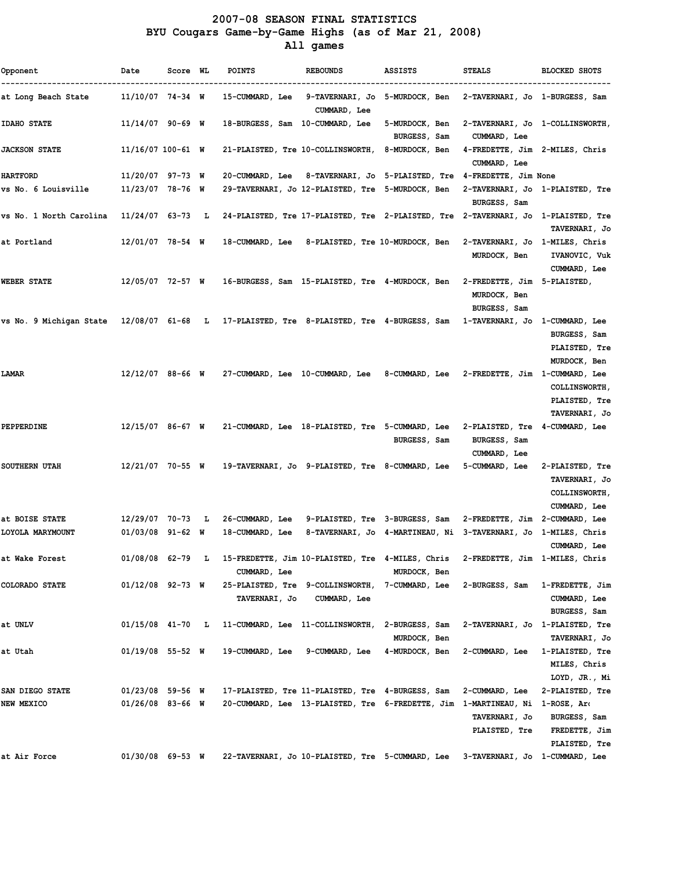### 2007-08 SEASON FINAL STATISTICS BYU Cougars Game-by-Game Highs (as of Mar 21, 2008) All games

| Opponent                | Date                | Score WL |     | <b>POINTS</b>                   | <b>REBOUNDS</b>                                                                   | ASSISTS                                                        | <b>STEALS</b>                                               | <b>BLOCKED SHOTS</b>                                                     |
|-------------------------|---------------------|----------|-----|---------------------------------|-----------------------------------------------------------------------------------|----------------------------------------------------------------|-------------------------------------------------------------|--------------------------------------------------------------------------|
| at Long Beach State     | $11/10/07$ 74-34 W  |          |     | 15-CUMMARD, Lee                 | 9-TAVERNARI, Jo 5-MURDOCK, Ben<br>CUMMARD, Lee                                    |                                                                | 2-TAVERNARI, Jo 1-BURGESS, Sam                              |                                                                          |
| <b>IDAHO STATE</b>      | $11/14/07$ 90-69 W  |          |     | 18-BURGESS, Sam 10-CUMMARD, Lee |                                                                                   | 5-MURDOCK, Ben<br>BURGESS, Sam                                 | 2-TAVERNARI, Jo 1-COLLINSWORTH,<br>CUMMARD, Lee             |                                                                          |
| <b>JACKSON STATE</b>    | $11/16/07$ 100-61 W |          |     |                                 | 21-PLAISTED, Tre 10-COLLINSWORTH,                                                 | 8-MURDOCK, Ben                                                 | 4-FREDETTE, Jim 2-MILES, Chris<br>CUMMARD, Lee              |                                                                          |
| <b>HARTFORD</b>         | 11/20/07 97-73 W    |          |     | 20-CUMMARD, Lee                 | 8-TAVERNARI, Jo 5-PLAISTED, Tre                                                   |                                                                | 4-FREDETTE, Jim None                                        |                                                                          |
| vs No. 6 Louisville     | 11/23/07 78-76 W    |          |     |                                 | 29-TAVERNARI, Jo 12-PLAISTED, Tre 5-MURDOCK, Ben                                  |                                                                | BURGESS, Sam                                                | 2-TAVERNARI, Jo 1-PLAISTED, Tre                                          |
| vs No. 1 North Carolina | 11/24/07 63-73      |          | л.  |                                 | 24-PLAISTED, Tre 17-PLAISTED, Tre 2-PLAISTED, Tre 2-TAVERNARI, Jo 1-PLAISTED, Tre |                                                                |                                                             | TAVERNARI, Jo                                                            |
| at Portland             | $12/01/07$ 78-54 W  |          |     | 18-CUMMARD, Lee                 | 8-PLAISTED, Tre 10-MURDOCK, Ben                                                   |                                                                | 2-TAVERNARI, Jo 1-MILES, Chris<br>MURDOCK, Ben              | IVANOVIC, Vuk<br>CUMMARD, Lee                                            |
| <b>WEBER STATE</b>      | 12/05/07 72-57 W    |          |     |                                 | 16-BURGESS, Sam 15-PLAISTED, Tre 4-MURDOCK, Ben                                   |                                                                | 2-FREDETTE, Jim 5-PLAISTED,<br>MURDOCK, Ben<br>BURGESS, Sam |                                                                          |
| vs No. 9 Michigan State |                     |          |     |                                 | 12/08/07 61-68 L 17-PLAISTED, Tre 8-PLAISTED, Tre 4-BURGESS, Sam                  |                                                                | 1-TAVERNARI, Jo 1-CUMMARD, Lee                              | BURGESS, Sam<br>PLAISTED, Tre<br>MURDOCK, Ben                            |
| LAMAR                   | $12/12/07$ 88-66 W  |          |     |                                 | 27-CUMMARD, Lee 10-CUMMARD, Lee 8-CUMMARD, Lee                                    |                                                                | 2-FREDETTE, Jim 1-CUMMARD, Lee                              | <b>COLLINSWORTH,</b><br>PLAISTED, Tre<br>TAVERNARI, Jo                   |
| PEPPERDINE              | $12/15/07$ 86-67 W  |          |     |                                 | 21-CUMMARD, Lee 18-PLAISTED, Tre 5-CUMMARD, Lee                                   | BURGESS, Sam                                                   | 2-PLAISTED, Tre<br>BURGESS, Sam<br>CUMMARD, Lee             | 4-CUMMARD, Lee                                                           |
| SOUTHERN UTAH           | 12/21/07 70-55 W    |          |     |                                 | 19-TAVERNARI, Jo 9-PLAISTED, Tre 8-CUMMARD, Lee                                   |                                                                | 5-CUMMARD, Lee                                              | 2-PLAISTED, Tre<br>TAVERNARI, Jo<br><b>COLLINSWORTH,</b><br>CUMMARD, Lee |
| at BOISE STATE          | 12/29/07 70-73      |          | - L | 26-CUMMARD, Lee                 | 9-PLAISTED, Tre 3-BURGESS, Sam                                                    |                                                                | 2-FREDETTE, Jim 2-CUMMARD, Lee                              |                                                                          |
| LOYOLA MARYMOUNT        | $01/03/08$ 91-62 W  |          |     | 18-CUMMARD, Lee                 |                                                                                   | 8-TAVERNARI, Jo 4-MARTINEAU, Ni 3-TAVERNARI, Jo 1-MILES, Chris |                                                             | CUMMARD, Lee                                                             |
| at Wake Forest          | 01/08/08 62-79 L    |          |     | CUMMARD, Lee                    | 15-FREDETTE, Jim 10-PLAISTED, Tre 4-MILES, Chris                                  | MURDOCK, Ben                                                   | 2-FREDETTE, Jim 1-MILES, Chris                              |                                                                          |
| COLORADO STATE          | $01/12/08$ 92-73 W  |          |     | TAVERNARI, Jo                   | 25-PLAISTED, Tre 9-COLLINSWORTH, 7-CUMMARD, Lee<br>CUMMARD, Lee                   |                                                                | 2-BURGESS, Sam                                              | 1-FREDETTE, Jim<br>CUMMARD, Lee<br>BURGESS, Sam                          |
| at UNLV                 | $01/15/08$ 41-70 L  |          |     |                                 | 11-CUMMARD, Lee 11-COLLINSWORTH, 2-BURGESS, Sam                                   | MURDOCK, Ben                                                   | 2-TAVERNARI, Jo 1-PLAISTED, Tre                             | TAVERNARI, Jo                                                            |
| at Utah                 | $01/19/08$ 55-52 W  |          |     | 19-CUMMARD, Lee                 | 9-CUMMARD, Lee                                                                    | 4-MURDOCK, Ben                                                 | 2-CUMMARD, Lee                                              | 1-PLAISTED, Tre<br>MILES, Chris<br>LOYD, JR., Mi                         |
| SAN DIEGO STATE         | $01/23/08$ 59-56 W  |          |     |                                 | 17-PLAISTED, Tre 11-PLAISTED, Tre 4-BURGESS, Sam                                  |                                                                | 2-CUMMARD, Lee                                              | 2-PLAISTED, Tre                                                          |
| <b>NEW MEXICO</b>       | 01/26/08 83-66 W    |          |     |                                 | 20-CUMMARD, Lee 13-PLAISTED, Tre 6-FREDETTE, Jim 1-MARTINEAU, Ni                  |                                                                | TAVERNARI, Jo<br>PLAISTED, Tre                              | 1-ROSE, Are<br>BURGESS, Sam<br>FREDETTE, Jim<br>PLAISTED, Tre            |
| at Air Force            | $01/30/08$ 69-53 W  |          |     |                                 | 22-TAVERNARI, Jo 10-PLAISTED, Tre 5-CUMMARD, Lee                                  |                                                                | 3-TAVERNARI, Jo 1-CUMMARD, Lee                              |                                                                          |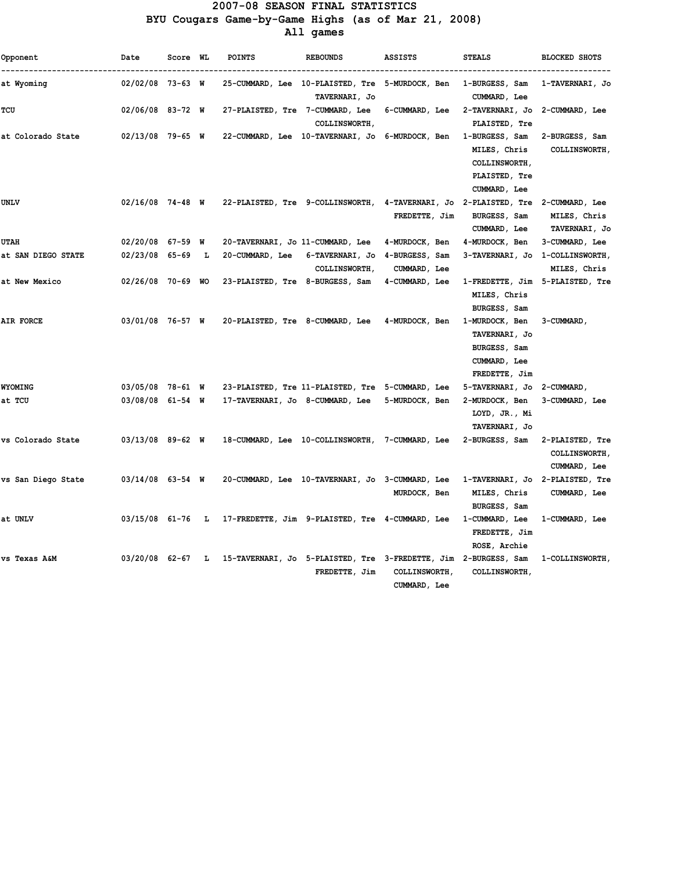#### 2007-08 SEASON FINAL STATISTICS BYU Cougars Game-by-Game Highs (as of Mar 21, 2008) All games

| Opponent           | Date                | Score WL |     | <b>POINTS</b>                    | <b>REBOUNDS</b>                                                                  | <b>ASSISTS</b>                       | <b>STEALS</b>                                                                    | <b>BLOCKED SHOTS</b>                                    |
|--------------------|---------------------|----------|-----|----------------------------------|----------------------------------------------------------------------------------|--------------------------------------|----------------------------------------------------------------------------------|---------------------------------------------------------|
| at Wyoming         | $02/02/08$ 73-63 W  |          |     |                                  | 25-CUMMARD, Lee 10-PLAISTED, Tre 5-MURDOCK, Ben<br>TAVERNARI, Jo                 |                                      | 1-BURGESS, Sam<br>CUMMARD, Lee                                                   | 1-TAVERNARI, Jo                                         |
| TCU                | $02/06/08$ 83-72 W  |          |     | 27-PLAISTED, Tre 7-CUMMARD, Lee  | <b>COLLINSWORTH,</b>                                                             | 6-CUMMARD, Lee                       | 2-TAVERNARI, Jo<br>PLAISTED, Tre                                                 | 2-CUMMARD, Lee                                          |
| at Colorado State  | $02/13/08$ 79-65 W  |          |     |                                  | 22-CUMMARD, Lee 10-TAVERNARI, Jo                                                 | 6-MURDOCK, Ben                       | 1-BURGESS, Sam<br>MILES, Chris<br>COLLINSWORTH,<br>PLAISTED, Tre<br>CUMMARD, Lee | 2-BURGESS, Sam<br><b>COLLINSWORTH,</b>                  |
| <b>UNLV</b>        | $02/16/08$ 74-48 W  |          |     |                                  | 22-PLAISTED, Tre 9-COLLINSWORTH, 4-TAVERNARI, Jo 2-PLAISTED, Tre 2-CUMMARD, Lee  | FREDETTE, Jim                        | BURGESS, Sam<br>CUMMARD, Lee                                                     | MILES, Chris<br>TAVERNARI, Jo                           |
| UTAH               | $02/20/08$ 67-59 W  |          |     | 20-TAVERNARI, Jo 11-CUMMARD, Lee |                                                                                  | 4-MURDOCK, Ben                       | 4-MURDOCK, Ben                                                                   | 3-CUMMARD, Lee                                          |
| at SAN DIEGO STATE | $02/23/08$ 65-69    |          | L   | 20-CUMMARD, Lee                  | 6-TAVERNARI, Jo<br><b>COLLINSWORTH,</b>                                          | 4-BURGESS, Sam<br>CUMMARD, Lee       | 3-TAVERNARI, Jo                                                                  | 1-COLLINSWORTH,<br>MILES, Chris                         |
| at New Mexico      | $02/26/08$ 70-69 WO |          |     | 23-PLAISTED, Tre 8-BURGESS, Sam  |                                                                                  | 4-CUMMARD, Lee                       | 1-FREDETTE, Jim 5-PLAISTED, Tre<br>MILES, Chris<br>BURGESS, Sam                  |                                                         |
| <b>AIR FORCE</b>   | 03/01/08 76-57 W    |          |     | 20-PLAISTED, Tre 8-CUMMARD, Lee  |                                                                                  | 4-MURDOCK, Ben                       | 1-MURDOCK, Ben<br>TAVERNARI, Jo<br>BURGESS, Sam<br>CUMMARD, Lee<br>FREDETTE, Jim | 3-CUMMARD,                                              |
| <b>WYOMING</b>     | $03/05/08$ 78-61 W  |          |     |                                  | 23-PLAISTED, Tre 11-PLAISTED, Tre 5-CUMMARD, Lee                                 |                                      | 5-TAVERNARI, Jo                                                                  | 2-CUMMARD,                                              |
| at TCU             | $03/08/08$ 61-54 W  |          |     | 17-TAVERNARI, Jo 8-CUMMARD, Lee  |                                                                                  | 5-MURDOCK, Ben                       | 2-MURDOCK, Ben<br>LOYD, JR., Mi<br>TAVERNARI, Jo                                 | 3-CUMMARD, Lee                                          |
| vs Colorado State  | $03/13/08$ 89-62 W  |          |     |                                  | 18-CUMMARD, Lee 10-COLLINSWORTH, 7-CUMMARD, Lee                                  |                                      | 2-BURGESS, Sam                                                                   | 2-PLAISTED, Tre<br><b>COLLINSWORTH,</b><br>CUMMARD, Lee |
| vs San Diego State | $03/14/08$ 63-54 W  |          |     |                                  | 20-CUMMARD, Lee 10-TAVERNARI, Jo 3-CUMMARD, Lee                                  | MURDOCK, Ben                         | 1-TAVERNARI, Jo 2-PLAISTED, Tre<br>MILES, Chris<br>BURGESS, Sam                  | CUMMARD, Lee                                            |
| at UNLV            | 03/15/08 61-76      |          | - L |                                  | 17-FREDETTE, Jim 9-PLAISTED, Tre 4-CUMMARD, Lee                                  |                                      | 1-CUMMARD, Lee<br>FREDETTE, Jim<br>ROSE, Archie                                  | 1-CUMMARD, Lee                                          |
| vs Texas A&M       | $03/20/08$ 62-67    |          | - L |                                  | 15-TAVERNARI, Jo 5-PLAISTED, Tre 3-FREDETTE, Jim 2-BURGESS, Sam<br>FREDETTE, Jim | <b>COLLINSWORTH,</b><br>CUMMARD, Lee | <b>COLLINSWORTH,</b>                                                             | 1-COLLINSWORTH,                                         |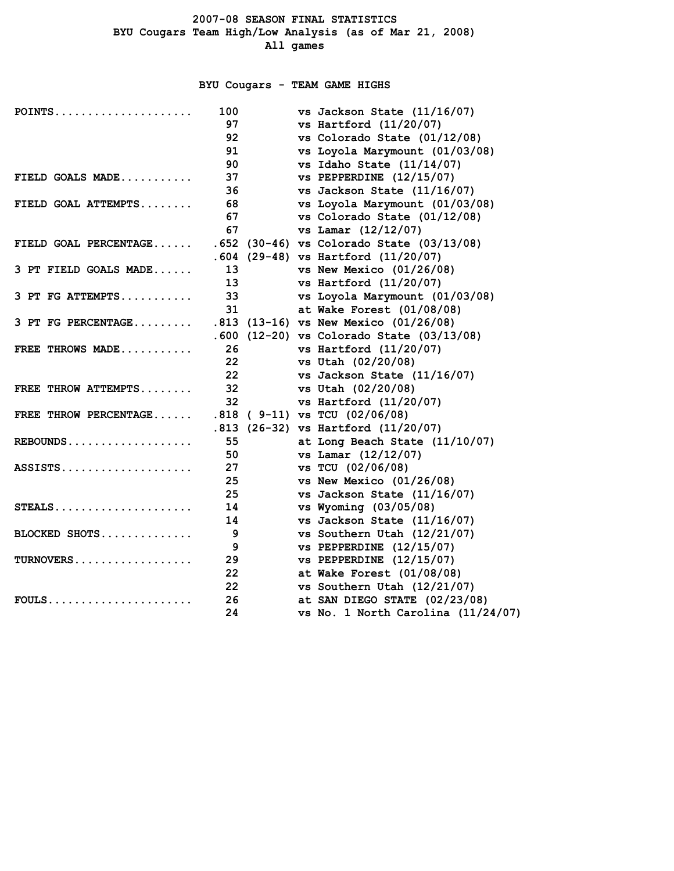### BYU Cougars - TEAM GAME HIGHS

| $POINTS$              | 100 |  | vs Jackson State $(11/16/07)$             |
|-----------------------|-----|--|-------------------------------------------|
|                       | 97  |  | vs Hartford $(11/20/07)$                  |
|                       | 92  |  | vs Colorado State (01/12/08)              |
|                       | 91  |  | vs Loyola Marymount (01/03/08)            |
|                       | 90  |  | vs Idaho State (11/14/07)                 |
| FIELD GOALS MADE      | 37  |  | $vs$ PEPPERDINE $(12/15/07)$              |
|                       | 36  |  | vs Jackson State (11/16/07)               |
| FIELD GOAL ATTEMPTS   | 68  |  | vs Loyola Marymount (01/03/08)            |
|                       | 67  |  | vs Colorado State (01/12/08)              |
|                       | 67  |  | vs Lamar (12/12/07)                       |
| FIELD GOAL PERCENTAGE |     |  | .652 (30-46) vs Colorado State (03/13/08) |
|                       |     |  | $.604$ (29-48) vs Hartford (11/20/07)     |
| 3 PT FIELD GOALS MADE | 13  |  | vs New Mexico $(01/26/08)$                |
|                       | 13  |  | vs Hartford $(11/20/07)$                  |
| 3 PT FG ATTEMPTS      | 33  |  | vs Loyola Marymount (01/03/08)            |
|                       | 31  |  | at Wake Forest (01/08/08)                 |
| 3 PT FG PERCENTAGE    |     |  | .813 (13-16) vs New Mexico (01/26/08)     |
|                       |     |  | .600 (12-20) vs Colorado State (03/13/08) |
| FREE THROWS MADE      | 26  |  | vs Hartford $(11/20/07)$                  |
|                       | 22  |  | vs Utah (02/20/08)                        |
|                       | 22  |  | vs Jackson State (11/16/07)               |
| FREE THROW ATTEMPTS   | 32  |  | vs Utah (02/20/08)                        |
|                       | 32  |  | vs Hartford $(11/20/07)$                  |
| FREE THROW PERCENTAGE |     |  | $.818$ ( 9-11) vs TCU (02/06/08)          |
|                       |     |  | $.813$ (26-32) vs Hartford (11/20/07)     |
| $REBOUNDS$            | 55  |  | at Long Beach State (11/10/07)            |
|                       | 50  |  | vs Lamar (12/12/07)                       |
| $ASSISTS.$            | 27  |  | vs TCU (02/06/08)                         |
|                       | 25  |  | vs New Mexico $(01/26/08)$                |
|                       | 25  |  | vs Jackson State (11/16/07)               |
| STEALS                | 14  |  | vs Wyoming (03/05/08)                     |
|                       | 14  |  | vs Jackson State (11/16/07)               |
| BLOCKED SHOTS         | 9   |  | vs Southern Utah (12/21/07)               |
|                       | 9   |  | $vs$ PEPPERDINE $(12/15/07)$              |
| $TURNOVERS$           | 29  |  | vs PEPPERDINE $(12/15/07)$                |
|                       | 22  |  | at Wake Forest (01/08/08)                 |
|                       | 22  |  | vs Southern Utah (12/21/07)               |
| $FOULS$               | 26  |  | at SAN DIEGO STATE (02/23/08)             |
|                       | 24  |  | vs No. 1 North Carolina $(11/24/07)$      |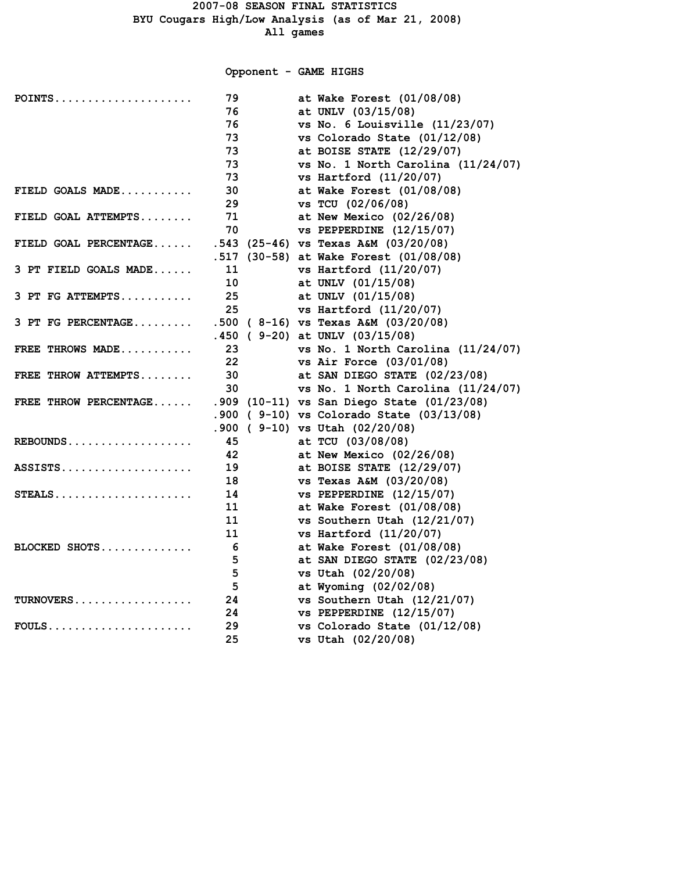### Opponent - GAME HIGHS

| POINTS                | 79                | at Wake Forest (01/08/08)                  |
|-----------------------|-------------------|--------------------------------------------|
|                       | 76                | at UNLV (03/15/08)                         |
|                       | 76                | vs No. 6 Louisville $(11/23/07)$           |
|                       | 73                | vs Colorado State (01/12/08)               |
|                       | 73                | at BOISE STATE (12/29/07)                  |
|                       | 73                | vs No. 1 North Carolina $(11/24/07)$       |
|                       | 73                | vs Hartford $(11/20/07)$                   |
| FIELD GOALS MADE      | 30                | at Wake Forest (01/08/08)                  |
|                       | 29                | vs TCU (02/06/08)                          |
| FIELD GOAL ATTEMPTS   | 71                | at New Mexico $(02/26/08)$                 |
|                       | 70                | $vs$ PEPPERDINE $(12/15/07)$               |
| FIELD GOAL PERCENTAGE |                   | $.543$ (25-46) vs Texas A&M (03/20/08)     |
|                       |                   | .517 (30-58) at Wake Forest (01/08/08)     |
| 3 PT FIELD GOALS MADE | 11                | vs Hartford $(11/20/07)$                   |
|                       | 10                | at UNLV (01/15/08)                         |
| 3 PT FG ATTEMPTS      | 25                | at UNLV (01/15/08)                         |
|                       | 25                | vs Hartford $(11/20/07)$                   |
| 3 PT FG PERCENTAGE    |                   | $.500$ (8-16) vs Texas A&M (03/20/08)      |
|                       |                   | $.450$ (9-20) at UNLV (03/15/08)           |
| FREE THROWS MADE      | 23                | vs No. 1 North Carolina (11/24/07)         |
|                       | $22 \overline{ }$ | vs Air Force $(03/01/08)$                  |
| FREE THROW ATTEMPTS   | 30                | at SAN DIEGO STATE (02/23/08)              |
|                       | 30                | vs No. 1 North Carolina $(11/24/07)$       |
| FREE THROW PERCENTAGE |                   | .909 (10-11) vs San Diego State (01/23/08) |
|                       |                   | .900 ( 9-10) vs Colorado State (03/13/08)  |
|                       |                   | .900 ( 9-10) vs Utah (02/20/08)            |
| REBOUNDS              | 45                | at TCU (03/08/08)                          |
|                       | 42                | at New Mexico $(02/26/08)$                 |
| $ASSISTS.$            | 19                | at BOISE STATE (12/29/07)                  |
|                       | 18                | vs Texas A&M (03/20/08)                    |
| $STEALS$              | 14                | $vs$ PEPPERDINE $(12/15/07)$               |
|                       | 11                | at Wake Forest (01/08/08)                  |
|                       | 11                | vs Southern Utah (12/21/07)                |
|                       | 11                | vs Hartford $(11/20/07)$                   |
| BLOCKED SHOTS         | 6                 | at Wake Forest (01/08/08)                  |
|                       | 5                 | at SAN DIEGO STATE (02/23/08)              |
|                       | 5                 | vs Utah (02/20/08)                         |
|                       | 5                 | at Wyoming (02/02/08)                      |
| TURNOVERS             | 24                | vs Southern Utah (12/21/07)                |
|                       | 24                | $vs$ PEPPERDINE $(12/15/07)$               |
| $FOULS$               | 29                | vs Colorado State (01/12/08)               |
|                       | 25                | vs Utah (02/20/08)                         |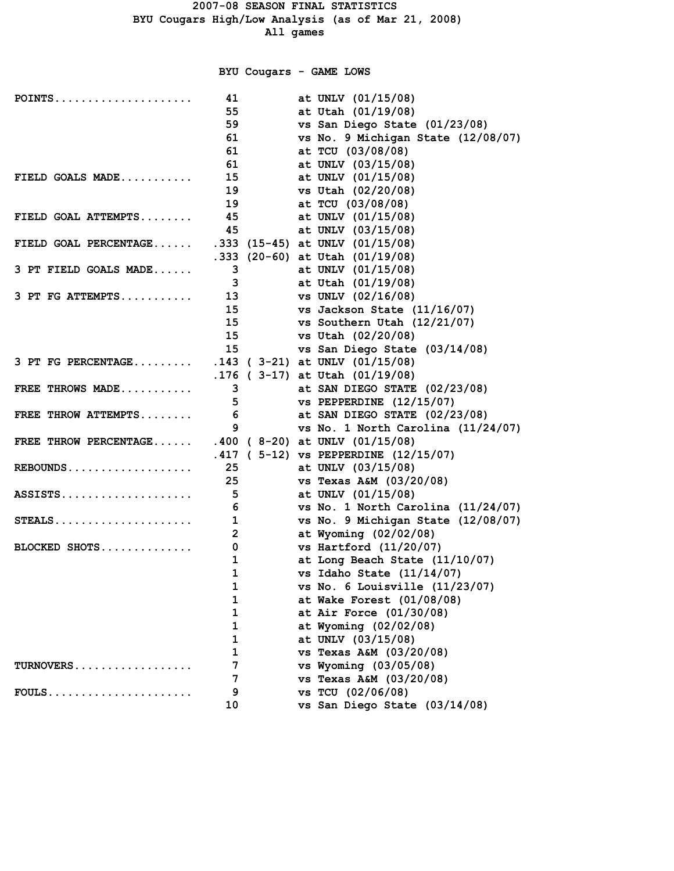# BYU Cougars - GAME LOWS

| $POINTS$              | 41             | at UNLV (01/15/08)                      |
|-----------------------|----------------|-----------------------------------------|
|                       | 55             | at Utah (01/19/08)                      |
|                       | 59             | vs San Diego State (01/23/08)           |
|                       | 61             | vs No. 9 Michigan State (12/08/07)      |
|                       | 61             | at TCU (03/08/08)                       |
|                       | 61             | at UNLV (03/15/08)                      |
| FIELD GOALS MADE      | 15             | at UNLV (01/15/08)                      |
|                       | 19             | vs Utah (02/20/08)                      |
|                       | 19             | at TCU (03/08/08)                       |
| FIELD GOAL ATTEMPTS   | 45             | at UNLV (01/15/08)                      |
|                       | 45             | at UNLV (03/15/08)                      |
| FIELD GOAL PERCENTAGE |                | .333 (15-45) at UNLV $(01/15/08)$       |
|                       |                | .333 (20-60) at Utah $(01/19/08)$       |
| 3 PT FIELD GOALS MADE | 3              | at UNLV (01/15/08)                      |
|                       | 3              | at Utah (01/19/08)                      |
| 3 PT FG ATTEMPTS      | 13             | vs UNLV (02/16/08)                      |
|                       | 15             | vs Jackson State (11/16/07)             |
|                       | 15             | vs Southern Utah (12/21/07)             |
|                       | 15             | vs Utah (02/20/08)                      |
|                       | 15             | vs San Diego State (03/14/08)           |
| 3 PT FG PERCENTAGE    |                | $.143$ ( 3-21) at UNLV (01/15/08)       |
|                       |                | $.176$ ( 3-17) at Utah (01/19/08)       |
| FREE THROWS MADE      | 3              | at SAN DIEGO STATE (02/23/08)           |
|                       | 5              | $vs$ PEPPERDINE $(12/15/07)$            |
| FREE THROW ATTEMPTS   | 6              | at SAN DIEGO STATE (02/23/08)           |
|                       | 9              | vs No. 1 North Carolina $(11/24/07)$    |
| FREE THROW PERCENTAGE |                | .400 ( $8-20$ ) at UNLV (01/15/08)      |
|                       |                | $.417$ ( 5-12) vs PEPPERDINE (12/15/07) |
| $REBOUNDS$            | 25             | at UNLV (03/15/08)                      |
|                       | 25             | vs Texas A&M (03/20/08)                 |
| ASSISTS               | 5              | at UNLV (01/15/08)                      |
|                       | 6              | vs No. 1 North Carolina $(11/24/07)$    |
| $STEALS$              | $\mathbf{1}$   | vs No. 9 Michigan State (12/08/07)      |
|                       | $\overline{2}$ | at Wyoming (02/02/08)                   |
| BLOCKED SHOTS         | 0              | vs Hartford $(11/20/07)$                |
|                       | $\mathbf 1$    | at Long Beach State (11/10/07)          |
|                       | $\mathbf 1$    | vs Idaho State $(11/14/07)$             |
|                       | $\mathbf 1$    | vs No. 6 Louisville (11/23/07)          |
|                       | 1              | at Wake Forest (01/08/08)               |
|                       | 1              | at Air Force (01/30/08)                 |
|                       | 1              | at Wyoming (02/02/08)                   |
|                       | 1              | at UNLV (03/15/08)                      |
|                       | 1              | vs Texas A&M (03/20/08)                 |
| TURNOVERS             | 7              | vs Wyoming (03/05/08)                   |
|                       | 7              | vs Texas A&M (03/20/08)                 |
| $FOULS$               | 9              | vs TCU (02/06/08)                       |
|                       | 10             | vs San Diego State (03/14/08)           |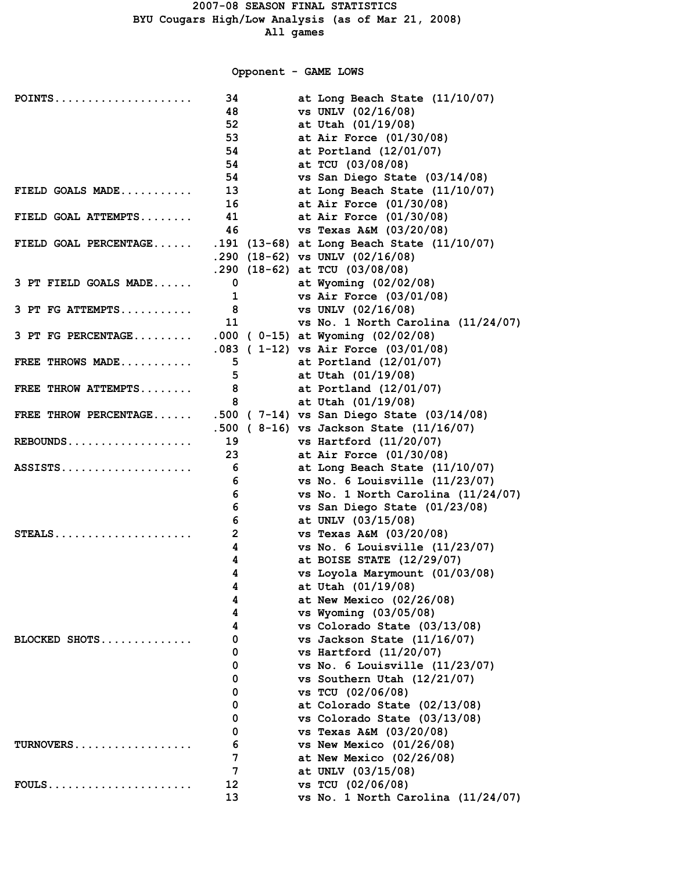Opponent - GAME LOWS

| POINTS                | 34              | at Long Beach State (11/10/07)                                                     |
|-----------------------|-----------------|------------------------------------------------------------------------------------|
|                       | 48              | vs UNLV (02/16/08)                                                                 |
|                       | 52              | at Utah (01/19/08)                                                                 |
|                       | 53              | at Air Force (01/30/08)                                                            |
|                       | 54              | at Portland (12/01/07)                                                             |
|                       | 54              | at TCU (03/08/08)                                                                  |
|                       | 54              | vs San Diego State (03/14/08)                                                      |
| FIELD GOALS MADE      | 13 <sup>7</sup> | at Long Beach State (11/10/07)                                                     |
|                       | 16              | at Air Force (01/30/08)                                                            |
| FIELD GOAL ATTEMPTS   | 41              | at Air Force (01/30/08)                                                            |
| FIELD GOAL PERCENTAGE | 46              | vs Texas A&M (03/20/08)                                                            |
|                       |                 | .191 (13-68) at Long Beach State (11/10/07)<br>.290 $(18-62)$ vs UNLV $(02/16/08)$ |
|                       |                 | $.290$ (18-62) at TCU (03/08/08)                                                   |
| 3 PT FIELD GOALS MADE | 0               | at Wyoming (02/02/08)                                                              |
|                       | $\mathbf{1}$    | vs Air Force (03/01/08)                                                            |
| $3$ PT FG ATTEMPTS    | 8               | vs UNLV (02/16/08)                                                                 |
|                       | 11              | vs No. 1 North Carolina $(11/24/07)$                                               |
| 3 PT FG PERCENTAGE    |                 | $.000$ (0-15) at Wyoming (02/02/08)                                                |
|                       |                 | .083 (1-12) vs Air Force (03/01/08)                                                |
| FREE THROWS MADE      | 5               | at Portland (12/01/07)                                                             |
|                       | 5               | at Utah (01/19/08)                                                                 |
| FREE THROW ATTEMPTS   | 8               | at Portland (12/01/07)                                                             |
|                       | 8               | at Utah (01/19/08)                                                                 |
| FREE THROW PERCENTAGE |                 | .500 ( 7-14) vs San Diego State (03/14/08)                                         |
|                       |                 | .500 ( 8-16) vs Jackson State (11/16/07)                                           |
| REBOUNDS              | 19              | vs Hartford $(11/20/07)$                                                           |
|                       | 23              | at Air Force (01/30/08)                                                            |
| ASSISTS               | 6               | at Long Beach State (11/10/07)                                                     |
|                       | 6               | vs No. 6 Louisville $(11/23/07)$                                                   |
|                       | 6               | vs No. 1 North Carolina (11/24/07)                                                 |
|                       | 6               | vs San Diego State (01/23/08)                                                      |
|                       | 6               | at UNLV (03/15/08)                                                                 |
| $STEALS$              | $\overline{2}$  | vs Texas A&M (03/20/08)                                                            |
|                       | 4               | vs No. 6 Louisville $(11/23/07)$                                                   |
|                       | 4               | at BOISE STATE (12/29/07)                                                          |
|                       | 4               | vs Loyola Marymount (01/03/08)                                                     |
|                       | 4               | at Utah (01/19/08)                                                                 |
|                       | 4               | at New Mexico $(02/26/08)$                                                         |
|                       | 4               | vs Wyoming (03/05/08)                                                              |
|                       | 4               | vs Colorado State (03/13/08)                                                       |
| BLOCKED SHOTS         | 0               | vs Jackson State (11/16/07)                                                        |
|                       | 0               | vs Hartford $(11/20/07)$                                                           |
|                       | 0               | vs No. 6 Louisville $(11/23/07)$                                                   |
|                       | 0               | vs Southern Utah (12/21/07)                                                        |
|                       | 0               | vs TCU (02/06/08)                                                                  |
|                       | 0               | at Colorado State (02/13/08)                                                       |
|                       | 0               | vs Colorado State (03/13/08)                                                       |
|                       | 0               | vs Texas A&M (03/20/08)                                                            |
| TURNOVERS             | 6<br>7          | vs New Mexico $(01/26/08)$                                                         |
|                       | 7               | at New Mexico (02/26/08)                                                           |
|                       |                 | at UNLV (03/15/08)                                                                 |
| $FOULS$               | 12<br>13        | vs TCU (02/06/08)                                                                  |
|                       |                 | vs No. 1 North Carolina $(11/24/07)$                                               |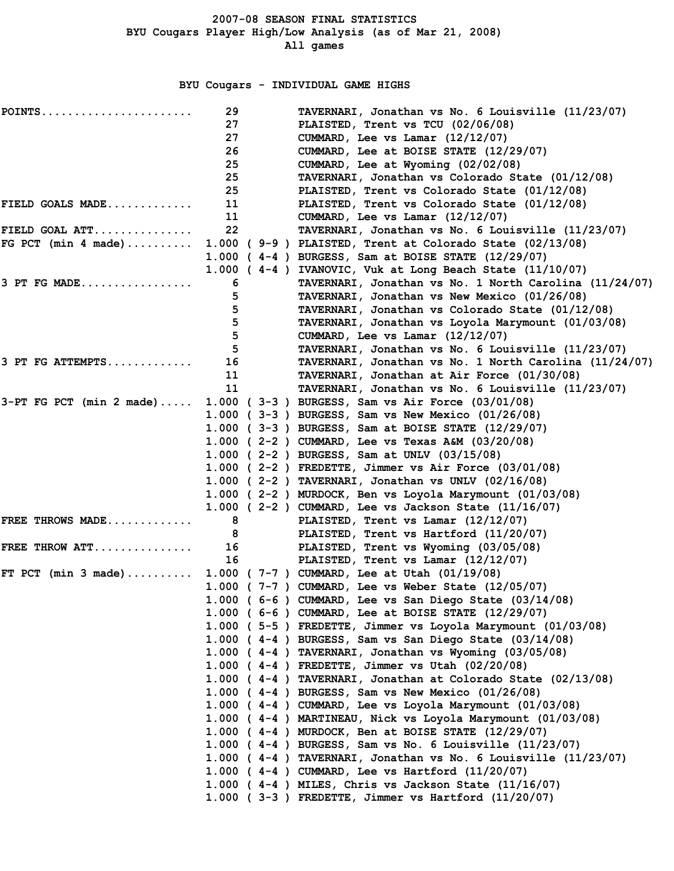## BYU Cougars - INDIVIDUAL GAME HIGHS

| $POINTS$                                   | 29 | TAVERNARI, Jonathan vs No. 6 Louisville (11/23/07)             |
|--------------------------------------------|----|----------------------------------------------------------------|
|                                            | 27 | PLAISTED, Trent vs TCU (02/06/08)                              |
|                                            | 27 | CUMMARD, Lee vs Lamar (12/12/07)                               |
|                                            | 26 | CUMMARD, Lee at BOISE STATE (12/29/07)                         |
|                                            | 25 | CUMMARD, Lee at Wyoming (02/02/08)                             |
|                                            | 25 | TAVERNARI, Jonathan vs Colorado State (01/12/08)               |
|                                            | 25 | PLAISTED, Trent vs Colorado State (01/12/08)                   |
| FIELD GOALS MADE                           | 11 | PLAISTED, Trent vs Colorado State (01/12/08)                   |
|                                            | 11 | CUMMARD, Lee vs Lamar (12/12/07)                               |
| FIELD GOAL ATT                             | 22 | TAVERNARI, Jonathan vs No. 6 Louisville (11/23/07)             |
| FG PCT (min 4 made)                        |    | 1.000 (9-9) PLAISTED, Trent at Colorado State (02/13/08)       |
|                                            |    | 1.000 ( $4-4$ ) BURGESS, Sam at BOISE STATE (12/29/07)         |
|                                            |    | 1.000 (4-4) IVANOVIC, Vuk at Long Beach State (11/10/07)       |
| $3$ PT FG MADE                             | 6  | TAVERNARI, Jonathan vs No. 1 North Carolina (11/24/07)         |
|                                            | 5. | TAVERNARI, Jonathan vs New Mexico (01/26/08)                   |
|                                            | 5. | TAVERNARI, Jonathan vs Colorado State (01/12/08)               |
|                                            | 5  | TAVERNARI, Jonathan vs Loyola Marymount (01/03/08)             |
|                                            | 5  | CUMMARD, Lee vs Lamar (12/12/07)                               |
|                                            | 5. | TAVERNARI, Jonathan vs No. 6 Louisville (11/23/07)             |
| $3$ PT FG ATTEMPTS                         | 16 | TAVERNARI, Jonathan vs No. 1 North Carolina (11/24/07)         |
|                                            | 11 | TAVERNARI, Jonathan at Air Force (01/30/08)                    |
|                                            | 11 | TAVERNARI, Jonathan vs No. 6 Louisville (11/23/07)             |
| $3-PT$ FG PCT (min 2 made)                 |    | 1.000 ( $3-3$ ) BURGESS, Sam vs Air Force $(03/01/08)$         |
|                                            |    | 1.000 (3-3) BURGESS, Sam vs New Mexico (01/26/08)              |
|                                            |    | 1.000 ( 3-3 ) BURGESS, Sam at BOISE STATE (12/29/07)           |
|                                            |    | 1.000 ( 2-2 ) CUMMARD, Lee vs Texas A&M (03/20/08)             |
|                                            |    | 1.000 ( 2-2 ) BURGESS, Sam at UNLV (03/15/08)                  |
|                                            |    | 1.000 ( $2-2$ ) FREDETTE, Jimmer vs Air Force $(03/01/08)$     |
|                                            |    | 1.000 ( $2-2$ ) TAVERNARI, Jonathan vs UNLV (02/16/08)         |
|                                            |    | 1.000 (2-2) MURDOCK, Ben vs Loyola Marymount (01/03/08)        |
|                                            |    | 1.000 ( $2-2$ ) CUMMARD, Lee vs Jackson State (11/16/07)       |
| FREE THROWS MADE                           | 8  | PLAISTED, Trent vs Lamar (12/12/07)                            |
|                                            | 8  | PLAISTED, Trent vs Hartford (11/20/07)                         |
| FREE THROW ATT                             | 16 | PLAISTED, Trent vs Wyoming (03/05/08)                          |
|                                            | 16 | PLAISTED, Trent vs Lamar (12/12/07)                            |
| FT PCT $(min 3 made) \ldots \ldots \ldots$ |    | 1.000 ( $7-7$ ) CUMMARD, Lee at Utah $(01/19/08)$              |
|                                            |    | 1.000 ( 7-7 ) CUMMARD, Lee vs Weber State (12/05/07)           |
|                                            |    | 1.000 ( 6-6 ) CUMMARD, Lee vs San Diego State (03/14/08)       |
|                                            |    | 1.000 ( $6-6$ ) CUMMARD, Lee at BOISE STATE $(12/29/07)$       |
|                                            |    | 1.000 (5-5) FREDETTE, Jimmer vs Loyola Marymount (01/03/08)    |
|                                            |    | 1.000 (4-4) BURGESS, Sam vs San Diego State (03/14/08)         |
|                                            |    | 1.000 (4-4) TAVERNARI, Jonathan vs Wyoming (03/05/08)          |
|                                            |    | 1.000 ( $4-4$ ) FREDETTE, Jimmer vs Utah (02/20/08)            |
|                                            |    | 1.000 (4-4) TAVERNARI, Jonathan at Colorado State (02/13/08)   |
|                                            |    | 1.000 (4-4) BURGESS, Sam vs New Mexico (01/26/08)              |
|                                            |    | 1.000 (4-4) CUMMARD, Lee vs Loyola Marymount (01/03/08)        |
|                                            |    | 1.000 (4-4) MARTINEAU, Nick vs Loyola Marymount (01/03/08)     |
|                                            |    | 1.000 (4-4) MURDOCK, Ben at BOISE STATE (12/29/07)             |
|                                            |    | 1.000 ( $4-4$ ) BURGESS, Sam vs No. 6 Louisville (11/23/07)    |
|                                            |    | 1.000 (4-4) TAVERNARI, Jonathan vs No. 6 Louisville (11/23/07) |
|                                            |    | 1.000 (4-4) CUMMARD, Lee vs Hartford (11/20/07)                |
|                                            |    | 1.000 ( $4-4$ ) MILES, Chris vs Jackson State (11/16/07)       |
|                                            |    | $1.000$ (3-3) FREDETTE, Jimmer vs Hartford $(11/20/07)$        |
|                                            |    |                                                                |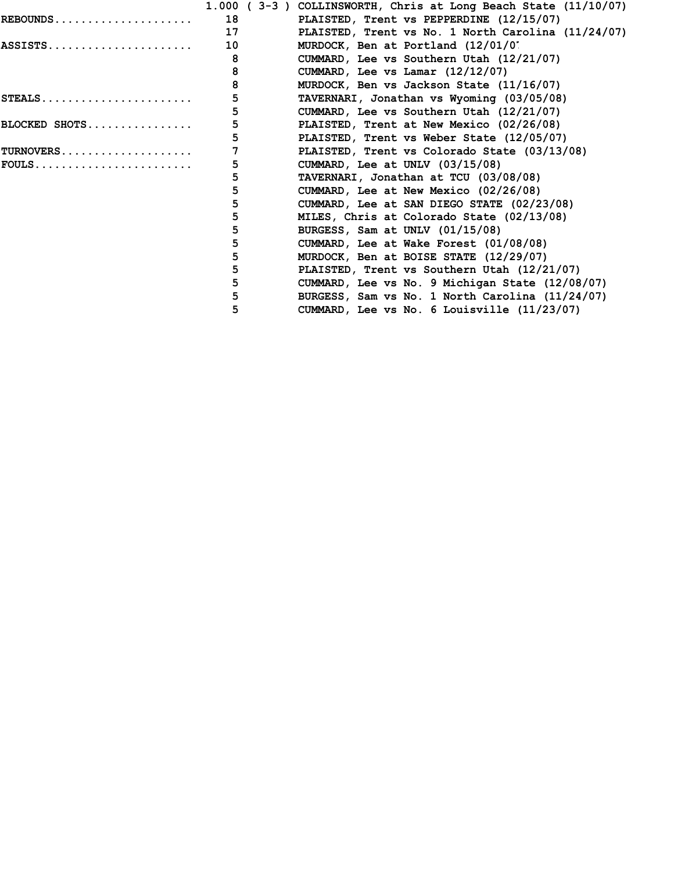|               |    | 1.000 ( $3-3$ ) COLLINSWORTH, Chris at Long Beach State $(11/10/07)$ |
|---------------|----|----------------------------------------------------------------------|
| REBOUNDS      | 18 | PLAISTED, Trent vs PEPPERDINE (12/15/07)                             |
|               | 17 | PLAISTED, Trent vs No. 1 North Carolina (11/24/07)                   |
| ASSISTS       | 10 | MURDOCK, Ben at Portland (12/01/0'                                   |
|               | 8  | CUMMARD, Lee vs Southern Utah (12/21/07)                             |
|               | 8  | CUMMARD, Lee vs Lamar (12/12/07)                                     |
|               | 8  | MURDOCK, Ben vs Jackson State (11/16/07)                             |
|               | 5  | TAVERNARI, Jonathan vs Wyoming (03/05/08)                            |
|               | 5  | CUMMARD, Lee vs Southern Utah (12/21/07)                             |
| BLOCKED SHOTS | 5  | PLAISTED, Trent at New Mexico (02/26/08)                             |
|               | 5  | PLAISTED, Trent vs Weber State (12/05/07)                            |
| TURNOVERS     |    | PLAISTED, Trent vs Colorado State (03/13/08)                         |
| $FOULS$       | 5  | CUMMARD, Lee at UNLV $(03/15/08)$                                    |
|               | 5  | TAVERNARI, Jonathan at TCU (03/08/08)                                |
|               | 5  | CUMMARD, Lee at New Mexico (02/26/08)                                |
|               | 5  | CUMMARD, Lee at SAN DIEGO STATE (02/23/08)                           |
|               | 5  | MILES, Chris at Colorado State (02/13/08)                            |
|               | 5  | BURGESS, Sam at UNLV (01/15/08)                                      |
|               | 5  | CUMMARD, Lee at Wake Forest (01/08/08)                               |
|               | 5  | MURDOCK, Ben at BOISE STATE (12/29/07)                               |
|               | 5  | PLAISTED, Trent vs Southern Utah (12/21/07)                          |
|               | 5  | CUMMARD, Lee vs No. 9 Michigan State (12/08/07)                      |
|               | 5  | BURGESS, Sam vs No. 1 North Carolina (11/24/07)                      |
|               | 5  | CUMMARD, Lee vs No. 6 Louisville (11/23/07)                          |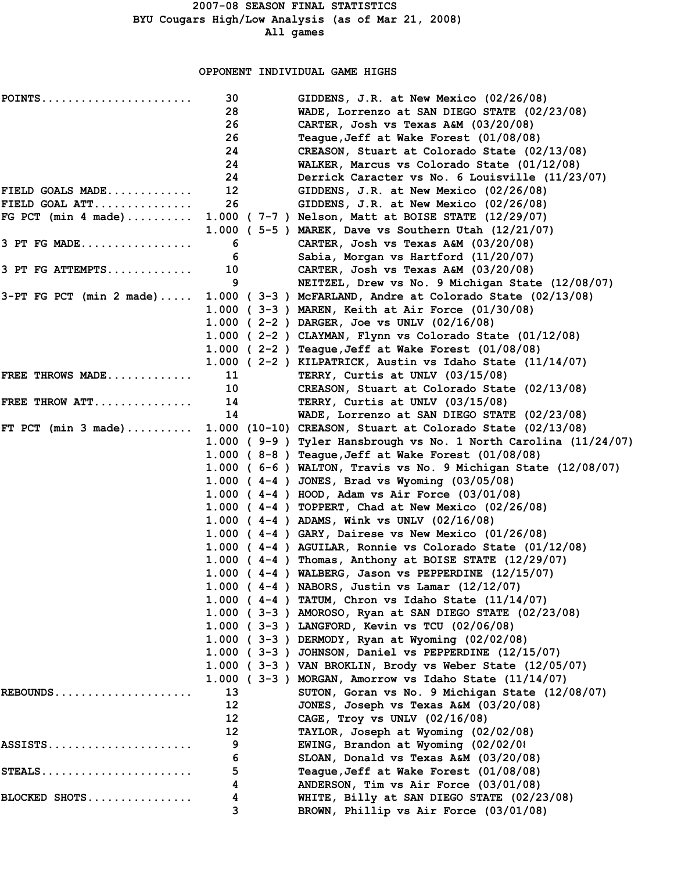#### OPPONENT INDIVIDUAL GAME HIGHS

| POINTS                     | 30      | GIDDENS, J.R. at New Mexico (02/26/08)                          |
|----------------------------|---------|-----------------------------------------------------------------|
|                            | 28      | WADE, Lorrenzo at SAN DIEGO STATE (02/23/08)                    |
|                            | 26      | CARTER, Josh vs Texas A&M (03/20/08)                            |
|                            | 26      | Teague, Jeff at Wake Forest (01/08/08)                          |
|                            | 24      | CREASON, Stuart at Colorado State (02/13/08)                    |
|                            | 24      | WALKER, Marcus vs Colorado State (01/12/08)                     |
|                            | 24      | Derrick Caracter vs No. 6 Louisville (11/23/07)                 |
| FIELD GOALS MADE           | $12 \,$ | GIDDENS, J.R. at New Mexico (02/26/08)                          |
| FIELD GOAL ATT             | 26      | GIDDENS, J.R. at New Mexico (02/26/08)                          |
| FG PCT (min 4 made)        |         | 1.000 ( 7-7 ) Nelson, Matt at BOISE STATE (12/29/07)            |
|                            |         | 1.000 ( 5-5 ) MAREK, Dave vs Southern Utah (12/21/07)           |
| 3 PT FG MADE               | 6       | CARTER, Josh vs Texas A&M (03/20/08)                            |
|                            | 6       | Sabia, Morgan vs Hartford (11/20/07)                            |
| 3 PT FG ATTEMPTS           | 10      | CARTER, Josh vs Texas A&M (03/20/08)                            |
|                            | 9       | NEITZEL, Drew vs No. 9 Michigan State (12/08/07)                |
| $3-PT$ FG PCT (min 2 made) |         | 1.000 ( $3-3$ ) McFARLAND, Andre at Colorado State (02/13/08)   |
|                            |         | 1.000 ( 3-3 ) MAREN, Keith at Air Force (01/30/08)              |
|                            |         | 1.000 ( $2-2$ ) DARGER, Joe vs UNLV (02/16/08)                  |
|                            |         | 1.000 (2-2) CLAYMAN, Flynn vs Colorado State (01/12/08)         |
|                            |         | 1.000 ( $2-2$ ) Teague, Jeff at Wake Forest $(01/08/08)$        |
|                            |         | 1.000 (2-2) KILPATRICK, Austin vs Idaho State (11/14/07)        |
| FREE THROWS MADE           | 11      | TERRY, Curtis at UNLV (03/15/08)                                |
|                            | 10      | CREASON, Stuart at Colorado State (02/13/08)                    |
| FREE THROW ATT             | 14      | TERRY, Curtis at UNLV (03/15/08)                                |
|                            | 14      | WADE, Lorrenzo at SAN DIEGO STATE (02/23/08)                    |
| FT PCT $(min 3 made)$      |         | 1.000 (10-10) CREASON, Stuart at Colorado State (02/13/08)      |
|                            |         | 1.000 (9-9) Tyler Hansbrough vs No. 1 North Carolina (11/24/07) |
|                            |         | 1.000 (8-8) Teague, Jeff at Wake Forest (01/08/08)              |
|                            |         | 1.000 (6-6) WALTON, Travis vs No. 9 Michigan State $(12/08/07)$ |
|                            |         | 1.000 ( $4-4$ ) JONES, Brad vs Wyoming (03/05/08)               |
|                            |         | 1.000 ( $4-4$ ) HOOD, Adam vs Air Force (03/01/08)              |
|                            |         | 1.000 ( $4-4$ ) TOPPERT, Chad at New Mexico (02/26/08)          |
|                            |         | 1.000 ( $4-4$ ) ADAMS, Wink vs UNLV (02/16/08)                  |
|                            |         | 1.000 ( $4-4$ ) GARY, Dairese vs New Mexico (01/26/08)          |
|                            |         | 1.000 (4-4) AGUILAR, Ronnie vs Colorado State (01/12/08)        |
|                            |         | 1.000 ( $4-4$ ) Thomas, Anthony at BOISE STATE (12/29/07)       |
|                            |         | $1.000$ ( $4-4$ ) WALBERG, Jason vs PEPPERDINE (12/15/07)       |
|                            |         | 1.000 (4-4) NABORS, Justin vs Lamar (12/12/07)                  |
|                            |         | 1.000 (4-4) TATUM, Chron vs Idaho State (11/14/07)              |
|                            |         | 1.000 (3-3) AMOROSO, Ryan at SAN DIEGO STATE (02/23/08)         |
|                            |         | 1.000 (3-3) LANGFORD, Kevin vs TCU (02/06/08)                   |
|                            |         | 1.000 (3-3) DERMODY, Ryan at Wyoming (02/02/08)                 |
|                            |         | 1.000 ( $3-3$ ) JOHNSON, Daniel vs PEPPERDINE (12/15/07)        |
|                            |         | 1.000 (3-3) VAN BROKLIN, Brody vs Weber State (12/05/07)        |
|                            |         | 1.000 ( $3-3$ ) MORGAN, Amorrow vs Idaho State (11/14/07)       |
| REBOUNDS                   | 13      | SUTON, Goran vs No. 9 Michigan State (12/08/07)                 |
|                            | 12      | JONES, Joseph vs Texas A&M (03/20/08)                           |
|                            | 12      | CAGE, Troy vs UNLV (02/16/08)                                   |
|                            | 12      | TAYLOR, Joseph at Wyoming (02/02/08)                            |
| ASSISTS                    | 9       | EWING, Brandon at Wyoming (02/02/08                             |
|                            | 6       | SLOAN, Donald vs Texas A&M (03/20/08)                           |
| STEALS                     | 5       | Teague, Jeff at Wake Forest (01/08/08)                          |
|                            | 4       | ANDERSON, Tim vs Air Force (03/01/08)                           |
| BLOCKED SHOTS              | 4       | WHITE, Billy at SAN DIEGO STATE (02/23/08)                      |
|                            | 3       | BROWN, Phillip vs Air Force (03/01/08)                          |
|                            |         |                                                                 |